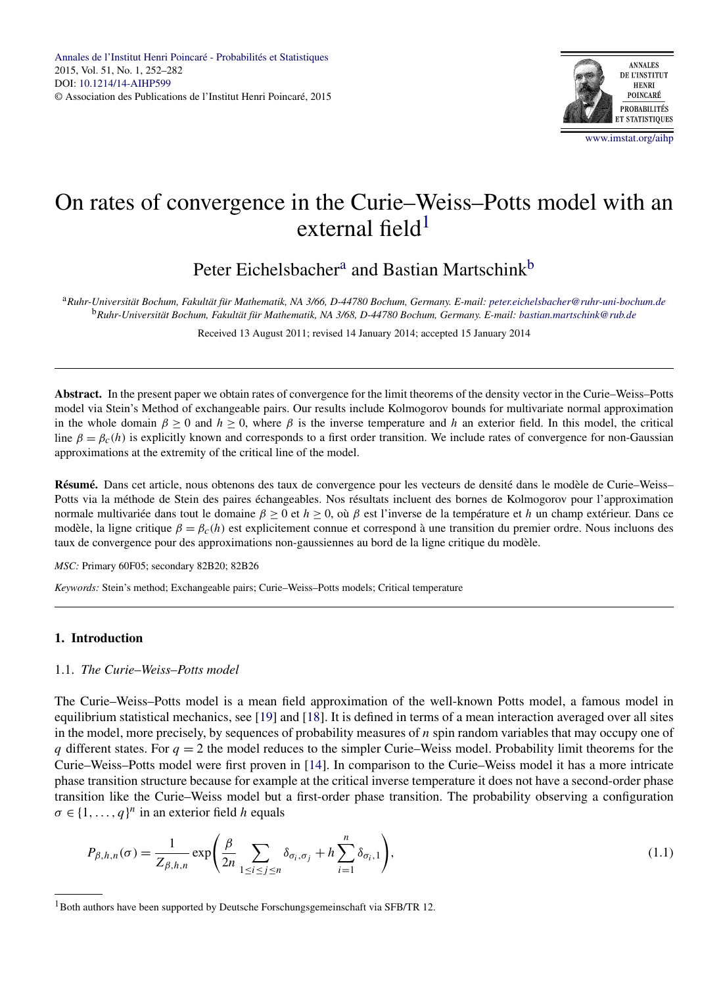

# <span id="page-0-0"></span>On rates of convergence in the Curie–Weiss–Potts model with an external field $1$

# Peter Eichelsbacher<sup>a</sup> and Bastian Martschink<sup>b</sup>

<sup>a</sup>*Ruhr-Universität Bochum, Fakultät für Mathematik, NA 3/66, D-44780 Bochum, Germany. E-mail: [peter.eichelsbacher@ruhr-uni-bochum.de](mailto:peter.eichelsbacher@ruhr-uni-bochum.de)* <sup>b</sup>*Ruhr-Universität Bochum, Fakultät für Mathematik, NA 3/68, D-44780 Bochum, Germany. E-mail: [bastian.martschink@rub.de](mailto:bastian.martschink@rub.de)*

Received 13 August 2011; revised 14 January 2014; accepted 15 January 2014

**Abstract.** In the present paper we obtain rates of convergence for the limit theorems of the density vector in the Curie–Weiss–Potts model via Stein's Method of exchangeable pairs. Our results include Kolmogorov bounds for multivariate normal approximation in the whole domain  $\beta \ge 0$  and  $h \ge 0$ , where  $\beta$  is the inverse temperature and h an exterior field. In this model, the critical line  $\beta = \beta_c(h)$  is explicitly known and corresponds to a first order transition. We include rates of convergence for non-Gaussian approximations at the extremity of the critical line of the model.

**Résumé.** Dans cet article, nous obtenons des taux de convergence pour les vecteurs de densité dans le modèle de Curie–Weiss– Potts via la méthode de Stein des paires échangeables. Nos résultats incluent des bornes de Kolmogorov pour l'approximation normale multivariée dans tout le domaine *β* ≥ 0 et *h* ≥ 0, où *β* est l'inverse de la température et *h* un champ extérieur. Dans ce modèle, la ligne critique *β* = *βc(h)* est explicitement connue et correspond à une transition du premier ordre. Nous incluons des taux de convergence pour des approximations non-gaussiennes au bord de la ligne critique du modèle.

*MSC:* Primary 60F05; secondary 82B20; 82B26

*Keywords:* Stein's method; Exchangeable pairs; Curie–Weiss–Potts models; Critical temperature

# **1. Introduction**

#### 1.1. *The Curie–Weiss–Potts model*

The Curie–Weiss–Potts model is a mean field approximation of the well-known Potts model, a famous model in equilibrium statistical mechanics, see [\[19\]](#page-30-0) and [\[18\]](#page-30-0). It is defined in terms of a mean interaction averaged over all sites in the model, more precisely, by sequences of probability measures of *n* spin random variables that may occupy one of *q* different states. For  $q = 2$  the model reduces to the simpler Curie–Weiss model. Probability limit theorems for the Curie–Weiss–Potts model were first proven in [\[14\]](#page-30-0). In comparison to the Curie–Weiss model it has a more intricate phase transition structure because for example at the critical inverse temperature it does not have a second-order phase transition like the Curie–Weiss model but a first-order phase transition. The probability observing a configuration  $\sigma \in \{1, \ldots, q\}^n$  in an exterior field *h* equals

$$
P_{\beta,h,n}(\sigma) = \frac{1}{Z_{\beta,h,n}} \exp\left(\frac{\beta}{2n} \sum_{1 \le i \le j \le n} \delta_{\sigma_i,\sigma_j} + h \sum_{i=1}^n \delta_{\sigma_i,1}\right),\tag{1.1}
$$

<sup>&</sup>lt;sup>1</sup>Both authors have been supported by Deutsche Forschungsgemeinschaft via SFB/TR 12.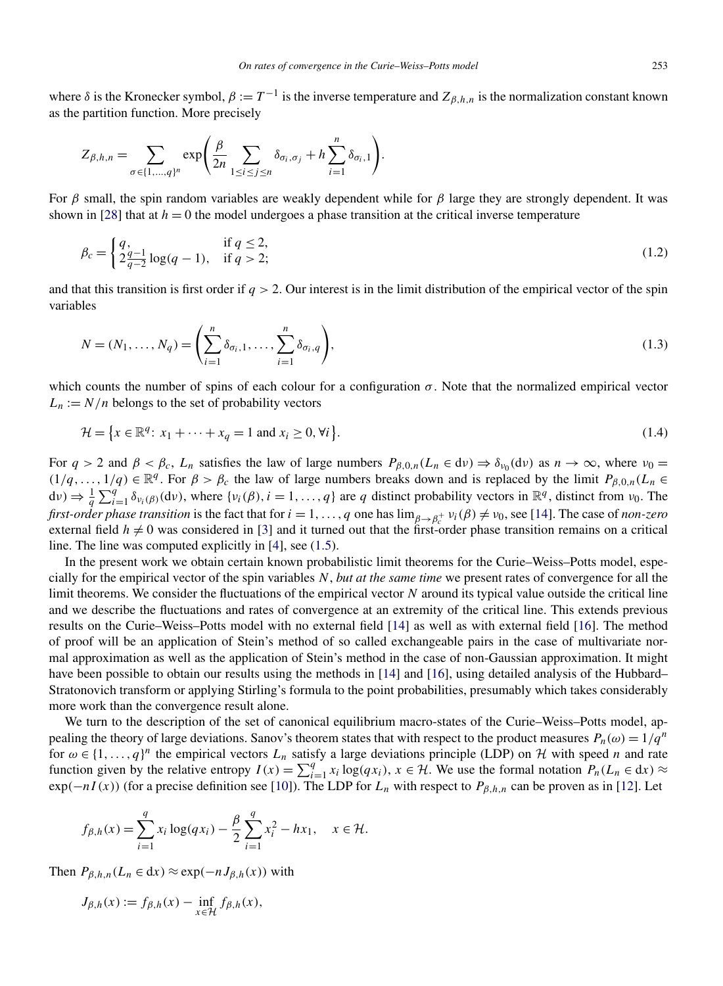<span id="page-1-0"></span>where  $\delta$  is the Kronecker symbol,  $\beta := T^{-1}$  is the inverse temperature and  $Z_{\beta,h,n}$  is the normalization constant known as the partition function. More precisely

$$
Z_{\beta,h,n} = \sum_{\sigma \in \{1,\ldots,q\}^n} \exp\left(\frac{\beta}{2n} \sum_{1 \leq i \leq j \leq n} \delta_{\sigma_i,\sigma_j} + h \sum_{i=1}^n \delta_{\sigma_i,1}\right).
$$

For *β* small, the spin random variables are weakly dependent while for *β* large they are strongly dependent. It was shown in [\[28\]](#page-30-0) that at  $h = 0$  the model undergoes a phase transition at the critical inverse temperature

$$
\beta_c = \begin{cases} q, & \text{if } q \le 2, \\ 2\frac{q-1}{q-2}\log(q-1), & \text{if } q > 2; \end{cases}
$$
\n(1.2)

and that this transition is first order if  $q > 2$ . Our interest is in the limit distribution of the empirical vector of the spin variables

$$
N = (N_1, ..., N_q) = \left(\sum_{i=1}^n \delta_{\sigma_i, 1}, ..., \sum_{i=1}^n \delta_{\sigma_i, q}\right),
$$
\n(1.3)

which counts the number of spins of each colour for a configuration  $\sigma$ . Note that the normalized empirical vector  $L_n := N/n$  belongs to the set of probability vectors

$$
\mathcal{H} = \{x \in \mathbb{R}^q \colon x_1 + \dots + x_q = 1 \text{ and } x_i \ge 0, \forall i\}.
$$
\n
$$
(1.4)
$$

For  $q > 2$  and  $\beta < \beta_c$ ,  $L_n$  satisfies the law of large numbers  $P_{\beta,0,n}(L_n \in dv) \Rightarrow \delta_{\nu_0}(dv)$  as  $n \to \infty$ , where  $\nu_0 =$  $(1/q, \ldots, 1/q) \in \mathbb{R}^q$ . For  $\beta > \beta_c$  the law of large numbers breaks down and is replaced by the limit  $P_{\beta,0,n}(L_n \in \mathbb{R}^q)$  $d\nu$ )  $\Rightarrow \frac{1}{q} \sum_{i=1}^{q} \delta_{\nu_i(\beta)}(d\nu)$ , where  $\{\nu_i(\beta), i = 1, \ldots, q\}$  are *q* distinct probability vectors in  $\mathbb{R}^q$ , distinct from  $\nu_0$ . The *first-order phase transition* is the fact that for  $i = 1, ..., q$  one has  $\lim_{\beta \to \beta_c^+} v_i(\beta) \neq v_0$ , see [\[14\]](#page-30-0). The case of *non-zero* external field  $h \neq 0$  was considered in [\[3\]](#page-29-0) and it turned out that the first-order phase transition remains on a critical line. The line was computed explicitly in [\[4\]](#page-29-0), see [\(1.5\)](#page-2-0).

In the present work we obtain certain known probabilistic limit theorems for the Curie–Weiss–Potts model, especially for the empirical vector of the spin variables *N*, *but at the same time* we present rates of convergence for all the limit theorems. We consider the fluctuations of the empirical vector *N* around its typical value outside the critical line and we describe the fluctuations and rates of convergence at an extremity of the critical line. This extends previous results on the Curie–Weiss–Potts model with no external field [\[14\]](#page-30-0) as well as with external field [\[16\]](#page-30-0). The method of proof will be an application of Stein's method of so called exchangeable pairs in the case of multivariate normal approximation as well as the application of Stein's method in the case of non-Gaussian approximation. It might have been possible to obtain our results using the methods in [\[14\]](#page-30-0) and [\[16\]](#page-30-0), using detailed analysis of the Hubbard– Stratonovich transform or applying Stirling's formula to the point probabilities, presumably which takes considerably more work than the convergence result alone.

We turn to the description of the set of canonical equilibrium macro-states of the Curie–Weiss–Potts model, appealing the theory of large deviations. Sanov's theorem states that with respect to the product measures  $P_n(\omega) = 1/q^n$ for  $\omega \in \{1, \ldots, q\}^n$  the empirical vectors  $L_n$  satisfy a large deviations principle (LDP) on H with speed *n* and rate function given by the relative entropy  $I(x) = \sum_{i=1}^{q} x_i \log(qx_i)$ ,  $x \in \mathcal{H}$ . We use the formal notation  $P_n(L_n \in dx) \approx$  $\exp(-nI(x))$  (for a precise definition see [\[10\]](#page-29-0)). The LDP for  $L_n$  with respect to  $P_{\beta,h,n}$  can be proven as in [\[12\]](#page-30-0). Let

$$
f_{\beta,h}(x) = \sum_{i=1}^{q} x_i \log(q x_i) - \frac{\beta}{2} \sum_{i=1}^{q} x_i^2 - h x_1, \quad x \in \mathcal{H}.
$$

Then  $P_{\beta,h,n}(L_n \in dx) \approx \exp(-n J_{\beta,h}(x))$  with

$$
J_{\beta,h}(x) := f_{\beta,h}(x) - \inf_{x \in \mathcal{H}} f_{\beta,h}(x),
$$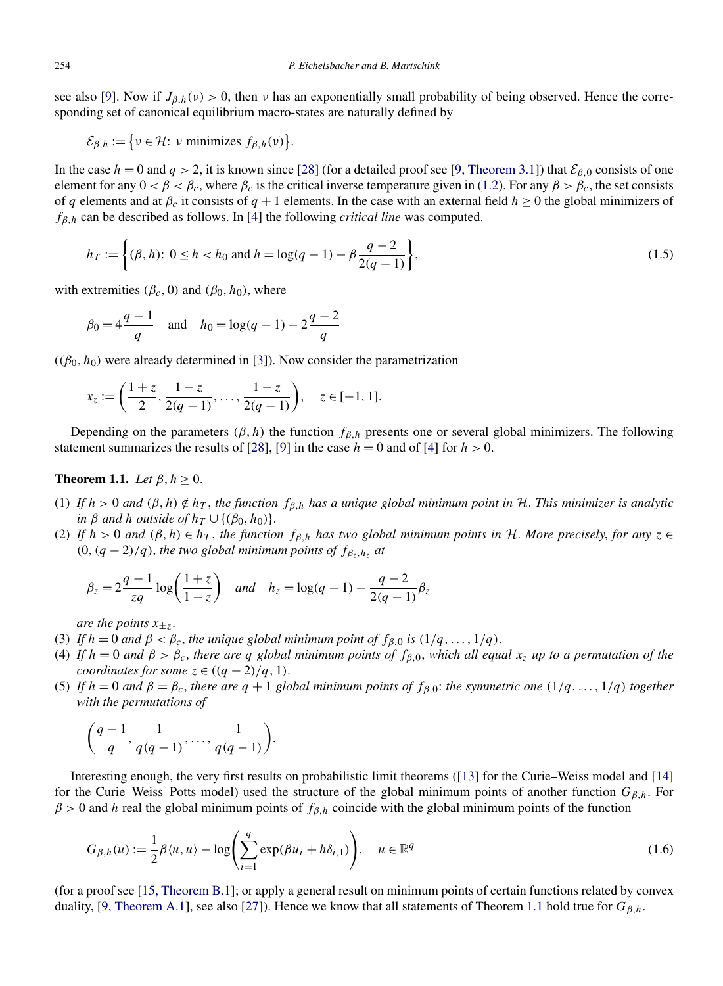<span id="page-2-0"></span>see also [\[9\]](#page-29-0). Now if  $J_{\beta,h}(v) > 0$ , then *v* has an exponentially small probability of being observed. Hence the corresponding set of canonical equilibrium macro-states are naturally defined by

 $\mathcal{E}_{\beta,h} := \{ v \in \mathcal{H} : v \text{ minimizes } f_{\beta,h}(v) \}.$ 

In the case  $h = 0$  and  $q > 2$ , it is known since [\[28\]](#page-30-0) (for a detailed proof see [\[9, Theorem 3.1\]](#page-29-0)) that  $\mathcal{E}_{\beta,0}$  consists of one element for any  $0 < \beta < \beta_c$ , where  $\beta_c$  is the critical inverse temperature given in [\(1.2\)](#page-1-0). For any  $\beta > \beta_c$ , the set consists of *q* elements and at  $\beta_c$  it consists of  $q + 1$  elements. In the case with an external field  $h \ge 0$  the global minimizers of *fβ,h* can be described as follows. In [\[4\]](#page-29-0) the following *critical line* was computed.

$$
h_T := \left\{ (\beta, h) : 0 \le h < h_0 \text{ and } h = \log(q - 1) - \beta \frac{q - 2}{2(q - 1)} \right\},\tag{1.5}
$$

with extremities  $(\beta_c, 0)$  and  $(\beta_0, h_0)$ , where

$$
\beta_0 = 4 \frac{q-1}{q}
$$
 and  $h_0 = \log(q-1) - 2 \frac{q-2}{q}$ 

 $((\beta_0, h_0)$  were already determined in [\[3\]](#page-29-0)). Now consider the parametrization

$$
x_z := \left(\frac{1+z}{2}, \frac{1-z}{2(q-1)}, \dots, \frac{1-z}{2(q-1)}\right), \quad z \in [-1, 1].
$$

Depending on the parameters  $(\beta, h)$  the function  $f_{\beta,h}$  presents one or several global minimizers. The following statement summarizes the results of [\[28\]](#page-30-0), [\[9\]](#page-29-0) in the case  $h = 0$  and of [\[4\]](#page-29-0) for  $h > 0$ .

### **Theorem 1.1.** *Let*  $\beta, h \geq 0$ .

- (1) If  $h > 0$  and  $(\beta, h) \notin h_T$ , the function  $f_{\beta,h}$  has a unique global minimum point in H. This minimizer is analytic *in*  $\beta$  *and h outside of*  $h_T \cup \{(\beta_0, h_0)\}.$
- (2) If  $h > 0$  and  $(\beta, h) \in h_T$ , the function  $f_{\beta,h}$  has two global minimum points in H. More precisely, for any  $z \in$  $(0, (q-2)/q)$ , *the two global minimum points of*  $f_{\beta_z, h_z}$  *at*

$$
\beta_z = 2\frac{q-1}{zq} \log\left(\frac{1+z}{1-z}\right)
$$
 and  $h_z = \log(q-1) - \frac{q-2}{2(q-1)}\beta_z$ 

*are the points*  $x_{+z}$ .

- (3) If  $h = 0$  and  $\beta < \beta_c$ , the unique global minimum point of  $f_{\beta,0}$  is  $(1/q, \ldots, 1/q)$ .
- (4) If  $h = 0$  and  $\beta > \beta_c$ , there are q global minimum points of  $f_{\beta,0}$ , which all equal  $x_z$  up to a permutation of the *coordinates for some*  $z \in ((q - 2)/q, 1)$ .
- (5) If  $h = 0$  and  $\beta = \beta_c$ , there are  $q + 1$  global minimum points of  $f_{\beta,0}$ : the symmetric one  $(1/q, \ldots, 1/q)$  together *with the permutations of*

$$
\left(\frac{q-1}{q},\frac{1}{q(q-1)},\ldots,\frac{1}{q(q-1)}\right).
$$

Interesting enough, the very first results on probabilistic limit theorems ([\[13\]](#page-30-0) for the Curie–Weiss model and [\[14\]](#page-30-0) for the Curie–Weiss–Potts model) used the structure of the global minimum points of another function *Gβ,h*. For *β >* 0 and *h* real the global minimum points of *fβ,h* coincide with the global minimum points of the function

$$
G_{\beta,h}(u) := \frac{1}{2}\beta \langle u, u \rangle - \log \left( \sum_{i=1}^q \exp(\beta u_i + h\delta_{i,1}) \right), \quad u \in \mathbb{R}^q
$$
 (1.6)

(for a proof see [\[15, Theorem B.1\]](#page-30-0); or apply a general result on minimum points of certain functions related by convex duality, [\[9, Theorem A.1\]](#page-29-0), see also [\[27\]](#page-30-0)). Hence we know that all statements of Theorem 1.1 hold true for  $G_{\beta,h}$ .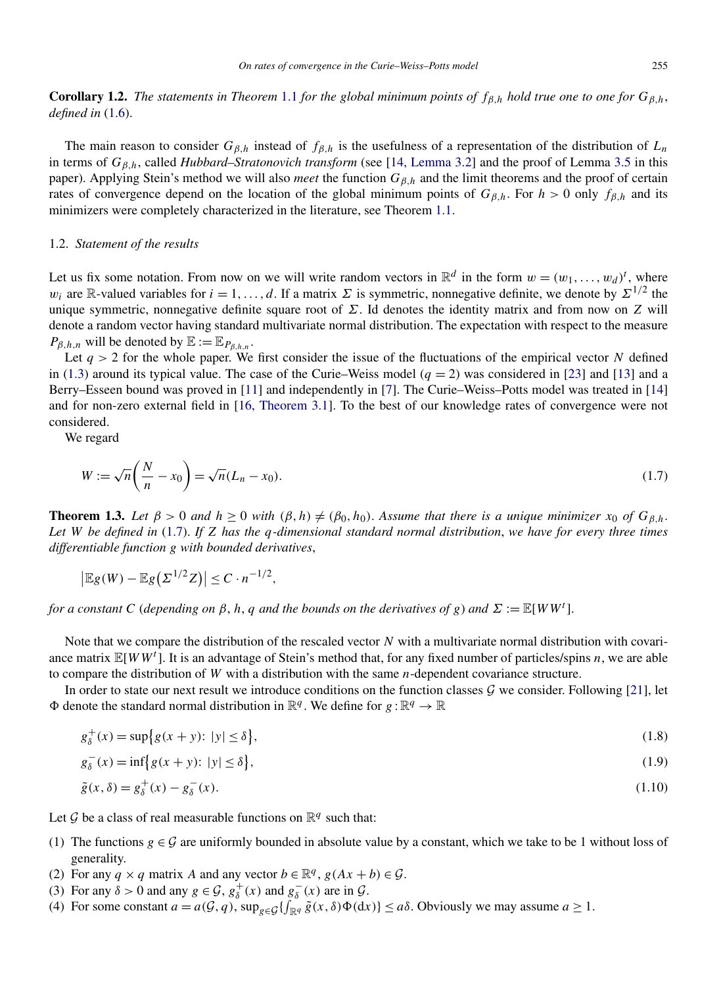<span id="page-3-0"></span>**Corollary 1.2.** *The statements in Theorem* [1.1](#page-2-0) *for the global minimum points of*  $f_{\beta,h}$  *hold true one to one for*  $G_{\beta,h}$ , *defined in* [\(1.6\)](#page-2-0).

The main reason to consider  $G_{\beta,h}$  instead of  $f_{\beta,h}$  is the usefulness of a representation of the distribution of  $L_n$ in terms of *Gβ,h*, called *Hubbard–Stratonovich transform* (see [\[14, Lemma 3.2\]](#page-30-0) and the proof of Lemma [3.5](#page-14-0) in this paper). Applying Stein's method we will also *meet* the function *Gβ,h* and the limit theorems and the proof of certain rates of convergence depend on the location of the global minimum points of  $G_{\beta,h}$ . For  $h > 0$  only  $f_{\beta,h}$  and its minimizers were completely characterized in the literature, see Theorem [1.1.](#page-2-0)

#### 1.2. *Statement of the results*

Let us fix some notation. From now on we will write random vectors in  $\mathbb{R}^d$  in the form  $w = (w_1, \ldots, w_d)^t$ , where *w<sub>i</sub>* are R-valued variables for  $i = 1, \ldots, d$ . If a matrix  $\Sigma$  is symmetric, nonnegative definite, we denote by  $\Sigma^{1/2}$  the unique symmetric, nonnegative definite square root of *Σ*. Id denotes the identity matrix and from now on *Z* will denote a random vector having standard multivariate normal distribution. The expectation with respect to the measure  $P_{\beta,h,n}$  will be denoted by  $\mathbb{E} := \mathbb{E}_{P_{\beta,h,n}}$ .

Let  $q > 2$  for the whole paper. We first consider the issue of the fluctuations of the empirical vector *N* defined in [\(1.3\)](#page-1-0) around its typical value. The case of the Curie–Weiss model ( $q = 2$ ) was considered in [\[23\]](#page-30-0) and [\[13\]](#page-30-0) and a Berry–Esseen bound was proved in [\[11\]](#page-29-0) and independently in [\[7\]](#page-29-0). The Curie–Weiss–Potts model was treated in [\[14\]](#page-30-0) and for non-zero external field in [\[16, Theorem 3.1\]](#page-30-0). To the best of our knowledge rates of convergence were not considered.

We regard

$$
W := \sqrt{n} \left( \frac{N}{n} - x_0 \right) = \sqrt{n} (L_n - x_0). \tag{1.7}
$$

**Theorem 1.3.** *Let*  $\beta > 0$  *and*  $h \ge 0$  *with*  $(\beta, h) \ne (\beta_0, h_0)$ . *Assume that there is a unique minimizer*  $x_0$  *of*  $G_{\beta, h}$ . *Let W be defined in* (1.7). *If Z has the q-dimensional standard normal distribution*, *we have for every three times differentiable function g with bounded derivatives*,

$$
\left|\mathbb{E}g(W)-\mathbb{E}g\big(\Sigma^{1/2}Z\big)\right|\leq C\cdot n^{-1/2},
$$

*for a constant C* (*depending on*  $\beta$ , *h*, *q and the bounds on the derivatives of g*) and  $\Sigma := \mathbb{E}[WW^t]$ .

Note that we compare the distribution of the rescaled vector *N* with a multivariate normal distribution with covariance matrix E[*WW<sup>t</sup>* ]. It is an advantage of Stein's method that, for any fixed number of particles/spins *n*, we are able to compare the distribution of *W* with a distribution with the same *n*-dependent covariance structure.

In order to state our next result we introduce conditions on the function classes  $\mathcal G$  we consider. Following [\[21\]](#page-30-0), let  $\Phi$  denote the standard normal distribution in  $\mathbb{R}^q$ . We define for  $g : \mathbb{R}^q \to \mathbb{R}$ 

$$
g_{\delta}^{+}(x) = \sup \{ g(x+y) : \ |y| \le \delta \}, \tag{1.8}
$$

$$
g_{\delta}^{-}(x) = \inf \{ g(x+y) : |y| \le \delta \},
$$
\n(1.9)

$$
\tilde{g}(x,\delta) = g_{\delta}^{+}(x) - g_{\delta}^{-}(x). \tag{1.10}
$$

Let  $G$  be a class of real measurable functions on  $\mathbb{R}^q$  such that:

- (1) The functions  $g \in \mathcal{G}$  are uniformly bounded in absolute value by a constant, which we take to be 1 without loss of generality.
- (2) For any  $q \times q$  matrix *A* and any vector  $b \in \mathbb{R}^q$ ,  $g(Ax + b) \in \mathcal{G}$ .
- (3) For any  $\delta > 0$  and any  $g \in \mathcal{G}$ ,  $g_{\delta}^+(x)$  and  $g_{\delta}^-(x)$  are in  $\mathcal{G}$ .
- (4) For some constant  $a = a(G, q)$ ,  $\sup_{g \in \mathcal{G}} \{ \int_{\mathbb{R}^q} \tilde{g}(x, \delta) \Phi(dx) \} \le a\delta$ . Obviously we may assume  $a \ge 1$ .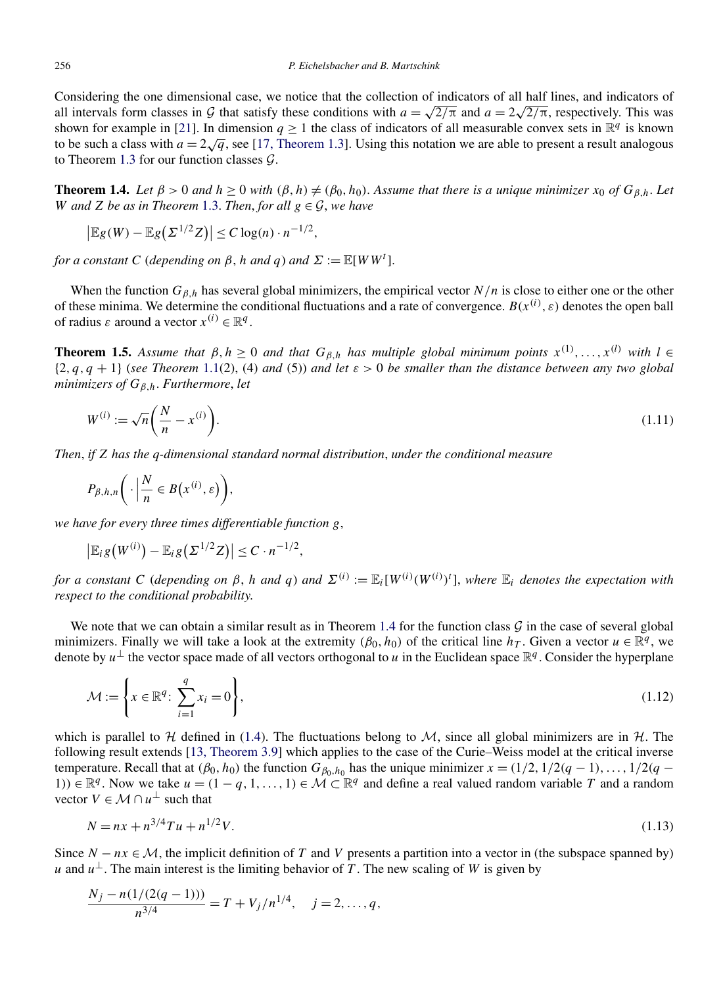<span id="page-4-0"></span>Considering the one dimensional case, we notice that the collection of indicators of all half lines, and indicators of considering the one dimensional case, we notice that the conection of marcators of all half lines, and marcators of all intervals form classes in G that satisfy these conditions with  $a = \sqrt{2/\pi}$  and  $a = 2\sqrt{2/\pi}$ , respect shown for example in [\[21\]](#page-30-0). In dimension  $q \ge 1$  the class of indicators of all measurable convex sets in  $\mathbb{R}^q$  is known to be such a class with  $a = 2\sqrt{q}$ , see [\[17, Theorem 1.3\]](#page-30-0). Using this notation we are able to present a result analogous to Theorem [1.3](#page-3-0) for our function classes  $\mathcal{G}$ .

**Theorem 1.4.** *Let*  $\beta > 0$  *and*  $h \geq 0$  *with*  $(\beta, h) \neq (\beta_0, h_0)$ . *Assume that there is a unique minimizer*  $x_0$  *of*  $G_{\beta, h}$ . Let *W* and *Z be as in Theorem* [1.3.](#page-3-0) *Then, for all*  $g \in \mathcal{G}$ *, we have* 

$$
\left|\mathbb{E}g(W)-\mathbb{E}g(\Sigma^{1/2}Z)\right|\leq C\log(n)\cdot n^{-1/2},
$$

*for a constant C* (*depending on*  $\beta$ , *h and*  $q$ ) *and*  $\Sigma := \mathbb{E}[WW^t]$ .

When the function  $G_{\beta h}$  has several global minimizers, the empirical vector  $N/n$  is close to either one or the other of these minima. We determine the conditional fluctuations and a rate of convergence.  $B(x^{(i)}, \varepsilon)$  denotes the open ball of radius  $\varepsilon$  around a vector  $x^{(i)} \in \mathbb{R}^q$ .

**Theorem 1.5.** Assume that  $\beta, h \ge 0$  and that  $G_{\beta,h}$  has multiple global minimum points  $x^{(1)},...,x^{(l)}$  with  $l \in$  $\{2,q,q+1\}$  (*see Theorem* [1.1\(](#page-2-0)2), (4) *and* (5)) *and let*  $\varepsilon > 0$  *be smaller than the distance between any two global minimizers of Gβ,h*. *Furthermore*, *let*

$$
W^{(i)} := \sqrt{n} \left( \frac{N}{n} - x^{(i)} \right). \tag{1.11}
$$

*Then*, *if Z has the q-dimensional standard normal distribution*, *under the conditional measure*

$$
P_{\beta,h,n}\bigg(\cdot\bigg|\frac{N}{n}\in B(x^{(i)},\varepsilon)\bigg),\,
$$

*we have for every three times differentiable function g*,

$$
\big|\mathbb{E}_i g\big(W^{(i)}\big)-\mathbb{E}_i g\big(\Sigma^{1/2}Z\big)\big|\leq C\cdot n^{-1/2},
$$

*for a constant C* (depending on  $\beta$ , *h* and  $q$ ) and  $\Sigma^{(i)} := \mathbb{E}_i[W^{(i)}(W^{(i)})^t]$ , where  $\mathbb{E}_i$  denotes the expectation with *respect to the conditional probability*.

We note that we can obtain a similar result as in Theorem 1.4 for the function class  $\mathcal G$  in the case of several global minimizers. Finally we will take a look at the extremity  $(\beta_0, h_0)$  of the critical line  $h_T$ . Given a vector  $u \in \mathbb{R}^q$ , we denote by  $u^{\perp}$  the vector space made of all vectors orthogonal to *u* in the Euclidean space  $\mathbb{R}^q$ . Consider the hyperplane

$$
\mathcal{M} := \left\{ x \in \mathbb{R}^q \colon \sum_{i=1}^q x_i = 0 \right\},\tag{1.12}
$$

which is parallel to H defined in [\(1.4\)](#page-1-0). The fluctuations belong to  $M$ , since all global minimizers are in H. The following result extends [\[13, Theorem 3.9\]](#page-30-0) which applies to the case of the Curie–Weiss model at the critical inverse temperature. Recall that at  $(\beta_0, h_0)$  the function  $G_{\beta_0, h_0}$  has the unique minimizer  $x = (1/2, 1/2(q-1), \ldots, 1/2(q-1))$ 1)) ∈  $\mathbb{R}^q$ . Now we take  $u = (1 - q, 1, \ldots, 1) \in \mathcal{M} \subset \mathbb{R}^q$  and define a real valued random variable *T* and a random vector  $V \in \mathcal{M} \cap u^{\perp}$  such that

$$
N = nx + n^{3/4}Tu + n^{1/2}V.
$$
\n(1.13)

Since  $N - nx \in M$ , the implicit definition of *T* and *V* presents a partition into a vector in (the subspace spanned by) *u* and  $u^{\perp}$ . The main interest is the limiting behavior of *T*. The new scaling of *W* is given by

$$
\frac{N_j - n(1/(2(q-1)))}{n^{3/4}} = T + V_j/n^{1/4}, \quad j = 2, ..., q,
$$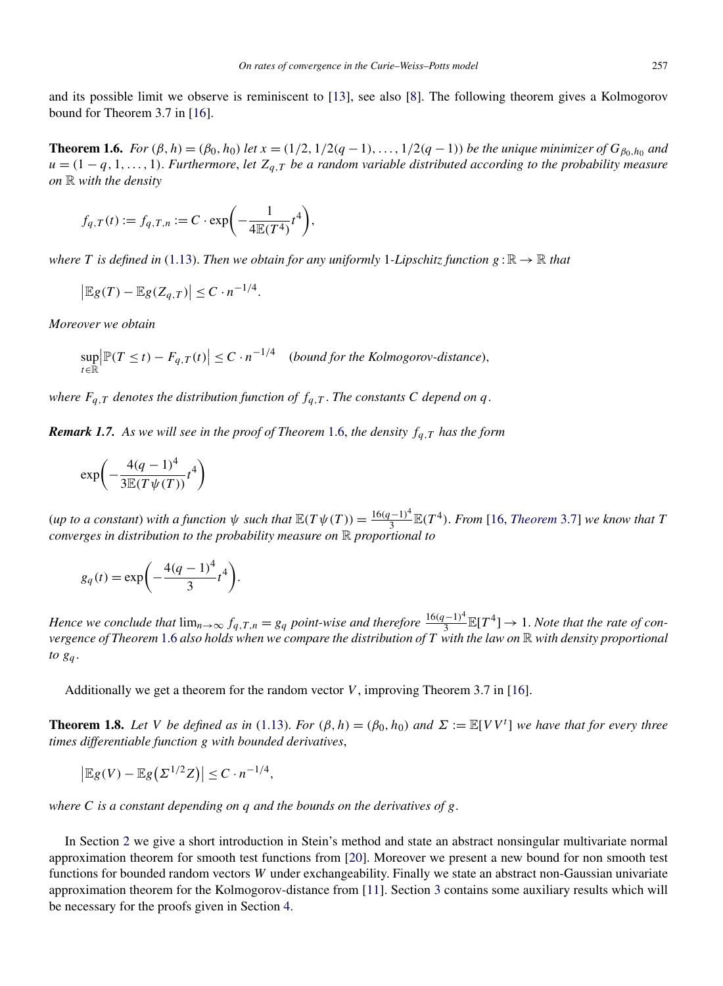<span id="page-5-0"></span>and its possible limit we observe is reminiscent to [\[13\]](#page-30-0), see also [\[8\]](#page-29-0). The following theorem gives a Kolmogorov bound for Theorem 3.7 in [\[16\]](#page-30-0).

**Theorem 1.6.** For  $(\beta, h) = (\beta_0, h_0)$  let  $x = (1/2, 1/2(q-1), \ldots, 1/2(q-1))$  be the unique minimizer of  $G_{\beta_0, h_0}$  and  $u = (1 - q, 1, \ldots, 1)$ . *Furthermore*, *let*  $Z_{q,T}$  *be a random variable distributed according to the probability measure on* R *with the density*

$$
f_{q,T}(t) := f_{q,T,n} := C \cdot \exp\bigg(-\frac{1}{4\mathbb{E}(T^4)}t^4\bigg),\,
$$

*where T* is defined in [\(1.13\)](#page-4-0). *Then we obtain for any uniformly* 1*-Lipschitz function*  $g : \mathbb{R} \to \mathbb{R}$  *that* 

$$
\left|\mathbb{E}g(T)-\mathbb{E}g(Z_{q,T})\right|\leq C\cdot n^{-1/4}.
$$

*Moreover we obtain*

$$
\sup_{t \in \mathbb{R}} \left| \mathbb{P}(T \le t) - F_{q,T}(t) \right| \le C \cdot n^{-1/4} \quad \text{(bound for the Kolmogorov-distance)},
$$

*where*  $F_{q,T}$  *denotes the distribution function of*  $f_{q,T}$ *. The constants C depend on q*.

*Remark 1.7. As we will see in the proof of Theorem* 1.6, *the density fq,T has the form*

$$
\exp\left(-\frac{4(q-1)^4}{3\mathbb{E}(T\psi(T))}t^4\right)
$$

(*up to a constant*) *with a function*  $\psi$  *such that*  $\mathbb{E}(T\psi(T)) = \frac{16(q-1)^4}{3}\mathbb{E}(T^4)$ *. From* [16, *[Theorem](#page-30-0)* 3.7] *we know that T converges in distribution to the probability measure on* R *proportional to*

$$
g_q(t) = \exp\biggl(-\frac{4(q-1)^4}{3}t^4\biggr).
$$

*Hence we conclude that*  $\lim_{n\to\infty} f_{q,T,n} = g_q$  *point-wise and therefore*  $\frac{16(q-1)^4}{3}\mathbb{E}[T^4] \to 1$ *. Note that the rate of convergence of Theorem* 1.6 *also holds when we compare the distribution of T with the law on* R *with density proportional to gq* .

Additionally we get a theorem for the random vector  $V$ , improving Theorem 3.7 in [\[16\]](#page-30-0).

**Theorem 1.8.** Let V be defined as in [\(1.13\)](#page-4-0). For  $(\beta, h) = (\beta_0, h_0)$  and  $\Sigma := \mathbb{E}[V V^t]$  we have that for every three *times differentiable function g with bounded derivatives*,

$$
\left|\mathbb{E}g(V)-\mathbb{E}g\big(\Sigma^{1/2}Z\big)\right|\leq C\cdot n^{-1/4},
$$

*where C is a constant depending on q and the bounds on the derivatives of g*.

In Section [2](#page-6-0) we give a short introduction in Stein's method and state an abstract nonsingular multivariate normal approximation theorem for smooth test functions from [\[20\]](#page-30-0). Moreover we present a new bound for non smooth test functions for bounded random vectors *W* under exchangeability. Finally we state an abstract non-Gaussian univariate approximation theorem for the Kolmogorov-distance from [\[11\]](#page-29-0). Section [3](#page-13-0) contains some auxiliary results which will be necessary for the proofs given in Section [4.](#page-15-0)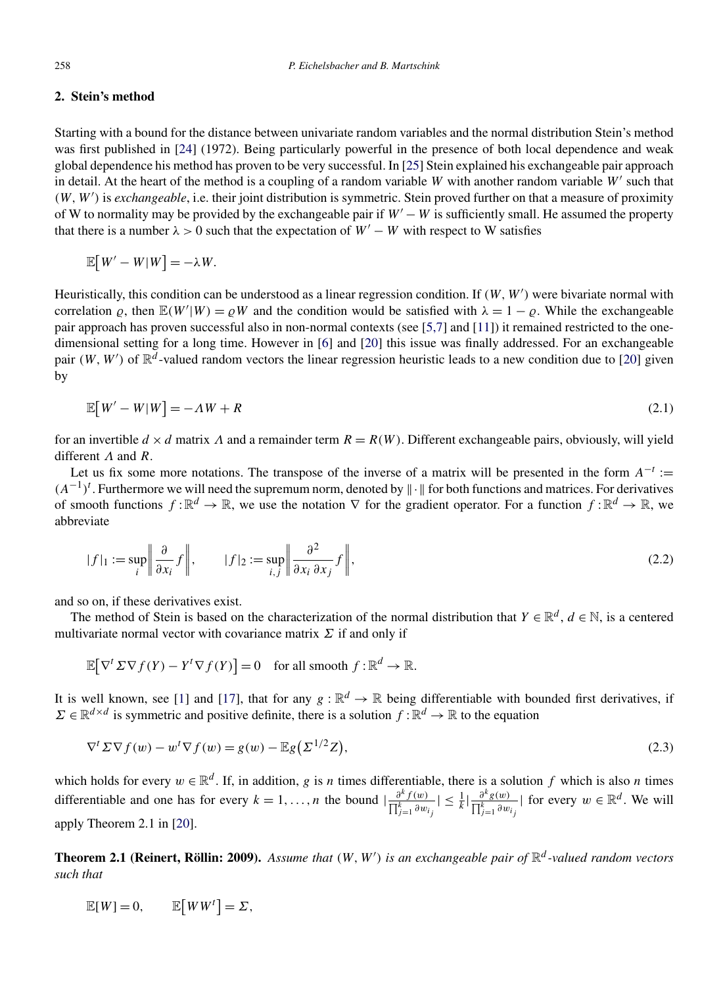## <span id="page-6-0"></span>**2. Stein's method**

Starting with a bound for the distance between univariate random variables and the normal distribution Stein's method was first published in [\[24\]](#page-30-0) (1972). Being particularly powerful in the presence of both local dependence and weak global dependence his method has proven to be very successful. In [\[25\]](#page-30-0) Stein explained his exchangeable pair approach in detail. At the heart of the method is a coupling of a random variable *W* with another random variable *W* such that *(W,W )* is *exchangeable*, i.e. their joint distribution is symmetric. Stein proved further on that a measure of proximity of W to normality may be provided by the exchangeable pair if *W* − *W* is sufficiently small. He assumed the property that there is a number  $\lambda > 0$  such that the expectation of  $W' - W$  with respect to W satisfies

$$
\mathbb{E}[W'-W|W] = -\lambda W.
$$

Heuristically, this condition can be understood as a linear regression condition. If *(W,W )* were bivariate normal with correlation  $\rho$ , then  $\mathbb{E}(W'|W) = \rho W$  and the condition would be satisfied with  $\lambda = 1 - \rho$ . While the exchangeable pair approach has proven successful also in non-normal contexts (see [\[5,7\]](#page-29-0) and [\[11\]](#page-29-0)) it remained restricted to the onedimensional setting for a long time. However in [\[6\]](#page-29-0) and [\[20\]](#page-30-0) this issue was finally addressed. For an exchangeable pair *(W, W')* of  $\mathbb{R}^d$ -valued random vectors the linear regression heuristic leads to a new condition due to [\[20\]](#page-30-0) given by

$$
\mathbb{E}[W'-W|W] = -\Lambda W + R \tag{2.1}
$$

for an invertible  $d \times d$  matrix  $\Lambda$  and a remainder term  $R = R(W)$ . Different exchangeable pairs, obviously, will yield different *Λ* and *R*.

Let us fix some more notations. The transpose of the inverse of a matrix will be presented in the form  $A^{-t}$  :=  $(A^{-1})^t$ . Furthermore we will need the supremum norm, denoted by  $\|\cdot\|$  for both functions and matrices. For derivatives of smooth functions  $f : \mathbb{R}^d \to \mathbb{R}$ , we use the notation  $\nabla$  for the gradient operator. For a function  $f : \mathbb{R}^d \to \mathbb{R}$ , we abbreviate

$$
|f|_1 := \sup_i \left\| \frac{\partial}{\partial x_i} f \right\|, \qquad |f|_2 := \sup_{i,j} \left\| \frac{\partial^2}{\partial x_i \partial x_j} f \right\|, \tag{2.2}
$$

and so on, if these derivatives exist.

The method of Stein is based on the characterization of the normal distribution that  $Y \in \mathbb{R}^d$ ,  $d \in \mathbb{N}$ , is a centered multivariate normal vector with covariance matrix *Σ* if and only if

$$
\mathbb{E}[\nabla^t \Sigma \nabla f(Y) - Y^t \nabla f(Y)] = 0 \quad \text{for all smooth } f: \mathbb{R}^d \to \mathbb{R}.
$$

It is well known, see [\[1\]](#page-29-0) and [\[17\]](#page-30-0), that for any  $g : \mathbb{R}^d \to \mathbb{R}$  being differentiable with bounded first derivatives, if  $\Sigma \in \mathbb{R}^{d \times d}$  is symmetric and positive definite, there is a solution  $f : \mathbb{R}^d \to \mathbb{R}$  to the equation

$$
\nabla^t \Sigma \nabla f(w) - w^t \nabla f(w) = g(w) - \mathbb{E}g(\Sigma^{1/2}Z),\tag{2.3}
$$

which holds for every  $w \in \mathbb{R}^d$ . If, in addition, *g* is *n* times differentiable, there is a solution *f* which is also *n* times differentiable and one has for every *k* = 1, ..., *n* the bound  $|\frac{\partial^k f(w)}{\prod_{j=1}^k \partial w_{i_j}}|$  $| \leq \frac{1}{k} |\frac{\partial^k g(w)}{\prod_{j=1}^k \partial w_{ij}}|$  for every  $w \in \mathbb{R}^d$ . We will apply Theorem 2.1 in [\[20\]](#page-30-0).

**Theorem 2.1 (Reinert, Röllin: 2009).** *Assume that (W,W ) is an exchangeable pair of* R*<sup>d</sup> -valued random vectors such that*

$$
\mathbb{E}[W] = 0, \qquad \mathbb{E}[WW^t] = \Sigma,
$$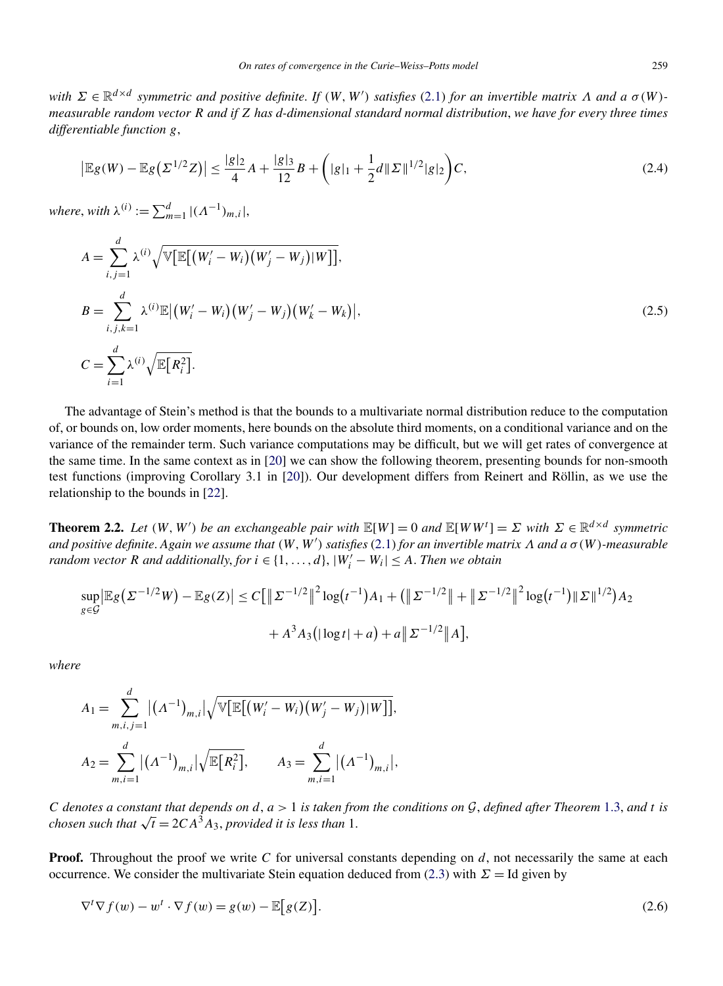<span id="page-7-0"></span>*with Σ* ∈ R*d*×*<sup>d</sup> symmetric and positive definite*. *If (W,W ) satisfies* [\(2.1\)](#page-6-0) *for an invertible matrix Λ and a σ (W ) measurable random vector R and if Z has d-dimensional standard normal distribution*, *we have for every three times differentiable function g*,

$$
\left| \mathbb{E}g(W) - \mathbb{E}g(\Sigma^{1/2}Z) \right| \le \frac{|g|_2}{4}A + \frac{|g|_3}{12}B + \left( |g|_1 + \frac{1}{2}d\|\Sigma\|^{1/2}|g|_2 \right)C,\tag{2.4}
$$

 $where, with \ \lambda^{(i)} := \sum_{m=1}^{d} |(\Lambda^{-1})_{m,i}|,$ 

$$
A = \sum_{i,j=1}^{d} \lambda^{(i)} \sqrt{\mathbb{V}[\mathbb{E}[(W'_{i} - W_{i})(W'_{j} - W_{j})|W]],}
$$
  
\n
$$
B = \sum_{i,j,k=1}^{d} \lambda^{(i)} \mathbb{E}[(W'_{i} - W_{i})(W'_{j} - W_{j})(W'_{k} - W_{k})],
$$
  
\n
$$
C = \sum_{i=1}^{d} \lambda^{(i)} \sqrt{\mathbb{E}[R_{i}^{2}].}
$$
\n(2.5)

The advantage of Stein's method is that the bounds to a multivariate normal distribution reduce to the computation of, or bounds on, low order moments, here bounds on the absolute third moments, on a conditional variance and on the variance of the remainder term. Such variance computations may be difficult, but we will get rates of convergence at the same time. In the same context as in [\[20\]](#page-30-0) we can show the following theorem, presenting bounds for non-smooth test functions (improving Corollary 3.1 in [\[20\]](#page-30-0)). Our development differs from Reinert and Röllin, as we use the relationship to the bounds in [\[22\]](#page-30-0).

**Theorem 2.2.** Let  $(W, W')$  be an exchangeable pair with  $\mathbb{E}[W] = 0$  and  $\mathbb{E}[WW^t] = \Sigma$  with  $\Sigma \in \mathbb{R}^{d \times d}$  symmetric *and positive definite*. *Again we assume that (W,W ) satisfies* [\(2.1\)](#page-6-0) *for an invertible matrix Λ and a σ (W )-measurable random vector R and additionally, for*  $i \in \{1, ..., d\}$ ,  $|W'_i - W_i| \leq A$ . *Then we obtain* 

$$
\sup_{g \in \mathcal{G}} \left| \mathbb{E}g(\Sigma^{-1/2}W) - \mathbb{E}g(Z) \right| \le C \left[ \left\| \Sigma^{-1/2} \right\|^2 \log(t^{-1}) A_1 + \left( \left\| \Sigma^{-1/2} \right\| + \left\| \Sigma^{-1/2} \right\|^2 \log(t^{-1}) \|\Sigma\|^{1/2} \right) A_2 \right. \\ \left. + A^3 A_3 \left( |\log t| + a \right) + a \left\| \Sigma^{-1/2} \right\| A \right],
$$

*where*

$$
A_1 = \sum_{m,i,j=1}^d |(\Lambda^{-1})_{m,i}| \sqrt{\mathbb{V}[\mathbb{E}[(W_i'-W_i)(W_j'-W_j)|W]]},
$$
  

$$
A_2 = \sum_{m,i=1}^d |(\Lambda^{-1})_{m,i}| \sqrt{\mathbb{E}[R_i^2]}, \qquad A_3 = \sum_{m,i=1}^d |(\Lambda^{-1})_{m,i}|,
$$

*C* denotes a constant that depends on  $d$ ,  $a > 1$  is taken from the conditions on  $G$ , defined after Theorem [1.3,](#page-3-0) and t is *chosen such that*  $\sqrt{t} = 2CA^3A_3$ , *provided it is less than* 1.

**Proof.** Throughout the proof we write *C* for universal constants depending on *d*, not necessarily the same at each occurrence. We consider the multivariate Stein equation deduced from [\(2.3\)](#page-6-0) with  $\Sigma = Id$  given by

$$
\nabla^t \nabla f(w) - w^t \cdot \nabla f(w) = g(w) - \mathbb{E}[g(Z)].
$$
\n(2.6)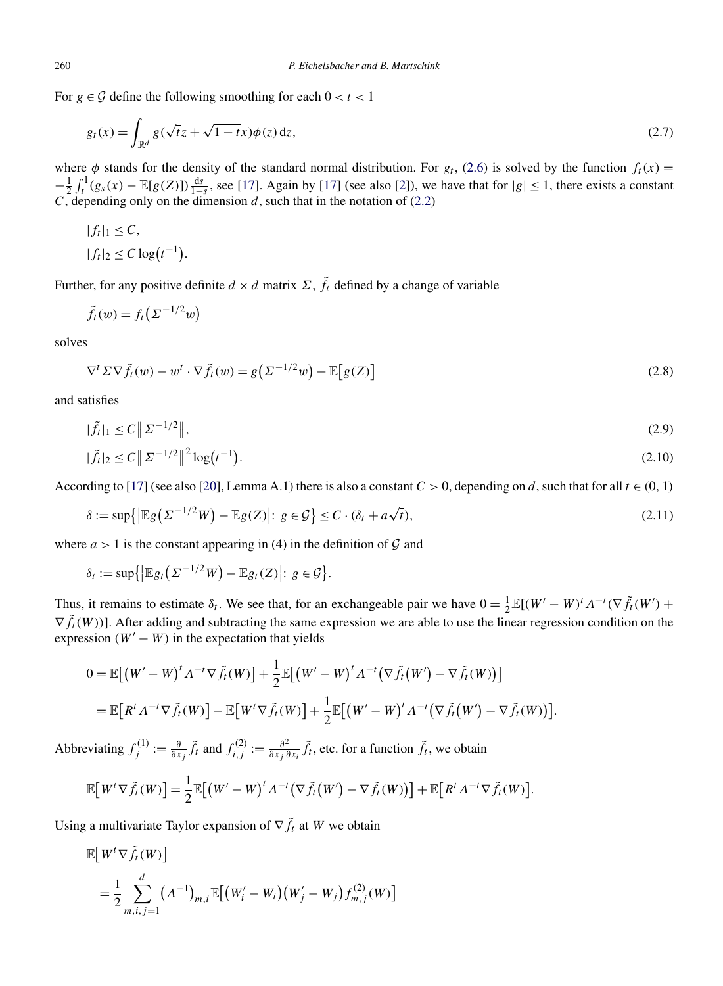For  $g \in \mathcal{G}$  define the following smoothing for each  $0 < t < 1$ 

$$
g_t(x) = \int_{\mathbb{R}^d} g(\sqrt{t}z + \sqrt{1-t}x)\phi(z) dz,
$$
\n(2.7)

where  $\phi$  stands for the density of the standard normal distribution. For  $g_t$ , [\(2.6\)](#page-7-0) is solved by the function  $f_t(x) =$  $-\frac{1}{2}\int_t^1(g_s(x)-\mathbb{E}[g(Z)])\frac{ds}{1-s}$ , see [\[17\]](#page-30-0). Again by [17] (see also [\[2\]](#page-29-0)), we have that for  $|g| \leq 1$ , there exists a constant *C*, depending only on the dimension *d*, such that in the notation of [\(2.2\)](#page-6-0)

$$
|f_t|_1 \leq C,
$$
  

$$
|f_t|_2 \leq C \log(t^{-1}).
$$

Further, for any positive definite  $d \times d$  matrix  $\Sigma$ ,  $\tilde{f}_t$  defined by a change of variable

$$
\tilde{f}_t(w) = f_t\big(\Sigma^{-1/2}w\big)
$$

solves

$$
\nabla^t \Sigma \nabla \tilde{f}_t(w) - w^t \cdot \nabla \tilde{f}_t(w) = g\left(\Sigma^{-1/2} w\right) - \mathbb{E}\big[g(Z)\big] \tag{2.8}
$$

and satisfies

$$
|\tilde{f}_t|_1 \le C \|\Sigma^{-1/2}\|,\tag{2.9}
$$

$$
|\tilde{f}_t|_2 \le C \left\| \Sigma^{-1/2} \right\|^2 \log(t^{-1}).
$$
\n(2.10)

According to [\[17\]](#page-30-0) (see also [\[20\]](#page-30-0), Lemma A.1) there is also a constant  $C > 0$ , depending on *d*, such that for all  $t \in (0, 1)$ 

$$
\delta := \sup\{|\mathbb{E}g(\Sigma^{-1/2}W) - \mathbb{E}g(Z)|: \ g \in \mathcal{G}\} \le C \cdot (\delta_t + a\sqrt{t}),\tag{2.11}
$$

where  $a > 1$  is the constant appearing in (4) in the definition of  $\mathcal G$  and

$$
\delta_t := \sup\bigl\{\bigl| \mathbb{E} g_t\bigl(\Sigma^{-1/2}W\bigr) - \mathbb{E} g_t(Z)\bigr|: \, g \in \mathcal{G}\bigr\}.
$$

Thus, it remains to estimate  $\delta_t$ . We see that, for an exchangeable pair we have  $0 = \frac{1}{2} \mathbb{E}[(W' - W)^t A^{-t} (\nabla \tilde{f}_t(W') +$  $\nabla \tilde{f}_t(W)$ ]. After adding and subtracting the same expression we are able to use the linear regression condition on the expression  $(W' - W)$  in the expectation that yields

$$
0 = \mathbb{E}[(W'-W)^t \Lambda^{-t} \nabla \tilde{f}_t(W)] + \frac{1}{2} \mathbb{E}[(W'-W)^t \Lambda^{-t} (\nabla \tilde{f}_t(W') - \nabla \tilde{f}_t(W))]
$$
  
= 
$$
\mathbb{E}[R^t \Lambda^{-t} \nabla \tilde{f}_t(W)] - \mathbb{E}[W^t \nabla \tilde{f}_t(W)] + \frac{1}{2} \mathbb{E}[(W'-W)^t \Lambda^{-t} (\nabla \tilde{f}_t(W') - \nabla \tilde{f}_t(W))].
$$

Abbreviating  $f_j^{(1)} := \frac{\partial}{\partial x_j} \tilde{f}_t$  and  $f_{i,j}^{(2)} := \frac{\partial^2}{\partial x_j \partial x_i} \tilde{f}_t$ , etc. for a function  $\tilde{f}_t$ , we obtain

$$
\mathbb{E}\big[W^t\nabla \tilde{f}_t(W)\big] = \frac{1}{2}\mathbb{E}\big[\big(W'-W\big)^t\Lambda^{-t}\big(\nabla \tilde{f}_t(W') - \nabla \tilde{f}_t(W)\big)\big] + \mathbb{E}\big[R^t\Lambda^{-t}\nabla \tilde{f}_t(W)\big].
$$

Using a multivariate Taylor expansion of  $\nabla \tilde{f}_t$  at *W* we obtain

$$
\mathbb{E}[W^t \nabla \tilde{f}_t(W)]
$$
  
=  $\frac{1}{2} \sum_{m,i,j=1}^d (A^{-1})_{m,i} \mathbb{E}[(W_i' - W_i)(W_j' - W_j) f_{m,j}^{(2)}(W)]$ 

<span id="page-8-0"></span>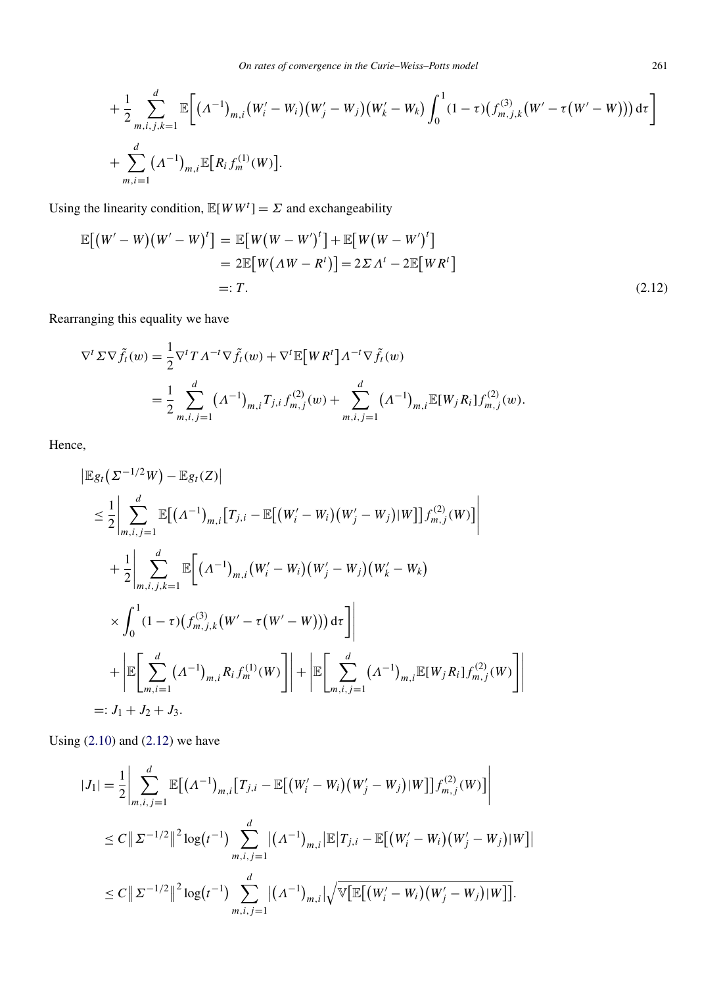$$
+\frac{1}{2}\sum_{m,i,j,k=1}^d \mathbb{E}\bigg[\big(A^{-1}\big)_{m,i}\big(W_i'-W_i\big)\big(W_j'-W_j\big)\big(W_k'-W_k\big)\int_0^1 (1-\tau)\big(f_{m,j,k}^{(3)}\big(W'-\tau\big(W'-W\big)\big)\big)\,d\tau\bigg] + \sum_{m,i=1}^d \big(A^{-1}\big)_{m,i}\mathbb{E}\big[R_if_m^{(1)}(W)\big].
$$

Using the linearity condition,  $\mathbb{E}[WW^t] = \Sigma$  and exchangeability

$$
\mathbb{E}[(W'-W)(W'-W)^t] = \mathbb{E}[W(W-W')^t] + \mathbb{E}[W(W-W')^t]
$$
  
= 2\mathbb{E}[W(\Lambda W - R^t)] = 2\Sigma \Lambda^t - 2\mathbb{E}[WR^t]  
=: T. (2.12)

Rearranging this equality we have

$$
\nabla^t \Sigma \nabla \tilde{f}_t(w) = \frac{1}{2} \nabla^t T A^{-t} \nabla \tilde{f}_t(w) + \nabla^t \mathbb{E} \big[ W R^t \big] A^{-t} \nabla \tilde{f}_t(w)
$$
  
= 
$$
\frac{1}{2} \sum_{m,i,j=1}^d (A^{-1})_{m,i} T_{j,i} f_{m,j}^{(2)}(w) + \sum_{m,i,j=1}^d (A^{-1})_{m,i} \mathbb{E} [W_j R_i] f_{m,j}^{(2)}(w).
$$

Hence,

 $\overline{\phantom{a}}$ 

$$
\begin{split}\n&\mathbb{E}g_{t}(\Sigma^{-1/2}W)-\mathbb{E}g_{t}(Z) \\
&\leq \frac{1}{2}\left|\sum_{m,i,j=1}^{d}\mathbb{E}\big[(\Lambda^{-1})_{m,i}\big[T_{j,i}-\mathbb{E}\big[(W'_{i}-W_{i})(W'_{j}-W_{j})|W\big]\big]f_{m,j}^{(2)}(W)\big]\right| \\
&+\frac{1}{2}\left|\sum_{m,i,j,k=1}^{d}\mathbb{E}\big[(\Lambda^{-1})_{m,i}(W'_{i}-W_{i})(W'_{j}-W_{j})(W'_{k}-W_{k})\right. \\
&\times\int_{0}^{1}(1-\tau)(f_{m,j,k}^{(3)}(W'-\tau(W'-W)))\,\mathrm{d}\tau\,\bigg]\right| \\
&+\left|\mathbb{E}\bigg[\sum_{m,i=1}^{d}(\Lambda^{-1})_{m,i}R_{i}f_{m}^{(1)}(W)\big]\right|+\left|\mathbb{E}\bigg[\sum_{m,i,j=1}^{d}(\Lambda^{-1})_{m,i}\mathbb{E}[W_{j}R_{i}]f_{m,j}^{(2)}(W)\big]\right| \\
&=:J_{1}+J_{2}+J_{3}.\n\end{split}
$$

Using  $(2.10)$  and  $(2.12)$  we have

$$
|J_{1}| = \frac{1}{2} \Bigg| \sum_{m,i,j=1}^{d} \mathbb{E}[(\Lambda^{-1})_{m,i} [T_{j,i} - \mathbb{E}[(W'_{i} - W_{i})(W'_{j} - W_{j})|W]]f_{m,j}^{(2)}(W)] \Bigg|
$$
  
\n
$$
\leq C \|\Sigma^{-1/2}\|^{2} \log(t^{-1}) \sum_{m,i,j=1}^{d} |(\Lambda^{-1})_{m,i}| \mathbb{E}[T_{j,i} - \mathbb{E}[(W'_{i} - W_{i})(W'_{j} - W_{j})|W]]
$$
  
\n
$$
\leq C \|\Sigma^{-1/2}\|^{2} \log(t^{-1}) \sum_{m,i,j=1}^{d} |(\Lambda^{-1})_{m,i}| \sqrt{\mathbb{V}[\mathbb{E}[(W'_{i} - W_{i})(W'_{j} - W_{j})|W]]}.
$$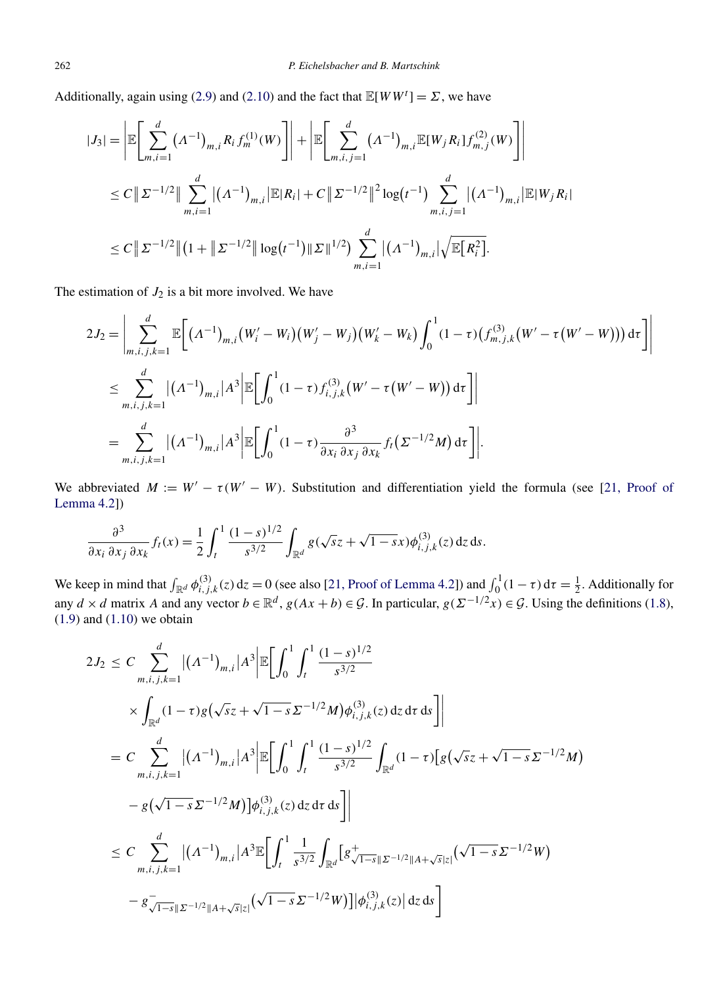Additionally, again using [\(2.9\)](#page-8-0) and [\(2.10\)](#page-8-0) and the fact that  $\mathbb{E}[WW^t] = \Sigma$ , we have

$$
|J_{3}| = \left| \mathbb{E} \left[ \sum_{m,i=1}^{d} (\Lambda^{-1})_{m,i} R_{i} f_{m}^{(1)}(W) \right] \right| + \left| \mathbb{E} \left[ \sum_{m,i,j=1}^{d} (\Lambda^{-1})_{m,i} \mathbb{E}[W_{j} R_{i}] f_{m,j}^{(2)}(W) \right] \right|
$$
  
\n
$$
\leq C \left\| \Sigma^{-1/2} \right\| \sum_{m,i=1}^{d} |(\Lambda^{-1})_{m,i}| \mathbb{E}|R_{i}| + C \left\| \Sigma^{-1/2} \right\|^{2} \log(t^{-1}) \sum_{m,i,j=1}^{d} |(\Lambda^{-1})_{m,i}| \mathbb{E}|W_{j} R_{i}|
$$
  
\n
$$
\leq C \left\| \Sigma^{-1/2} \right\| (1 + \left\| \Sigma^{-1/2} \right\| \log(t^{-1}) \left\| \Sigma \right\|^{1/2} ) \sum_{m,i=1}^{d} |(\Lambda^{-1})_{m,i}| \sqrt{\mathbb{E}[R_{i}^{2}]}.
$$

The estimation of  $J_2$  is a bit more involved. We have

$$
2J_2 = \left| \sum_{m,i,j,k=1}^d \mathbb{E}\bigg[ (\Lambda^{-1})_{m,i} (W_i' - W_i)(W_j' - W_j)(W_k' - W_k) \int_0^1 (1-\tau) (f_{m,j,k}^{(3)}(W' - \tau(W' - W))) d\tau \bigg] \right|
$$
  

$$
\leq \sum_{m,i,j,k=1}^d |(\Lambda^{-1})_{m,i}| A^3 \left| \mathbb{E}\bigg[ \int_0^1 (1-\tau) f_{i,j,k}^{(3)}(W' - \tau(W' - W)) d\tau \bigg] \right|
$$
  

$$
= \sum_{m,i,j,k=1}^d |(\Lambda^{-1})_{m,i}| A^3 \left| \mathbb{E}\bigg[ \int_0^1 (1-\tau) \frac{\partial^3}{\partial x_i \partial x_j \partial x_k} f_i(\Sigma^{-1/2}M) d\tau \bigg] \right|.
$$

We abbreviated  $M := W' - \tau(W' - W)$ . Substitution and differentiation yield the formula (see [\[21, Proof of](#page-30-0) [Lemma 4.2\]](#page-30-0))

$$
\frac{\partial^3}{\partial x_i \partial x_j \partial x_k} f_t(x) = \frac{1}{2} \int_t^1 \frac{(1-s)^{1/2}}{s^{3/2}} \int_{\mathbb{R}^d} g(\sqrt{s}z + \sqrt{1-s}x) \phi_{i,j,k}^{(3)}(z) dz ds.
$$

We keep in mind that  $\int_{\mathbb{R}^d} \phi_{i,j,k}^{(3)}(z) dz = 0$  (see also [\[21, Proof of Lemma 4.2\]](#page-30-0)) and  $\int_0^1 (1 - \tau) d\tau = \frac{1}{2}$ . Additionally for any  $d \times d$  matrix *A* and any vector  $b \in \mathbb{R}^d$ ,  $g(Ax + b) \in \mathcal{G}$ . In particular,  $g(\Sigma^{-1/2}x) \in \mathcal{G}$ . Using the definitions [\(1.8\)](#page-3-0),  $(1.9)$  and  $(1.10)$  we obtain

$$
2J_2 \leq C \sum_{m,i,j,k=1}^d |(\Lambda^{-1})_{m,i}|A^3| \mathbb{E} \Big[ \int_0^1 \int_t^1 \frac{(1-s)^{1/2}}{s^{3/2}} \times \int_{\mathbb{R}^d} (1-\tau)g(\sqrt{s}z + \sqrt{1-s}\Sigma^{-1/2}M)\phi_{i,j,k}^{(3)}(z) dz d\tau ds \Big] \Big|
$$
  
\n
$$
= C \sum_{m,i,j,k=1}^d |(\Lambda^{-1})_{m,i}|A^3| \mathbb{E} \Big[ \int_0^1 \int_t^1 \frac{(1-s)^{1/2}}{s^{3/2}} \int_{\mathbb{R}^d} (1-\tau) [g(\sqrt{s}z + \sqrt{1-s}\Sigma^{-1/2}M) - g(\sqrt{1-s}\Sigma^{-1/2}M)]\phi_{i,j,k}^{(3)}(z) dz d\tau ds \Big] \Big|
$$
  
\n
$$
\leq C \sum_{m,i,j,k=1}^d |(\Lambda^{-1})_{m,i}|A^3 \mathbb{E} \Big[ \int_t^1 \frac{1}{s^{3/2}} \int_{\mathbb{R}^d} [g^+_{\sqrt{1-s}||\Sigma^{-1/2}||A+\sqrt{s}|z|} (\sqrt{1-s}\Sigma^{-1/2}W) - g^-_{\sqrt{1-s}||\Sigma^{-1/2}||A+\sqrt{s}|z|} (\sqrt{1-s}\Sigma^{-1/2}W) \Big] |\phi_{i,j,k}^{(3)}(z)| dz ds \Big]
$$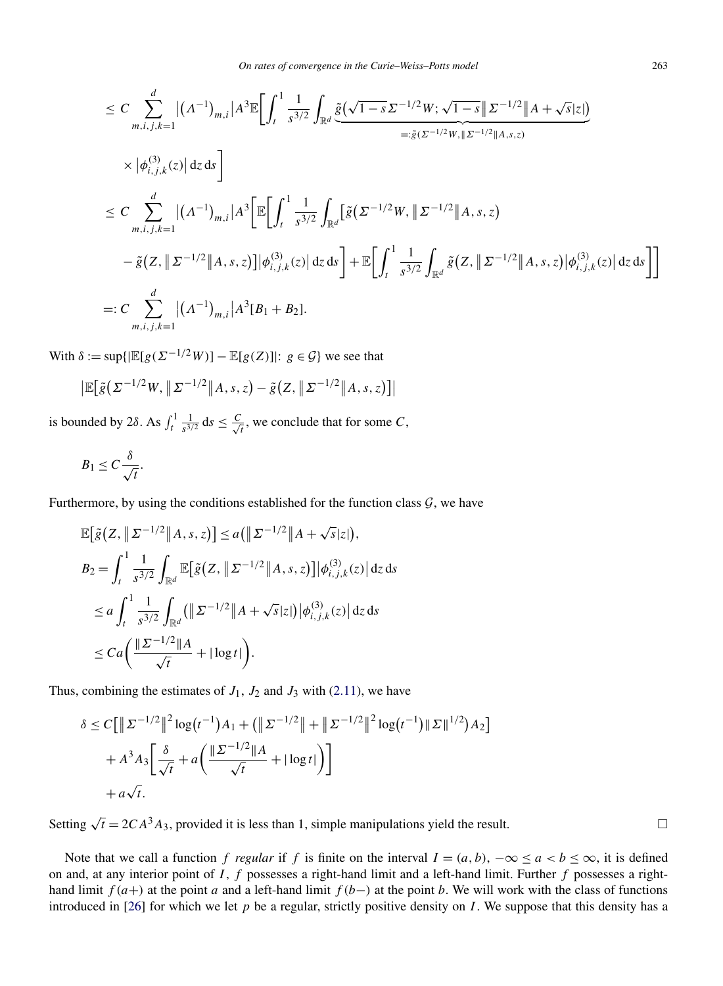$$
\leq C \sum_{m,i,j,k=1}^{d} |(A^{-1})_{m,i}| A^{3} \mathbb{E} \Biggl[ \int_{t}^{1} \frac{1}{s^{3/2}} \int_{\mathbb{R}^{d}} \frac{\tilde{g}(\sqrt{1-s} \Sigma^{-1/2} W; \sqrt{1-s} \|\Sigma^{-1/2} \|A + \sqrt{s}|z|)}{=: \tilde{g}(\Sigma^{-1/2} W, \|\Sigma^{-1/2} \|A, s, z)} \times |\phi_{i,j,k}^{(3)}(z)| dz ds \Biggr] \leq C \sum_{m,i,j,k=1}^{d} |(A^{-1})_{m,i}| A^{3} \Biggl[ \mathbb{E} \Biggl[ \int_{t}^{1} \frac{1}{s^{3/2}} \int_{\mathbb{R}^{d}} [\tilde{g}(\Sigma^{-1/2} W, \|\Sigma^{-1/2} \|A, s, z) - \tilde{g}(Z, \|\Sigma^{-1/2} \|A, s, z)] |\phi_{i,j,k}^{(3)}(z)| dz ds \Biggr] + \mathbb{E} \Biggl[ \int_{t}^{1} \frac{1}{s^{3/2}} \int_{\mathbb{R}^{d}} \tilde{g}(Z, \|\Sigma^{-1/2} \|A, s, z)| \phi_{i,j,k}^{(3)}(z) | dz ds \Biggr] \Biggr] \leq: C \sum_{m,i,j,k=1}^{d} |(A^{-1})_{m,i}| A^{3} [B_{1} + B_{2}].
$$

With  $\delta := \sup\{|\mathbb{E}[g(\Sigma^{-1/2}W)] - \mathbb{E}[g(Z)]|: g \in \mathcal{G}\}\$ we see that

$$
\left| \mathbb{E} \big[ \tilde{g} \big( \Sigma^{-1/2} W, \| \Sigma^{-1/2} \| A, s, z \big) - \tilde{g} \big( Z, \| \Sigma^{-1/2} \| A, s, z \big) \right] \right|
$$

is bounded by 2*δ*. As  $\int_{t}^{1} \frac{1}{s^{3/2}} ds \leq \frac{C}{\sqrt{2}}$  $\frac{1}{t}$ , we conclude that for some *C*,

$$
B_1 \leq C \frac{\delta}{\sqrt{t}}.
$$

 $\overline{\phantom{a}}$ 

Furthermore, by using the conditions established for the function class  $G$ , we have

$$
\mathbb{E}\big[\tilde{g}\big(Z, \|\Sigma^{-1/2}\|A, s, z\big)\big] \le a \big(\|\Sigma^{-1/2}\|A + \sqrt{s}|z|\big),
$$
\n
$$
B_2 = \int_t^1 \frac{1}{s^{3/2}} \int_{\mathbb{R}^d} \mathbb{E}\big[\tilde{g}\big(Z, \|\Sigma^{-1/2}\|A, s, z\big)\big] \big|\phi_{i,j,k}^{(3)}(z)\big| \,dz \,ds
$$
\n
$$
\le a \int_t^1 \frac{1}{s^{3/2}} \int_{\mathbb{R}^d} \big(\|\Sigma^{-1/2}\|A + \sqrt{s}|z|\big) \big|\phi_{i,j,k}^{(3)}(z)\big| \,dz \,ds
$$
\n
$$
\le Ca \bigg(\frac{\|\Sigma^{-1/2}\|A}{\sqrt{t}} + |\log t|\bigg).
$$

Thus, combining the estimates of  $J_1$ ,  $J_2$  and  $J_3$  with [\(2.11\)](#page-8-0), we have

$$
\delta \le C \Big[ \left\| \Sigma^{-1/2} \right\|^2 \log(t^{-1}) A_1 + \left( \left\| \Sigma^{-1/2} \right\| + \left\| \Sigma^{-1/2} \right\|^2 \log(t^{-1}) \|\Sigma\|^{1/2} \right) A_2 \Big] + A^3 A_3 \Big[ \frac{\delta}{\sqrt{t}} + a \Big( \frac{\|\Sigma^{-1/2}\|A}{\sqrt{t}} + |\log t| \Big) \Big] + a \sqrt{t}.
$$

Setting  $\sqrt{t} = 2CA^3A_3$ , provided it is less than 1, simple manipulations yield the result.

Note that we call a function *f* regular if *f* is finite on the interval  $I = (a, b)$ ,  $-\infty \le a < b \le \infty$ , it is defined on and, at any interior point of *I* , *f* possesses a right-hand limit and a left-hand limit. Further *f* possesses a righthand limit  $f(a+)$  at the point *a* and a left-hand limit  $f(b-)$  at the point *b*. We will work with the class of functions introduced in [\[26\]](#page-30-0) for which we let  $p$  be a regular, strictly positive density on  $I$ . We suppose that this density has a

 $\Box$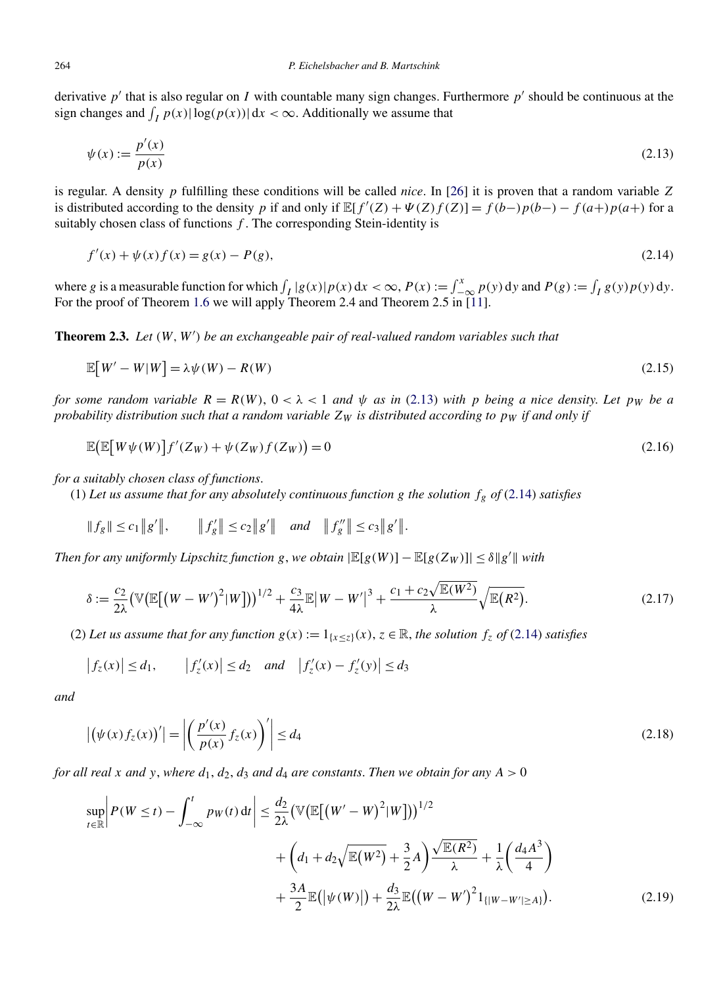<span id="page-12-0"></span>derivative  $p'$  that is also regular on *I* with countable many sign changes. Furthermore  $p'$  should be continuous at the sign changes and  $\int_I p(x) |\log(p(x))| dx < \infty$ . Additionally we assume that

$$
\psi(x) := \frac{p'(x)}{p(x)}\tag{2.13}
$$

is regular. A density *p* fulfilling these conditions will be called *nice*. In [\[26\]](#page-30-0) it is proven that a random variable *Z* is distributed according to the density *p* if and only if  $\mathbb{E}[f'(Z) + \Psi(Z)f(Z)] = f(b-)p(b-) - f(a+)p(a+)$  for a suitably chosen class of functions *f* . The corresponding Stein-identity is

$$
f'(x) + \psi(x)f(x) = g(x) - P(g),
$$
\n(2.14)

where *g* is a measurable function for which  $\int_I |g(x)| p(x) dx < \infty$ ,  $P(x) := \int_{-\infty}^x p(y) dy$  and  $P(g) := \int_I g(y) p(y) dy$ . For the proof of Theorem [1.6](#page-5-0) we will apply Theorem 2.4 and Theorem 2.5 in [\[11\]](#page-29-0).

**Theorem 2.3.** *Let (W,W ) be an exchangeable pair of real-valued random variables such that*

$$
\mathbb{E}[W'-W|W] = \lambda \psi(W) - R(W) \tag{2.15}
$$

*for some random variable*  $R = R(W)$ ,  $0 < \lambda < 1$  *and*  $\psi$  *as in* (2.13) *with p being a nice density*. Let *pw be a probability distribution such that a random variable*  $Z_W$  *is distributed according to p<sub>W</sub> if and only if* 

$$
\mathbb{E}\big(\mathbb{E}\big[W\psi(W)\big]f'(Z_W) + \psi(Z_W)f(Z_W)\big) = 0\tag{2.16}
$$

*for a suitably chosen class of functions*.

(1) Let us assume that for any absolutely continuous function  $g$  the solution  $f_g$  of (2.14) satisfies

$$
||f_g|| \le c_1 ||g'||
$$
,  $||f'_g|| \le c_2 ||g'||$  and  $||f''_g|| \le c_3 ||g'||$ .

*Then for any uniformly Lipschitz function g*, *we obtain*  $|\mathbb{E}[g(W)] - \mathbb{E}[g(Z_W)]| \le \delta ||g'||$  with

$$
\delta := \frac{c_2}{2\lambda} \left( \mathbb{V} \left( \mathbb{E} \left[ \left( W - W' \right)^2 | W \right] \right) \right)^{1/2} + \frac{c_3}{4\lambda} \mathbb{E} \left| W - W' \right|^3 + \frac{c_1 + c_2 \sqrt{\mathbb{E}(W^2)}}{\lambda} \sqrt{\mathbb{E}(R^2)} . \tag{2.17}
$$

(2) Let us assume that for any function  $g(x) := 1_{\{x \leq z\}}(x)$ ,  $z \in \mathbb{R}$ , the solution  $f_z$  of (2.14) satisfies

$$
\left|f_z(x)\right| \le d_1, \qquad \left|f'_z(x)\right| \le d_2 \quad \text{and} \quad \left|f'_z(x) - f'_z(y)\right| \le d_3
$$

*and*

$$
\left| \left( \psi(x) f_z(x) \right)' \right| = \left| \left( \frac{p'(x)}{p(x)} f_z(x) \right)' \right| \le d_4 \tag{2.18}
$$

*for all real x and y*, *where*  $d_1$ ,  $d_2$ ,  $d_3$  *and*  $d_4$  *are constants. Then we obtain for any*  $A > 0$ 

$$
\sup_{t \in \mathbb{R}} \left| P(W \le t) - \int_{-\infty}^{t} p_{W}(t) dt \right| \le \frac{d_2}{2\lambda} \left( \mathbb{V} \big( \mathbb{E} \big[ \big( W' - W \big)^2 | W \big] \big) \right)^{1/2} + \left( d_1 + d_2 \sqrt{\mathbb{E}(W^2)} + \frac{3}{2} A \right) \frac{\sqrt{\mathbb{E}(R^2)}}{\lambda} + \frac{1}{\lambda} \left( \frac{d_4 A^3}{4} \right) + \frac{3A}{2} \mathbb{E} \big( \big| \psi(W) \big| \big) + \frac{d_3}{2\lambda} \mathbb{E} \big( \big( W - W' \big)^2 \mathbb{1}_{\{ |W - W'| \ge A \}} \big). \tag{2.19}
$$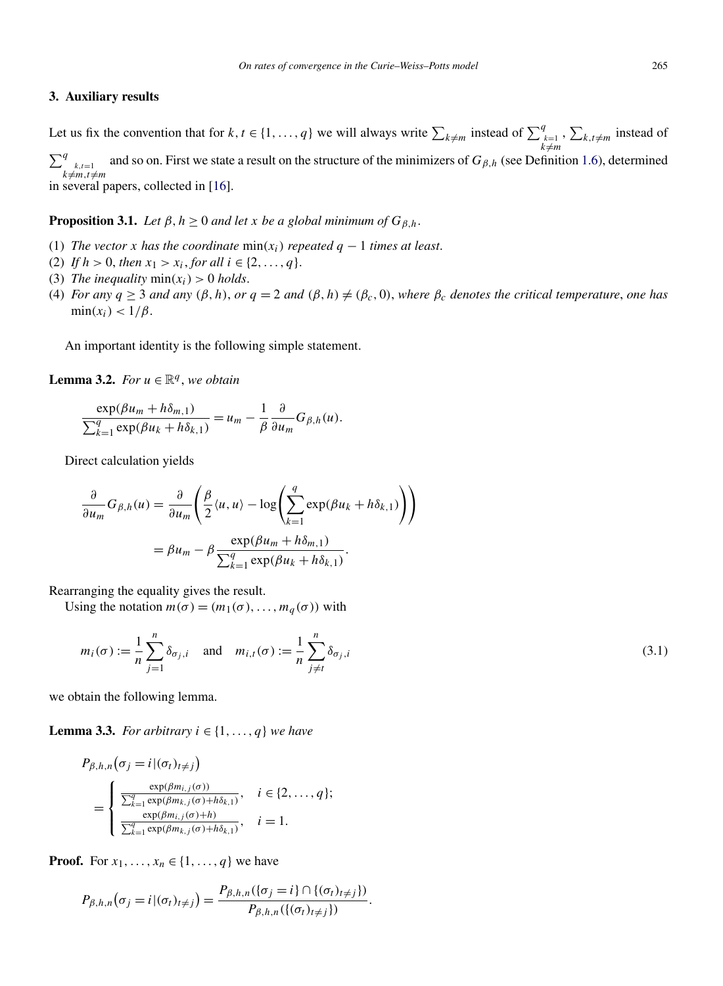#### <span id="page-13-0"></span>**3. Auxiliary results**

Let us fix the convention that for  $k, t \in \{1, ..., q\}$  we will always write  $\sum_{\substack{k \neq m \\ k \neq m}}$  instead of  $\sum_{\substack{k=1 \\ k \neq m}}^q$ ,  $\sum_{k,t\neq m}$  instead of  $\sum_{k \neq m, t \neq m}^{q}$ and so on. First we state a result on the structure of the minimizers of  $G_{\beta,h}$  (see Definition [1.6\)](#page-2-0), determined in several papers, collected in [\[16\]](#page-30-0).

**Proposition 3.1.** *Let*  $\beta$ ,  $h \geq 0$  *and let x be a global minimum of*  $G_{\beta,h}$ .

- (1) *The vector x has the coordinate*  $min(x_i)$  *repeated*  $q 1$  *times at least.*
- (2) *If*  $h > 0$ , *then*  $x_1 > x_i$ , *for all*  $i \in \{2, ..., q\}$ .
- (3) *The inequality*  $min(x_i) > 0$  *holds.*
- (4) *For any*  $q \ge 3$  *and any*  $(\beta, h)$ *, or*  $q = 2$  *and*  $(\beta, h) \ne (\beta_c, 0)$ *, where*  $\beta_c$  *denotes the critical temperature, one has*  $\min(x_i) < 1/\beta$ .

An important identity is the following simple statement.

**Lemma 3.2.** *For*  $u \in \mathbb{R}^q$ , *we obtain* 

$$
\frac{\exp(\beta u_m + h\delta_{m,1})}{\sum_{k=1}^q \exp(\beta u_k + h\delta_{k,1})} = u_m - \frac{1}{\beta} \frac{\partial}{\partial u_m} G_{\beta,h}(u).
$$

Direct calculation yields

$$
\frac{\partial}{\partial u_m} G_{\beta,h}(u) = \frac{\partial}{\partial u_m} \left( \frac{\beta}{2} \langle u, u \rangle - \log \left( \sum_{k=1}^q \exp(\beta u_k + h \delta_{k,1}) \right) \right)
$$

$$
= \beta u_m - \beta \frac{\exp(\beta u_m + h \delta_{m,1})}{\sum_{k=1}^q \exp(\beta u_k + h \delta_{k,1})}.
$$

Rearranging the equality gives the result.

Using the notation  $m(\sigma) = (m_1(\sigma), \ldots, m_q(\sigma))$  with

$$
m_i(\sigma) := \frac{1}{n} \sum_{j=1}^n \delta_{\sigma_j, i} \quad \text{and} \quad m_{i,t}(\sigma) := \frac{1}{n} \sum_{j \neq t}^n \delta_{\sigma_j, i}
$$
\n(3.1)

we obtain the following lemma.

**Lemma 3.3.** *For arbitrary*  $i \in \{1, ..., q\}$  *we have* 

$$
P_{\beta,h,n}(\sigma_j = i | (\sigma_t)_{t \neq j})
$$
  
= 
$$
\begin{cases} \frac{\exp(\beta m_{i,j}(\sigma))}{\sum_{k=1}^q \exp(\beta m_{k,j}(\sigma) + h\delta_{k,1})}, & i \in \{2, ..., q\}; \\ \frac{\exp(\beta m_{i,j}(\sigma) + h)}{\sum_{k=1}^q \exp(\beta m_{k,j}(\sigma) + h\delta_{k,1})}, & i = 1. \end{cases}
$$

**Proof.** For  $x_1, ..., x_n \in \{1, ..., q\}$  we have

$$
P_{\beta,h,n}(\sigma_j=i\,|\,(\sigma_t)_{t\neq j})=\frac{P_{\beta,h,n}(\{\sigma_j=i\}\cap\{(\sigma_t)_{t\neq j}\})}{P_{\beta,h,n}(\{(\sigma_t)_{t\neq j}\})}.
$$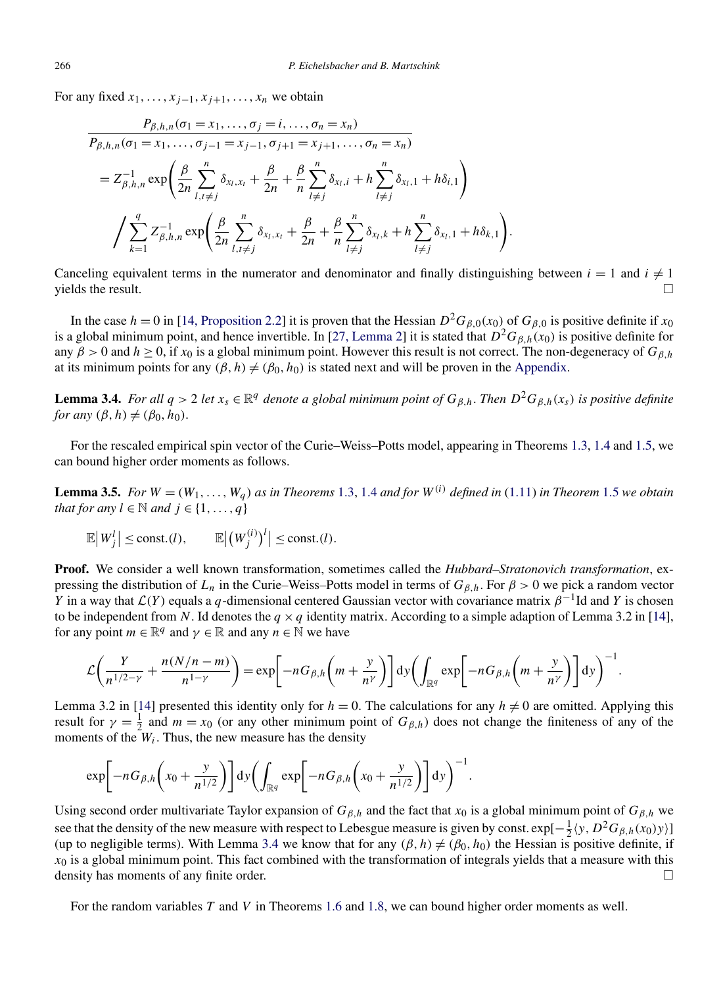<span id="page-14-0"></span>For any fixed  $x_1, \ldots, x_{i-1}, x_{i+1}, \ldots, x_n$  we obtain

$$
\frac{P_{\beta,h,n}(\sigma_1 = x_1, ..., \sigma_j = i, ..., \sigma_n = x_n)}{P_{\beta,h,n}(\sigma_1 = x_1, ..., \sigma_{j-1} = x_{j-1}, \sigma_{j+1} = x_{j+1}, ..., \sigma_n = x_n)}
$$
\n
$$
= Z_{\beta,h,n}^{-1} \exp\left(\frac{\beta}{2n} \sum_{l,t \neq j}^n \delta_{x_l,x_l} + \frac{\beta}{2n} + \frac{\beta}{n} \sum_{l \neq j}^n \delta_{x_l,i} + h \sum_{l \neq j}^n \delta_{x_l,1} + h \delta_{i,1}\right)
$$
\n
$$
\int \sum_{k=1}^q Z_{\beta,h,n}^{-1} \exp\left(\frac{\beta}{2n} \sum_{l,t \neq j}^n \delta_{x_l,x_l} + \frac{\beta}{2n} + \frac{\beta}{n} \sum_{l \neq j}^n \delta_{x_l,k} + h \sum_{l \neq j}^n \delta_{x_l,1} + h \delta_{k,1}\right).
$$

Canceling equivalent terms in the numerator and denominator and finally distinguishing between  $i = 1$  and  $i \neq 1$  $\Box$  yields the result.  $\Box$ 

In the case  $h = 0$  in [\[14, Proposition 2.2\]](#page-30-0) it is proven that the Hessian  $D^2G_{\beta}$ <sub>0</sub>(*x*<sub>0</sub>) of  $G_{\beta}$ <sup>0</sup> is positive definite if *x*<sub>0</sub> is a global minimum point, and hence invertible. In [\[27, Lemma 2\]](#page-30-0) it is stated that  $D^2G_{\beta,h}(x_0)$  is positive definite for any  $\beta > 0$  and  $h \ge 0$ , if  $x_0$  is a global minimum point. However this result is not correct. The non-degeneracy of  $G_{\beta,h}$ at its minimum points for any  $(\beta, h) \neq (\beta_0, h_0)$  is stated next and will be proven in the [Appendix.](#page-23-0)

**Lemma 3.4.** *For all*  $q > 2$  *let*  $x_s \in \mathbb{R}^q$  *denote a global minimum point of*  $G_{\beta,h}$ . *Then*  $D^2 G_{\beta,h}(x_s)$  *is positive definite for any*  $(\beta, h) \neq (\beta_0, h_0)$ .

For the rescaled empirical spin vector of the Curie–Weiss–Potts model, appearing in Theorems [1.3,](#page-3-0) [1.4](#page-4-0) and [1.5,](#page-4-0) we can bound higher order moments as follows.

**Lemma 3.5.** For  $W = (W_1, \ldots, W_a)$  as in Theorems [1.3,](#page-3-0) [1.4](#page-4-0) and for  $W^{(i)}$  defined in [\(1.11\)](#page-4-0) in Theorem [1.5](#page-4-0) we obtain *that for any*  $l \in \mathbb{N}$  *and*  $j \in \{1, ..., q\}$ 

$$
\mathbb{E}\big|W_j^l\big|\leq \text{const.}(l),\qquad \mathbb{E}\big|\big(W_j^{(i)}\big)^l\big|\leq \text{const.}(l).
$$

**Proof.** We consider a well known transformation, sometimes called the *Hubbard–Stratonovich transformation*, expressing the distribution of  $L_n$  in the Curie–Weiss–Potts model in terms of  $G_{\beta,h}$ . For  $\beta > 0$  we pick a random vector *Y* in a way that  $\mathcal{L}(Y)$  equals a *q*-dimensional centered Gaussian vector with covariance matrix  $\beta^{-1}$ Id and *Y* is chosen to be independent from N. Id denotes the  $q \times q$  identity matrix. According to a simple adaption of Lemma 3.2 in [\[14\]](#page-30-0), for any point  $m \in \mathbb{R}^q$  and  $\gamma \in \mathbb{R}$  and any  $n \in \mathbb{N}$  we have

$$
\mathcal{L}\bigg(\frac{Y}{n^{1/2-\gamma}}+\frac{n(N/n-m)}{n^{1-\gamma}}\bigg)=\exp\bigg[-nG_{\beta,h}\bigg(m+\frac{y}{n^{\gamma}}\bigg)\bigg]dy\bigg(\int_{\mathbb{R}^q}\exp\bigg[-nG_{\beta,h}\bigg(m+\frac{y}{n^{\gamma}}\bigg)\bigg]dy\bigg)^{-1}.
$$

Lemma 3.2 in [\[14\]](#page-30-0) presented this identity only for  $h = 0$ . The calculations for any  $h \neq 0$  are omitted. Applying this result for  $\gamma = \frac{1}{2}$  and  $m = x_0$  (or any other minimum point of  $G_{\beta,h}$ ) does not change the finiteness of any of the moments of the  $W_i$ . Thus, the new measure has the density

$$
\exp\bigg[-nG_{\beta,h}\bigg(x_0+\frac{y}{n^{1/2}}\bigg)\bigg]dy\bigg(\int_{\mathbb{R}^q}\exp\bigg[-nG_{\beta,h}\bigg(x_0+\frac{y}{n^{1/2}}\bigg)\bigg]dy\bigg)^{-1}.
$$

Using second order multivariate Taylor expansion of  $G_{\beta,h}$  and the fact that  $x_0$  is a global minimum point of  $G_{\beta,h}$  we see that the density of the new measure with respect to Lebesgue measure is given by const.  $\exp[-\frac{1}{2}\langle y, D^2G_{\beta,h}(x_0)y\rangle]$ (up to negligible terms). With Lemma 3.4 we know that for any  $(\beta, h) \neq (\beta_0, h_0)$  the Hessian is positive definite, if  $x<sub>0</sub>$  is a global minimum point. This fact combined with the transformation of integrals yields that a measure with this density has moments of any finite order.

For the random variables *T* and *V* in Theorems [1.6](#page-5-0) and [1.8,](#page-5-0) we can bound higher order moments as well.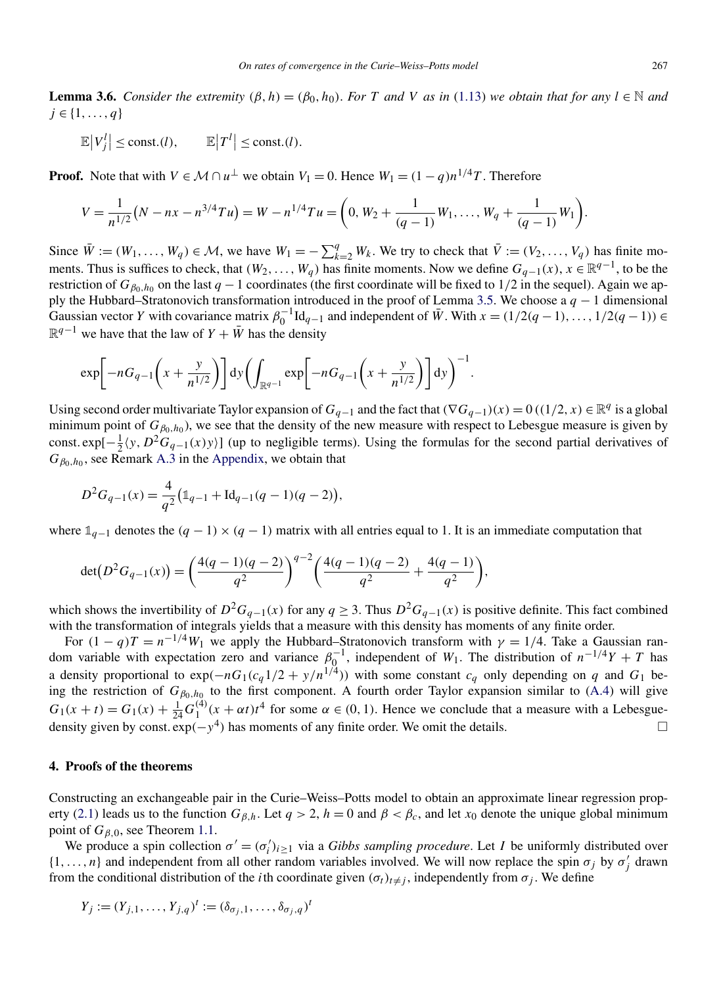<span id="page-15-0"></span>**Lemma 3.6.** *Consider the extremity*  $(\beta, h) = (\beta_0, h_0)$ *. For T* and *V* as in [\(1.13\)](#page-4-0) we obtain that for any  $l \in \mathbb{N}$  and *j* ∈ {1*,...,q*}

 $\mathbb{E}|V_j^l| \leq \text{const.}(l), \qquad \mathbb{E}|T^l| \leq \text{const.}(l).$ 

**Proof.** Note that with  $V \in \mathcal{M} \cap u^{\perp}$  we obtain  $V_1 = 0$ . Hence  $W_1 = (1 - q)n^{1/4}T$ . Therefore

$$
V = \frac{1}{n^{1/2}}(N - nx - n^{3/4}Tu) = W - n^{1/4}Tu = \left(0, W_2 + \frac{1}{(q-1)}W_1, \ldots, W_q + \frac{1}{(q-1)}W_1\right).
$$

Since  $\overline{W} := (W_1, \ldots, W_q) \in \mathcal{M}$ , we have  $W_1 = -\sum_{k=2}^q W_k$ . We try to check that  $\overline{V} := (V_2, \ldots, V_q)$  has finite moments. Thus is suffices to check, that  $(W_2, \ldots, W_q)$  has finite moments. Now we define  $G_{q-1}(x)$ ,  $x \in \mathbb{R}^{q-1}$ , to be the restriction of  $G_{\beta_0,h_0}$  on the last  $q-1$  coordinates (the first coordinate will be fixed to 1/2 in the sequel). Again we apply the Hubbard–Stratonovich transformation introduced in the proof of Lemma [3.5.](#page-14-0) We choose a *q* − 1 dimensional Gaussian vector *Y* with covariance matrix  $\beta_0^{-1} \text{Id}_{q-1}$  and independent of  $\bar{W}$ . With  $x = (1/2(q-1), \ldots, 1/2(q-1)) \in$  $\mathbb{R}^{q-1}$  we have that the law of *Y* +  $\bar{W}$  has the density

$$
\exp\bigg[-nG_{q-1}\bigg(x+\frac{y}{n^{1/2}}\bigg)\bigg]dy\bigg(\int_{\mathbb{R}^{q-1}}\exp\bigg[-nG_{q-1}\bigg(x+\frac{y}{n^{1/2}}\bigg)\bigg]dy\bigg)^{-1}.
$$

Using second order multivariate Taylor expansion of  $G_{q-1}$  and the fact that  $(\nabla G_{q-1})(x) = 0$  ((1/2*, x*) ∈  $\mathbb{R}^q$  is a global minimum point of  $G_{\beta_0,h_0}$ ), we see that the density of the new measure with respect to Lebesgue measure is given by const.  $exp[-\frac{1}{2}\langle y, D^2G_{q-1}(x)y\rangle]$  (up to negligible terms). Using the formulas for the second partial derivatives of  $G_{\beta_0, h_0}$ , see Remark [A.3](#page-25-0) in the [Appendix,](#page-23-0) we obtain that

$$
D^{2}G_{q-1}(x) = \frac{4}{q^{2}} \left( \mathbb{1}_{q-1} + \text{Id}_{q-1}(q-1)(q-2) \right),
$$

where  $\mathbb{1}_{q-1}$  denotes the  $(q-1) \times (q-1)$  matrix with all entries equal to 1. It is an immediate computation that

$$
\det(D^2 G_{q-1}(x)) = \left(\frac{4(q-1)(q-2)}{q^2}\right)^{q-2} \left(\frac{4(q-1)(q-2)}{q^2} + \frac{4(q-1)}{q^2}\right),
$$

which shows the invertibility of  $D^2G_{q-1}(x)$  for any  $q \geq 3$ . Thus  $D^2G_{q-1}(x)$  is positive definite. This fact combined with the transformation of integrals yields that a measure with this density has moments of any finite order.

For  $(1 - q)T = n^{-1/4}W_1$  we apply the Hubbard–Stratonovich transform with  $\gamma = 1/4$ . Take a Gaussian random variable with expectation zero and variance  $\beta_0^{-1}$ , independent of *W*<sub>1</sub>. The distribution of  $n^{-1/4}Y + T$  has a density proportional to  $\exp(-nG_1(c_q 1/2 + y/n^{1/4}))$  with some constant  $c_q$  only depending on *q* and  $G_1$  being the restriction of  $G_{\beta_0,h_0}$  to the first component. A fourth order Taylor expansion similar to [\(A.4\)](#page-26-0) will give  $G_1(x + t) = G_1(x) + \frac{1}{24}G_1^{(4)}(x + \alpha t)t^4$  for some  $\alpha \in (0, 1)$ . Hence we conclude that a measure with a Lebesguedensity given by const.  $exp(-y^4)$  has moments of any finite order. We omit the details.  $\Box$ 

#### **4. Proofs of the theorems**

Constructing an exchangeable pair in the Curie–Weiss–Potts model to obtain an approximate linear regression prop-erty [\(2.1\)](#page-6-0) leads us to the function  $G_{\beta,h}$ . Let  $q > 2$ ,  $h = 0$  and  $\beta < \beta_c$ , and let  $x_0$  denote the unique global minimum point of *Gβ,*0, see Theorem [1.1.](#page-2-0)

We produce a spin collection  $\sigma' = (\sigma'_i)_{i \geq 1}$  via a *Gibbs sampling procedure*. Let *I* be uniformly distributed over  $\{1,\ldots,n\}$  and independent from all other random variables involved. We will now replace the spin  $\sigma_j$  by  $\sigma'_j$  drawn from the conditional distribution of the *i*th coordinate given  $(\sigma_t)_{t \neq j}$ , independently from  $\sigma_j$ . We define

$$
Y_j := (Y_{j,1}, \ldots, Y_{j,q})^t := (\delta_{\sigma_j,1}, \ldots, \delta_{\sigma_j,q})^t
$$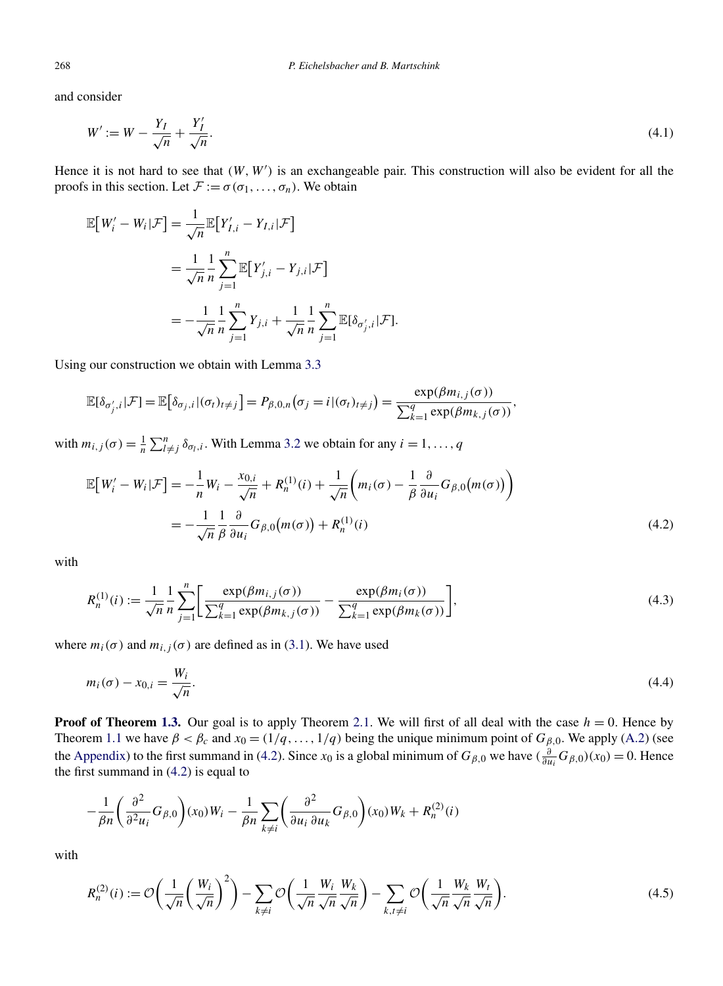and consider

$$
W' := W - \frac{Y_I}{\sqrt{n}} + \frac{Y_I'}{\sqrt{n}}.\tag{4.1}
$$

Hence it is not hard to see that  $(W, W')$  is an exchangeable pair. This construction will also be evident for all the proofs in this section. Let  $\mathcal{F} := \sigma(\sigma_1, \ldots, \sigma_n)$ . We obtain

$$
\mathbb{E}[W'_i - W_i | \mathcal{F}] = \frac{1}{\sqrt{n}} \mathbb{E}[Y'_{I,i} - Y_{I,i} | \mathcal{F}]
$$
  

$$
= \frac{1}{\sqrt{n}} \frac{1}{n} \sum_{j=1}^n \mathbb{E}[Y'_{j,i} - Y_{j,i} | \mathcal{F}]
$$
  

$$
= -\frac{1}{\sqrt{n}} \frac{1}{n} \sum_{j=1}^n Y_{j,i} + \frac{1}{\sqrt{n}} \frac{1}{n} \sum_{j=1}^n \mathbb{E}[\delta_{\sigma'_j,i} | \mathcal{F}].
$$

Using our construction we obtain with Lemma [3.3](#page-13-0)

$$
\mathbb{E}[\delta_{\sigma'_j,i}|\mathcal{F}] = \mathbb{E}[\delta_{\sigma_j,i}|(\sigma_t)_{t\neq j}] = P_{\beta,0,n}(\sigma_j = i | (\sigma_t)_{t\neq j}) = \frac{\exp(\beta m_{i,j}(\sigma))}{\sum_{k=1}^q \exp(\beta m_{k,j}(\sigma))},
$$

with  $m_{i,j}(\sigma) = \frac{1}{n} \sum_{l \neq j}^{n} \delta_{\sigma_l,i}$ . With Lemma [3.2](#page-13-0) we obtain for any  $i = 1, ..., q$ 

$$
\mathbb{E}\big[W'_i - W_i|\mathcal{F}\big] = -\frac{1}{n}W_i - \frac{x_{0,i}}{\sqrt{n}} + R_n^{(1)}(i) + \frac{1}{\sqrt{n}}\bigg(m_i(\sigma) - \frac{1}{\beta}\frac{\partial}{\partial u_i}G_{\beta,0}(m(\sigma))\bigg)
$$

$$
= -\frac{1}{\sqrt{n}}\frac{1}{\beta}\frac{\partial}{\partial u_i}G_{\beta,0}(m(\sigma)) + R_n^{(1)}(i)
$$
(4.2)

with

$$
R_n^{(1)}(i) := \frac{1}{\sqrt{n}} \frac{1}{n} \sum_{j=1}^n \left[ \frac{\exp(\beta m_{i,j}(\sigma))}{\sum_{k=1}^q \exp(\beta m_{k,j}(\sigma))} - \frac{\exp(\beta m_i(\sigma))}{\sum_{k=1}^q \exp(\beta m_k(\sigma))} \right],
$$
(4.3)

where  $m_i(\sigma)$  and  $m_{i,j}(\sigma)$  are defined as in [\(3.1\)](#page-13-0). We have used

$$
m_i(\sigma) - x_{0,i} = \frac{W_i}{\sqrt{n}}.\tag{4.4}
$$

**Proof of Theorem [1.3.](#page-3-0)** Our goal is to apply Theorem [2.1.](#page-6-0) We will first of all deal with the case  $h = 0$ . Hence by Theorem [1.1](#page-2-0) we have  $\beta < \beta_c$  and  $x_0 = (1/q, ..., 1/q)$  being the unique minimum point of  $G_{\beta,0}$ . We apply [\(A.2\)](#page-24-0) (see the [Appendix\)](#page-23-0) to the first summand in (4.2). Since  $x_0$  is a global minimum of  $G_{\beta,0}$  we have  $(\frac{\partial}{\partial u_i}G_{\beta,0})(x_0) = 0$ . Hence the first summand in (4.2) is equal to

$$
-\frac{1}{\beta n}\left(\frac{\partial^2}{\partial^2 u_i}G_{\beta,0}\right)(x_0)W_i-\frac{1}{\beta n}\sum_{k\neq i}\left(\frac{\partial^2}{\partial u_i \partial u_k}G_{\beta,0}\right)(x_0)W_k+R_n^{(2)}(i)
$$

with

$$
R_n^{(2)}(i) := \mathcal{O}\left(\frac{1}{\sqrt{n}}\left(\frac{W_i}{\sqrt{n}}\right)^2\right) - \sum_{k \neq i} \mathcal{O}\left(\frac{1}{\sqrt{n}}\frac{W_i}{\sqrt{n}}\frac{W_k}{\sqrt{n}}\right) - \sum_{k,t \neq i} \mathcal{O}\left(\frac{1}{\sqrt{n}}\frac{W_k}{\sqrt{n}}\frac{W_t}{\sqrt{n}}\right). \tag{4.5}
$$

<span id="page-16-0"></span>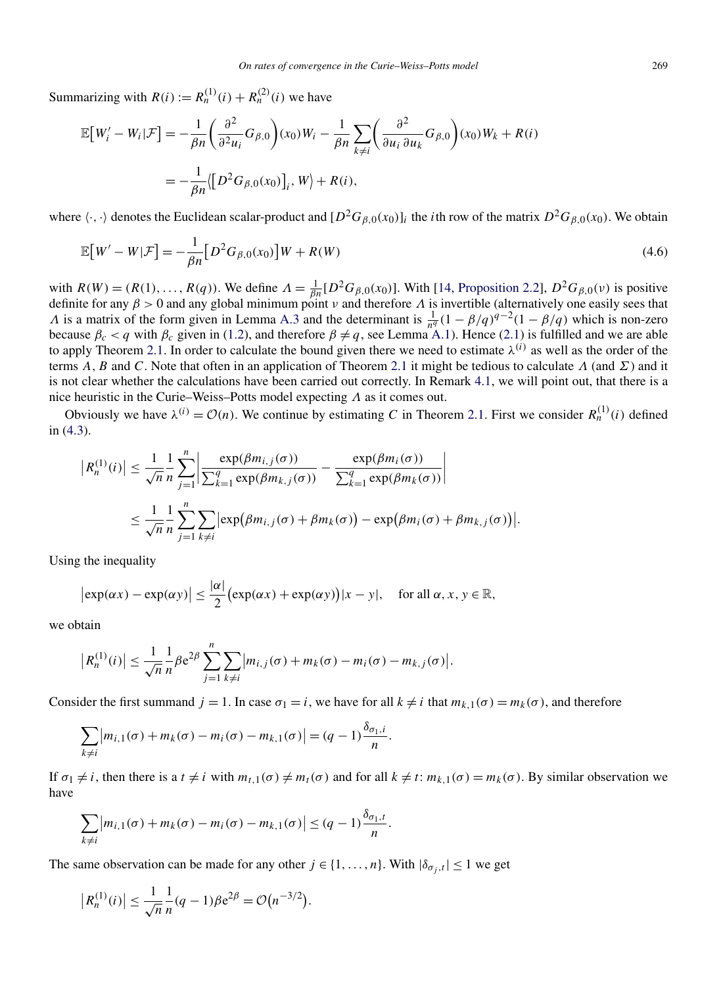Summarizing with  $R(i) := R_n^{(1)}(i) + R_n^{(2)}(i)$  we have

$$
\mathbb{E}\big[W'_i - W_i | \mathcal{F}\big] = -\frac{1}{\beta n} \left(\frac{\partial^2}{\partial^2 u_i} G_{\beta,0}\right) (x_0) W_i - \frac{1}{\beta n} \sum_{k \neq i} \left(\frac{\partial^2}{\partial u_i \partial u_k} G_{\beta,0}\right) (x_0) W_k + R(i)
$$
  
= 
$$
-\frac{1}{\beta n} \langle \big[D^2 G_{\beta,0}(x_0)\big]_i, W \rangle + R(i),
$$

where  $\langle \cdot, \cdot \rangle$  denotes the Euclidean scalar-product and  $[D^2G_{\beta,0}(x_0)]_i$  the *i*th row of the matrix  $D^2G_{\beta,0}(x_0)$ . We obtain

$$
\mathbb{E}\big[W'-W|\mathcal{F}\big] = -\frac{1}{\beta n} \big[D^2 G_{\beta,0}(x_0)\big] W + R(W) \tag{4.6}
$$

with  $R(W) = (R(1), ..., R(q))$ . We define  $\Lambda = \frac{1}{\beta n} [D^2 G_{\beta,0}(x_0)]$ . With [\[14, Proposition 2.2\]](#page-30-0),  $D^2 G_{\beta,0}(v)$  is positive definite for any *β >* 0 and any global minimum point *ν* and therefore *Λ* is invertible (alternatively one easily sees that *Λ* is a matrix of the form given in Lemma [A.3](#page-25-0) and the determinant is  $\frac{1}{n^q}(1 - \beta/q)^{q-2}(1 - \beta/q)$  which is non-zero because  $\beta_c < q$  with  $\beta_c$  given in [\(1.2\)](#page-1-0), and therefore  $\beta \neq q$ , see Lemma [A.1\)](#page-24-0). Hence [\(2.1\)](#page-6-0) is fulfilled and we are able to apply Theorem [2.1.](#page-6-0) In order to calculate the bound given there we need to estimate  $\lambda^{(i)}$  as well as the order of the terms *A,B* and *C*. Note that often in an application of Theorem [2.1](#page-6-0) it might be tedious to calculate *Λ* (and *Σ*) and it is not clear whether the calculations have been carried out correctly. In Remark [4.1,](#page-20-0) we will point out, that there is a nice heuristic in the Curie–Weiss–Potts model expecting *Λ* as it comes out.

Obviously we have  $\lambda^{(i)} = \mathcal{O}(n)$ . We continue by estimating *C* in Theorem [2.1.](#page-6-0) First we consider  $R_n^{(1)}(i)$  defined in [\(4.3\)](#page-16-0).

$$
\left| R_n^{(1)}(i) \right| \leq \frac{1}{\sqrt{n}} \frac{1}{n} \sum_{j=1}^n \left| \frac{\exp(\beta m_{i,j}(\sigma))}{\sum_{k=1}^q \exp(\beta m_{k,j}(\sigma))} - \frac{\exp(\beta m_i(\sigma))}{\sum_{k=1}^q \exp(\beta m_k(\sigma))} \right|
$$
  

$$
\leq \frac{1}{\sqrt{n}} \frac{1}{n} \sum_{j=1}^n \sum_{k \neq i} \left| \exp(\beta m_{i,j}(\sigma) + \beta m_k(\sigma)) - \exp(\beta m_i(\sigma) + \beta m_{k,j}(\sigma)) \right|.
$$

Using the inequality

$$
|\exp(\alpha x) - \exp(\alpha y)| \le \frac{|\alpha|}{2} (\exp(\alpha x) + \exp(\alpha y)) |x - y|
$$
, for all  $\alpha, x, y \in \mathbb{R}$ ,

we obtain

$$
\left| R_n^{(1)}(i) \right| \leq \frac{1}{\sqrt{n}} \frac{1}{n} \beta e^{2\beta} \sum_{j=1}^n \sum_{k \neq i} \left| m_{i,j}(\sigma) + m_k(\sigma) - m_i(\sigma) - m_{k,j}(\sigma) \right|.
$$

Consider the first summand  $j = 1$ . In case  $\sigma_1 = i$ , we have for all  $k \neq i$  that  $m_{k,1}(\sigma) = m_k(\sigma)$ , and therefore

$$
\sum_{k\neq i} |m_{i,1}(\sigma) + m_k(\sigma) - m_i(\sigma) - m_{k,1}(\sigma)| = (q-1)\frac{\delta_{\sigma_1,i}}{n}.
$$

If  $\sigma_1 \neq i$ , then there is a  $t \neq i$  with  $m_{t,1}(\sigma) \neq m_t(\sigma)$  and for all  $k \neq t$ :  $m_{k,1}(\sigma) = m_k(\sigma)$ . By similar observation we have

$$
\sum_{k\neq i} |m_{i,1}(\sigma)+m_k(\sigma)-m_i(\sigma)-m_{k,1}(\sigma)| \leq (q-1)\frac{\delta_{\sigma_1,t}}{n}.
$$

The same observation can be made for any other  $j \in \{1, ..., n\}$ . With  $|\delta_{\sigma_i,t}| \leq 1$  we get

$$
|R_n^{(1)}(i)| \le \frac{1}{\sqrt{n}} \frac{1}{n} (q-1) \beta e^{2\beta} = \mathcal{O}(n^{-3/2}).
$$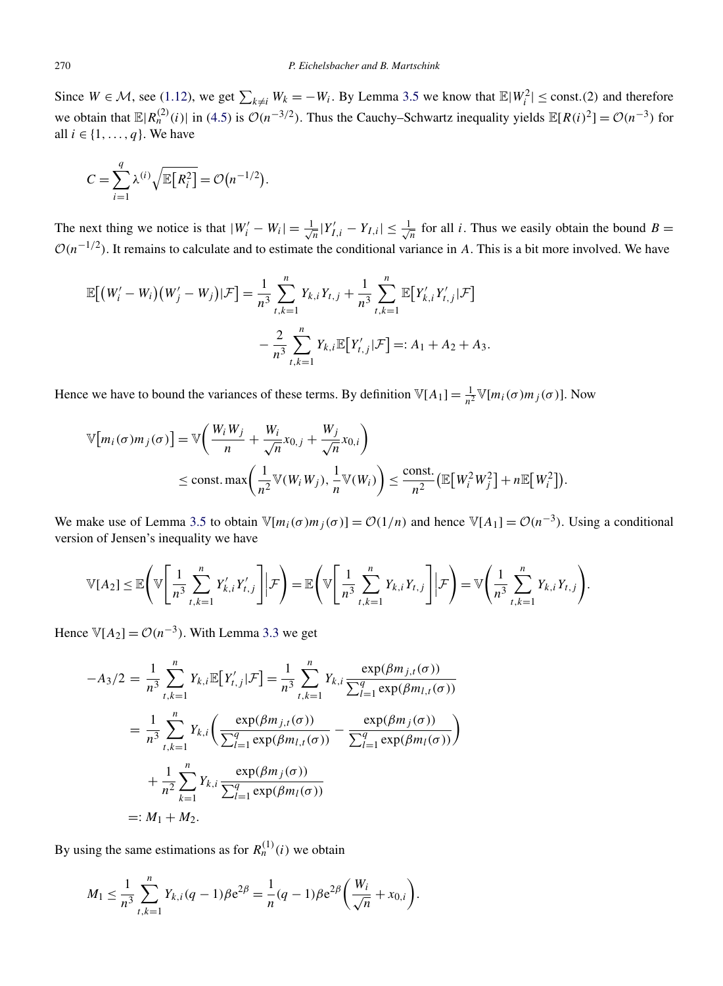Since  $W \in \mathcal{M}$ , see [\(1.12\)](#page-4-0), we get  $\sum_{k \neq i} W_k = -W_i$ . By Lemma [3.5](#page-14-0) we know that  $\mathbb{E}|W_i^2| \leq \text{const.}$  (2) and therefore we obtain that  $\mathbb{E}|R_n^{(2)}(i)|$  in [\(4.5\)](#page-16-0) is  $\mathcal{O}(n^{-3/2})$ . Thus the Cauchy–Schwartz inequality yields  $\mathbb{E}[R(i)^2] = \mathcal{O}(n^{-3})$  for all  $i \in \{1, \ldots, q\}$ . We have

$$
C = \sum_{i=1}^{q} \lambda^{(i)} \sqrt{\mathbb{E}\big[R_i^2\big]} = \mathcal{O}\big(n^{-1/2}\big).
$$

The next thing we notice is that  $|W'_i - W_i| = \frac{1}{\sqrt{n}} |Y'_{I,i} - Y_{I,i}| \le \frac{1}{\sqrt{n}}$  for all *i*. Thus we easily obtain the bound *B* =  $O(n^{-1/2})$ . It remains to calculate and to estimate the conditional variance in *A*. This is a bit more involved. We have

$$
\mathbb{E}[(W'_{i} - W_{i})(W'_{j} - W_{j})|\mathcal{F}] = \frac{1}{n^{3}} \sum_{t,k=1}^{n} Y_{k,i}Y_{t,j} + \frac{1}{n^{3}} \sum_{t,k=1}^{n} \mathbb{E}[Y'_{k,i}Y'_{t,j}|\mathcal{F}]
$$

$$
- \frac{2}{n^{3}} \sum_{t,k=1}^{n} Y_{k,i} \mathbb{E}[Y'_{t,j}|\mathcal{F}] =: A_{1} + A_{2} + A_{3}.
$$

Hence we have to bound the variances of these terms. By definition  $\mathbb{V}[A_1] = \frac{1}{n^2} \mathbb{V}[m_i(\sigma) m_j(\sigma)]$ . Now

$$
\mathbb{V}[m_i(\sigma)m_j(\sigma)] = \mathbb{V}\bigg(\frac{W_i W_j}{n} + \frac{W_i}{\sqrt{n}} x_{0,j} + \frac{W_j}{\sqrt{n}} x_{0,i}\bigg)
$$
  
\n
$$
\leq \text{const.} \max\bigg(\frac{1}{n^2} \mathbb{V}(W_i W_j), \frac{1}{n} \mathbb{V}(W_i)\bigg) \leq \frac{\text{const.}}{n^2} \big(\mathbb{E}[W_i^2 W_j^2] + n \mathbb{E}[W_i^2]\big).
$$

We make use of Lemma [3.5](#page-14-0) to obtain  $\mathbb{V}[m_i(\sigma)m_j(\sigma)] = \mathcal{O}(1/n)$  and hence  $\mathbb{V}[A_1] = \mathcal{O}(n^{-3})$ . Using a conditional version of Jensen's inequality we have

$$
\mathbb{V}[A_2] \leq \mathbb{E}\Bigg(\mathbb{V}\Bigg[\frac{1}{n^3}\sum_{t,k=1}^n Y'_{k,i}Y'_{t,j}\Bigg] \Big| \mathcal{F}\Bigg) = \mathbb{E}\Bigg(\mathbb{V}\Bigg[\frac{1}{n^3}\sum_{t,k=1}^n Y_{k,i}Y_{t,j}\Bigg] \Big| \mathcal{F}\Bigg) = \mathbb{V}\Bigg(\frac{1}{n^3}\sum_{t,k=1}^n Y_{k,i}Y_{t,j}\Bigg).
$$

Hence  $\mathbb{V}[A_2] = \mathcal{O}(n^{-3})$ . With Lemma [3.3](#page-13-0) we get

$$
-A_{3}/2 = \frac{1}{n^{3}} \sum_{t,k=1}^{n} Y_{k,i} \mathbb{E}[Y'_{t,j} | \mathcal{F}] = \frac{1}{n^{3}} \sum_{t,k=1}^{n} Y_{k,i} \frac{\exp(\beta m_{j,t}(\sigma))}{\sum_{l=1}^{q} \exp(\beta m_{l,t}(\sigma))}
$$
  

$$
= \frac{1}{n^{3}} \sum_{t,k=1}^{n} Y_{k,i} \left( \frac{\exp(\beta m_{j,t}(\sigma))}{\sum_{l=1}^{q} \exp(\beta m_{l,t}(\sigma))} - \frac{\exp(\beta m_{j}(\sigma))}{\sum_{l=1}^{q} \exp(\beta m_{l}(\sigma))} \right)
$$
  

$$
+ \frac{1}{n^{2}} \sum_{k=1}^{n} Y_{k,i} \frac{\exp(\beta m_{j}(\sigma))}{\sum_{l=1}^{q} \exp(\beta m_{l}(\sigma))}
$$
  

$$
=: M_{1} + M_{2}.
$$

By using the same estimations as for  $R_n^{(1)}(i)$  we obtain

$$
M_1 \leq \frac{1}{n^3} \sum_{i,k=1}^n Y_{k,i}(q-1)\beta e^{2\beta} = \frac{1}{n}(q-1)\beta e^{2\beta} \left(\frac{W_i}{\sqrt{n}} + x_{0,i}\right).
$$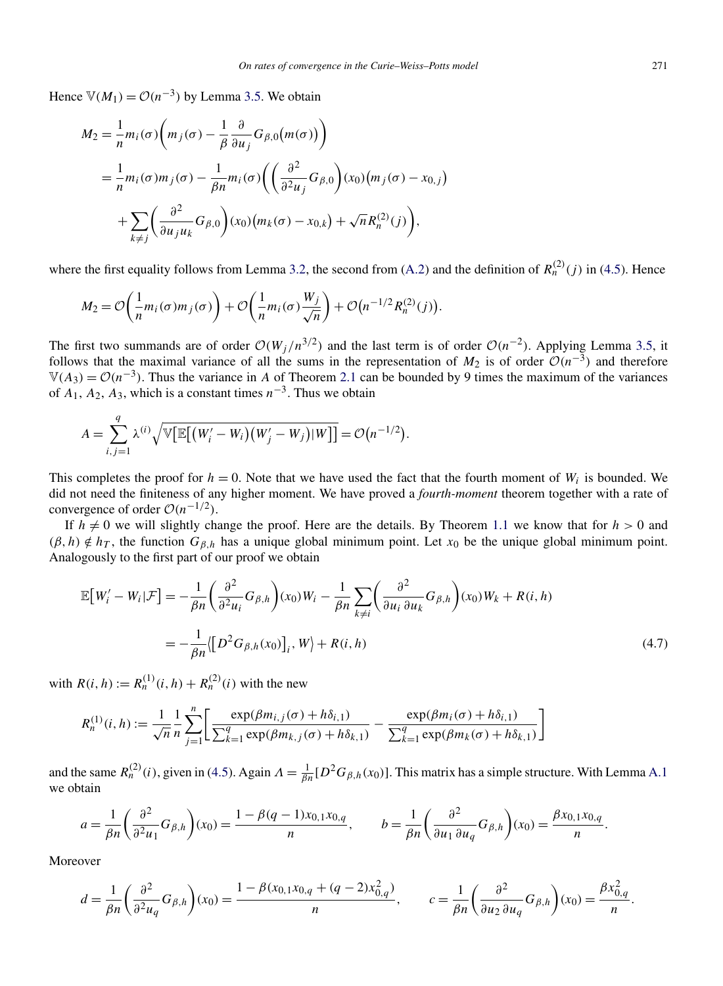Hence  $\mathbb{V}(M_1) = \mathcal{O}(n^{-3})$  by Lemma [3.5.](#page-14-0) We obtain

$$
M_2 = \frac{1}{n} m_i(\sigma) \left( m_j(\sigma) - \frac{1}{\beta} \frac{\partial}{\partial u_j} G_{\beta,0}(m(\sigma)) \right)
$$
  
= 
$$
\frac{1}{n} m_i(\sigma) m_j(\sigma) - \frac{1}{\beta n} m_i(\sigma) \left( \left( \frac{\partial^2}{\partial^2 u_j} G_{\beta,0} \right) (x_0) (m_j(\sigma) - x_{0,j}) + \sum_{k \neq j} \left( \frac{\partial^2}{\partial u_j u_k} G_{\beta,0} \right) (x_0) (m_k(\sigma) - x_{0,k}) + \sqrt{n} R_n^{(2)}(j) \right),
$$

where the first equality follows from Lemma [3.2,](#page-13-0) the second from [\(A.2\)](#page-24-0) and the definition of  $R_n^{(2)}(i)$  in [\(4.5\)](#page-16-0). Hence

$$
M_2 = \mathcal{O}\left(\frac{1}{n}m_i(\sigma)m_j(\sigma)\right) + \mathcal{O}\left(\frac{1}{n}m_i(\sigma)\frac{W_j}{\sqrt{n}}\right) + \mathcal{O}\left(n^{-1/2}R_n^{(2)}(j)\right).
$$

The first two summands are of order  $O(W_i/n^{3/2})$  and the last term is of order  $O(n^{-2})$ . Applying Lemma [3.5,](#page-14-0) it follows that the maximal variance of all the sums in the representation of  $M_2$  is of order  $O(n^{-3})$  and therefore  $V(A_3) = O(n^{-3})$ . Thus the variance in *A* of Theorem [2.1](#page-6-0) can be bounded by 9 times the maximum of the variances of  $A_1$ ,  $A_2$ ,  $A_3$ , which is a constant times  $n^{-3}$ . Thus we obtain

$$
A = \sum_{i,j=1}^q \lambda^{(i)} \sqrt{\mathbb{V}\big[\mathbb{E}\big[(W'_i - W_i)(W'_j - W_j)|W\big]\big]} = \mathcal{O}\big(n^{-1/2}\big).
$$

This completes the proof for  $h = 0$ . Note that we have used the fact that the fourth moment of  $W_i$  is bounded. We did not need the finiteness of any higher moment. We have proved a *fourth-moment* theorem together with a rate of convergence of order  $O(n^{-1/2})$ .

If  $h \neq 0$  we will slightly change the proof. Here are the details. By Theorem [1.1](#page-2-0) we know that for  $h > 0$  and  $(\beta, h) \notin h_T$ , the function  $G_{\beta,h}$  has a unique global minimum point. Let  $x_0$  be the unique global minimum point. Analogously to the first part of our proof we obtain

$$
\mathbb{E}\left[W'_i - W_i|\mathcal{F}\right] = -\frac{1}{\beta n} \left(\frac{\partial^2}{\partial^2 u_i} G_{\beta,h}\right)(x_0)W_i - \frac{1}{\beta n} \sum_{k \neq i} \left(\frac{\partial^2}{\partial u_i \partial u_k} G_{\beta,h}\right)(x_0)W_k + R(i,h)
$$
\n
$$
= -\frac{1}{\beta n} \left\{ \left[D^2 G_{\beta,h}(x_0)\right]_i, W\right\} + R(i,h) \tag{4.7}
$$

with  $R(i, h) := R_n^{(1)}(i, h) + R_n^{(2)}(i)$  with the new

$$
R_n^{(1)}(i,h) := \frac{1}{\sqrt{n}} \frac{1}{n} \sum_{j=1}^n \left[ \frac{\exp(\beta m_{i,j}(\sigma) + h\delta_{i,1})}{\sum_{k=1}^q \exp(\beta m_{k,j}(\sigma) + h\delta_{k,1})} - \frac{\exp(\beta m_i(\sigma) + h\delta_{i,1})}{\sum_{k=1}^q \exp(\beta m_k(\sigma) + h\delta_{k,1})} \right]
$$

and the same  $R_n^{(2)}(i)$ , given in [\(4.5\)](#page-16-0). Again  $A = \frac{1}{\beta n} [D^2 G_{\beta,h}(x_0)]$ . This matrix has a simple structure. With Lemma [A.1](#page-24-0) we obtain

$$
a = \frac{1}{\beta n} \left( \frac{\partial^2}{\partial^2 u_1} G_{\beta,h} \right) (x_0) = \frac{1 - \beta (q - 1) x_{0,1} x_{0,q}}{n}, \qquad b = \frac{1}{\beta n} \left( \frac{\partial^2}{\partial u_1 \partial u_q} G_{\beta,h} \right) (x_0) = \frac{\beta x_{0,1} x_{0,q}}{n}.
$$

Moreover

$$
d = \frac{1}{\beta n} \left( \frac{\partial^2}{\partial^2 u_q} G_{\beta,h} \right) (x_0) = \frac{1 - \beta (x_{0,1} x_{0,q} + (q-2)x_{0,q}^2)}{n}, \qquad c = \frac{1}{\beta n} \left( \frac{\partial^2}{\partial u_2 \partial u_q} G_{\beta,h} \right) (x_0) = \frac{\beta x_{0,q}^2}{n}.
$$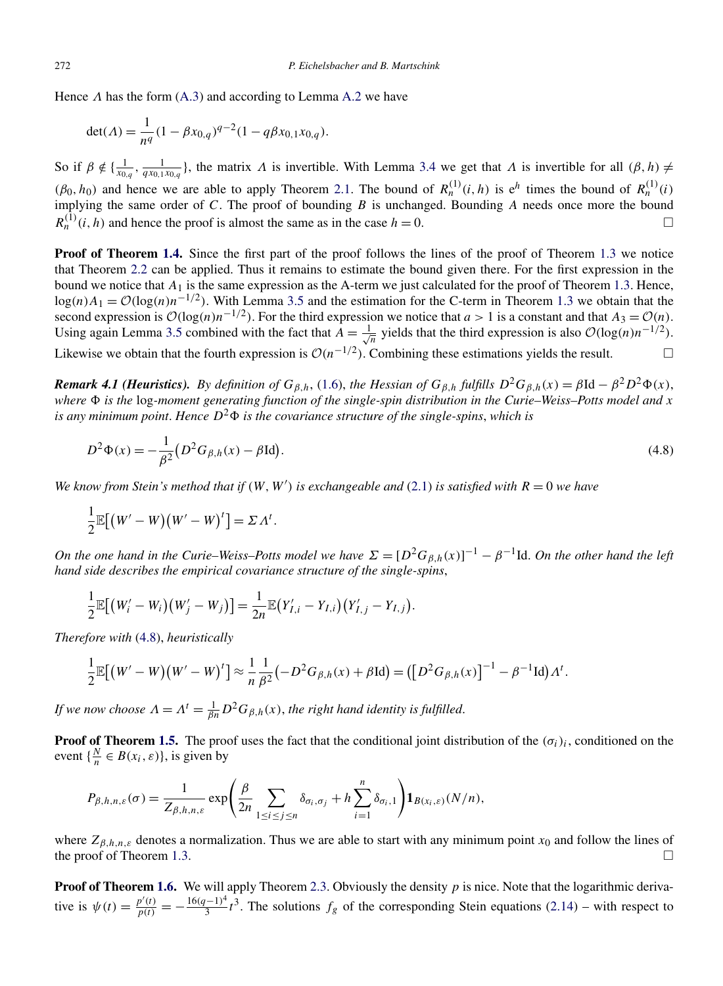<span id="page-20-0"></span>Hence *Λ* has the form [\(A.3\)](#page-25-0) and according to Lemma [A.2](#page-25-0) we have

$$
\det(\Lambda) = \frac{1}{n^q} (1 - \beta x_{0,q})^{q-2} (1 - q\beta x_{0,1} x_{0,q}).
$$

So if  $β \notin \{\frac{1}{x_{0,q}}, \frac{1}{qx_{0,1}x_{0,q}}\}$ , the matrix *Λ* is invertible. With Lemma [3.4](#page-14-0) we get that *Λ* is invertible for all  $(β, h) \neq$  $(\beta_0, h_0)$  and hence we are able to apply Theorem [2.1.](#page-6-0) The bound of  $R_n^{(1)}(i, h)$  is  $e^h$  times the bound of  $R_n^{(1)}(i)$ implying the same order of *C*. The proof of bounding *B* is unchanged. Bounding *A* needs once more the bound  $R_n^{(1)}(i, h)$  and hence the proof is almost the same as in the case  $h = 0$ .

**Proof of Theorem [1.4.](#page-4-0)** Since the first part of the proof follows the lines of the proof of Theorem [1.3](#page-3-0) we notice that Theorem [2.2](#page-7-0) can be applied. Thus it remains to estimate the bound given there. For the first expression in the bound we notice that  $A_1$  is the same expression as the A-term we just calculated for the proof of Theorem [1.3.](#page-3-0) Hence,  $\log(n)A_1 = \mathcal{O}(\log(n)n^{-1/2})$ . With Lemma [3.5](#page-14-0) and the estimation for the C-term in Theorem [1.3](#page-3-0) we obtain that the second expression is  $\mathcal{O}(\log(n)n^{-1/2})$ . For the third expression we notice that *a* > 1 is a constant and that  $A_3 = \mathcal{O}(n)$ . Using again Lemma [3.5](#page-14-0) combined with the fact that  $\overline{A} = \frac{1}{\sqrt{n}}$  yields that the third expression is also  $\mathcal{O}(\log(n)n^{-1/2})$ .

Likewise we obtain that the fourth expression is  $\mathcal{O}(n^{-1/2})$ . Combining these estimations yields the result.  $\Box$ 

*Remark 4.1 (Heuristics). By definition of*  $G_{\beta,h}$ , [\(1.6\)](#page-2-0), *the Hessian of*  $G_{\beta,h}$  *fulfills*  $D^2 G_{\beta,h}(x) = \beta \mathrm{Id} - \beta^2 D^2 \Phi(x)$ , *where is the* log*-moment generating function of the single-spin distribution in the Curie–Weiss–Potts model and x is any minimum point. Hence*  $D^2\Phi$  *is the covariance structure of the single-spins, which is* 

$$
D^{2}\Phi(x) = -\frac{1}{\beta^{2}}\left(D^{2}G_{\beta,h}(x) - \beta \text{Id}\right).
$$
\n(4.8)

*We know from Stein's method that if*  $(W, W')$  *is exchangeable and*  $(2.1)$  *is satisfied with*  $R = 0$  *we have* 

$$
\frac{1}{2}\mathbb{E}[(W'-W)(W'-W)^{t}] = \Sigma \Lambda^{t}.
$$

*On the one hand in the Curie–Weiss–Potts model we have*  $\Sigma = [D^2 G_{\beta,h}(x)]^{-1} - \beta^{-1}$  Id. *On the other hand the left hand side describes the empirical covariance structure of the single-spins*,

$$
\frac{1}{2}\mathbb{E}[(W'_{i}-W_{i})(W'_{j}-W_{j})]=\frac{1}{2n}\mathbb{E}(Y'_{I,i}-Y_{I,i})(Y'_{I,j}-Y_{I,j}).
$$

*Therefore with* (4.8), *heuristically*

$$
\frac{1}{2}\mathbb{E}[(W'-W)(W'-W)^{t}] \approx \frac{1}{n}\frac{1}{\beta^{2}}(-D^{2}G_{\beta,h}(x)+\beta\mathrm{Id}) = ([D^{2}G_{\beta,h}(x)]^{-1}-\beta^{-1}\mathrm{Id})\Lambda^{t}.
$$

*If we now choose*  $\Lambda = \Lambda^t = \frac{1}{\beta n} D^2 G_{\beta,h}(x)$ , the right hand identity is fulfilled.

**Proof of Theorem [1.5.](#page-4-0)** The proof uses the fact that the conditional joint distribution of the  $(\sigma_i)_i$ , conditioned on the event  $\{\frac{N}{n} \in B(x_i, \varepsilon)\}\)$ , is given by

$$
P_{\beta,h,n,\varepsilon}(\sigma) = \frac{1}{Z_{\beta,h,n,\varepsilon}} \exp\left(\frac{\beta}{2n} \sum_{1 \leq i \leq j \leq n} \delta_{\sigma_i,\sigma_j} + h \sum_{i=1}^n \delta_{\sigma_i,1}\right) \mathbf{1}_{B(x_i,\varepsilon)}(N/n),
$$

where  $Z_{\beta,h,n,\varepsilon}$  denotes a normalization. Thus we are able to start with any minimum point  $x_0$  and follow the lines of the proof of Theorem [1.3.](#page-3-0)  $\Box$ 

**Proof of Theorem [1.6.](#page-5-0)** We will apply Theorem [2.3.](#page-12-0) Obviously the density *p* is nice. Note that the logarithmic derivative is  $\psi(t) = \frac{p'(t)}{p(t)} = -\frac{16(q-1)^4}{3}t^3$ . The solutions  $f_g$  of the corresponding Stein equations [\(2.14\)](#page-12-0) – with respect to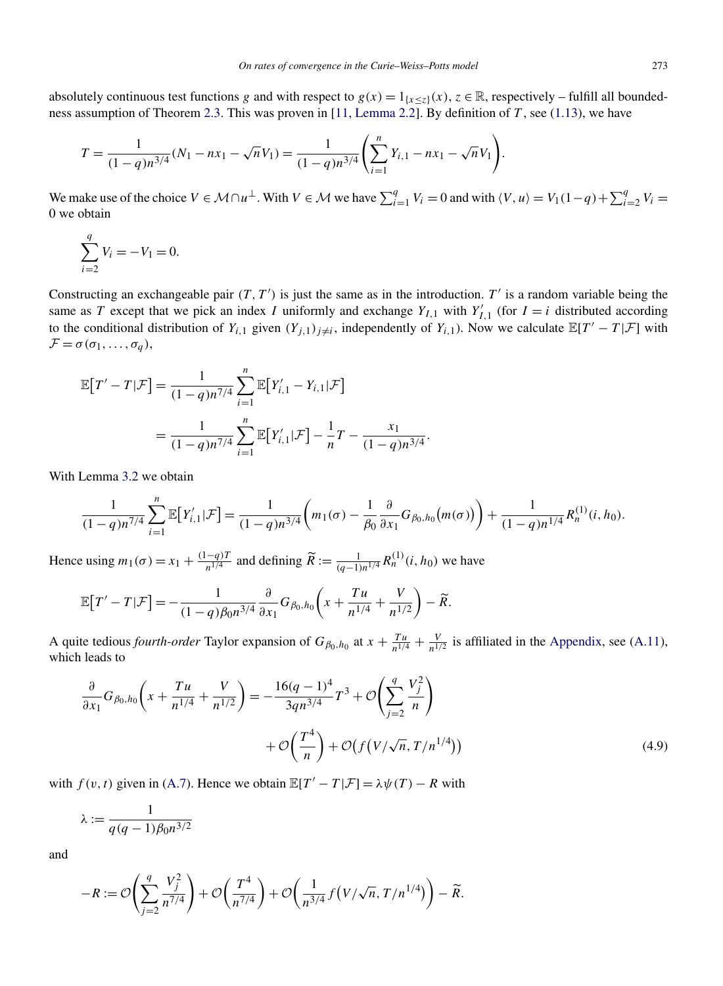absolutely continuous test functions *g* and with respect to  $g(x) = 1_{\{x \leq z\}}(x)$ ,  $z \in \mathbb{R}$ , respectively – fulfill all boundedness assumption of Theorem [2.3.](#page-12-0) This was proven in [\[11, Lemma 2.2\]](#page-29-0). By definition of *T* , see [\(1.13\)](#page-4-0), we have

$$
T = \frac{1}{(1-q)n^{3/4}}(N_1 - nx_1 - \sqrt{n}V_1) = \frac{1}{(1-q)n^{3/4}}\left(\sum_{i=1}^n Y_{i,1} - nx_1 - \sqrt{n}V_1\right).
$$

We make use of the choice  $V \in \mathcal{M} \cap u^{\perp}$ . With  $V \in \mathcal{M}$  we have  $\sum_{i=1}^{q} V_i = 0$  and with  $\langle V, u \rangle = V_1(1-q) + \sum_{i=2}^{q} V_i =$ 0 we obtain

$$
\sum_{i=2}^{q} V_i = -V_1 = 0.
$$

Constructing an exchangeable pair  $(T, T')$  is just the same as in the introduction.  $T'$  is a random variable being the same as *T* except that we pick an index *I* uniformly and exchange  $Y_{I,1}$  with  $Y'_{I,1}$  (for  $I = i$  distributed according to the conditional distribution of  $Y_{i,1}$  given  $(Y_{j,1})_{j\neq i}$ , independently of  $Y_{i,1}$ ). Now we calculate  $\mathbb{E}[T'-T|\mathcal{F}]$  with  $\mathcal{F} = \sigma(\sigma_1, \ldots, \sigma_q),$ 

$$
\mathbb{E}[T'-T|\mathcal{F}] = \frac{1}{(1-q)n^{7/4}} \sum_{i=1}^{n} \mathbb{E}[Y'_{i,1} - Y_{i,1}|\mathcal{F}]
$$
  
= 
$$
\frac{1}{(1-q)n^{7/4}} \sum_{i=1}^{n} \mathbb{E}[Y'_{i,1}|\mathcal{F}] - \frac{1}{n}T - \frac{x_1}{(1-q)n^{3/4}}.
$$

With Lemma [3.2](#page-13-0) we obtain

$$
\frac{1}{(1-q)n^{7/4}}\sum_{i=1}^n \mathbb{E}\big[Y'_{i,1}|\mathcal{F}\big] = \frac{1}{(1-q)n^{3/4}}\bigg(m_1(\sigma)-\frac{1}{\beta_0}\frac{\partial}{\partial x_1}G_{\beta_0,h_0}(m(\sigma))\bigg) + \frac{1}{(1-q)n^{1/4}}R_n^{(1)}(i,h_0).
$$

Hence using  $m_1(\sigma) = x_1 + \frac{(1-q)T}{n^{1/4}}$  and defining  $\widetilde{R} := \frac{1}{(q-1)n^{1/4}} R_n^{(1)}(i, h_0)$  we have

$$
\mathbb{E}\big[T'-T\,|\mathcal{F}\big] = -\frac{1}{(1-q)\beta_0 n^{3/4}}\frac{\partial}{\partial x_1}G_{\beta_0,h_0}\bigg(x+\frac{T\,u}{n^{1/4}}+\frac{V}{n^{1/2}}\bigg)-\widetilde{R}.
$$

A quite tedious *fourth-order* Taylor expansion of  $G_{\beta_0,h_0}$  at  $x + \frac{T u}{n^{1/4}} + \frac{V}{n^{1/2}}$  is affiliated in the [Appendix,](#page-23-0) see [\(A.11\)](#page-28-0), which leads to

$$
\frac{\partial}{\partial x_1} G_{\beta_0, h_0} \left( x + \frac{T u}{n^{1/4}} + \frac{V}{n^{1/2}} \right) = -\frac{16(q - 1)^4}{3q n^{3/4}} T^3 + \mathcal{O} \left( \sum_{j=2}^q \frac{V_j^2}{n} \right) + \mathcal{O} \left( f \left( V / \sqrt{n}, T / n^{1/4} \right) \right)
$$
\n(4.9)

with  $f(v, t)$  given in [\(A.7\)](#page-27-0). Hence we obtain  $\mathbb{E}[T' - T | \mathcal{F}] = \lambda \psi(T) - R$  with

$$
\lambda := \frac{1}{q(q-1)\beta_0 n^{3/2}}
$$

and

$$
-R := \mathcal{O}\left(\sum_{j=2}^q \frac{V_j^2}{n^{7/4}}\right) + \mathcal{O}\left(\frac{T^4}{n^{7/4}}\right) + \mathcal{O}\left(\frac{1}{n^{3/4}} f\left(\frac{V}{\sqrt{n}}, \frac{T}{n^{1/4}}\right)\right) - \widetilde{R}.
$$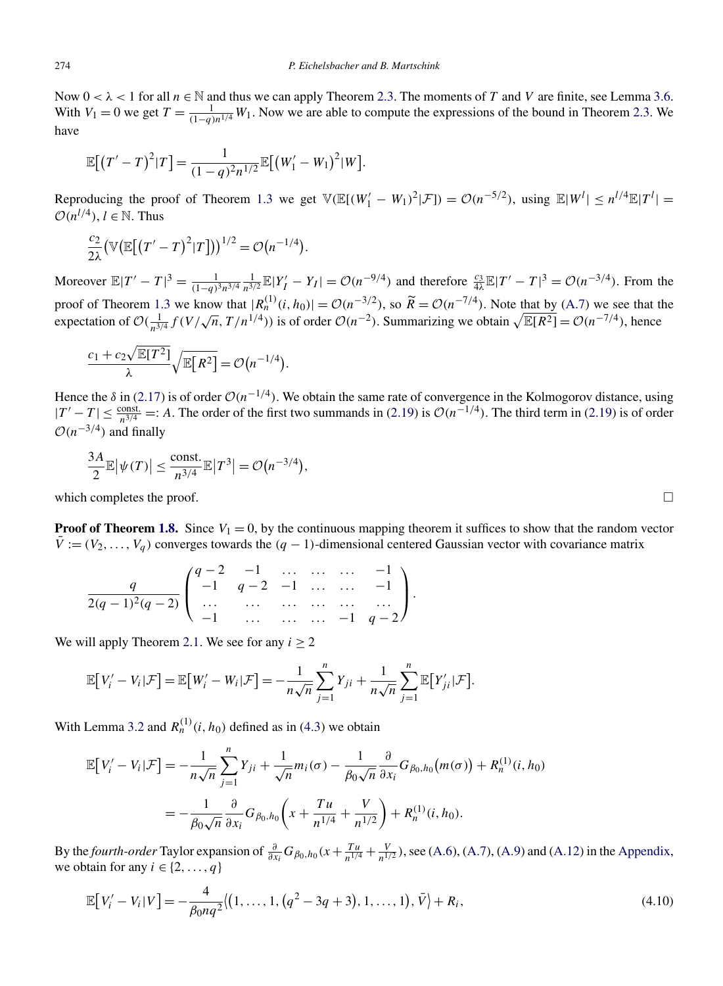<span id="page-22-0"></span>Now  $0 < \lambda < 1$  for all  $n \in \mathbb{N}$  and thus we can apply Theorem [2.3.](#page-12-0) The moments of *T* and *V* are finite, see Lemma [3.6.](#page-15-0) With  $V_1 = 0$  we get  $T = \frac{1}{(1-q)n^{1/4}} W_1$ . Now we are able to compute the expressions of the bound in Theorem [2.3.](#page-12-0) We have

$$
\mathbb{E}[(T'-T)^2|T] = \frac{1}{(1-q)^2n^{1/2}} \mathbb{E}[(W'_1-W_1)^2|W].
$$

Reproducing the proof of Theorem [1.3](#page-3-0) we get  $\mathbb{V}(\mathbb{E}[(W'_1 - W_1)^2 | \mathcal{F}]) = \mathcal{O}(n^{-5/2})$ , using  $\mathbb{E}|W^l| \leq n^{l/4}\mathbb{E}|T^l| =$  $O(n^{l/4})$ ,  $l \in \mathbb{N}$ . Thus

$$
\frac{c_2}{2\lambda} \big(\mathbb{V}\big(\mathbb{E}\big[\big(T'-T\big)^2|T\big]\big)\big)^{1/2} = \mathcal{O}\big(n^{-1/4}\big).
$$

Moreover  $\mathbb{E}|T'-T|^3 = \frac{1}{(1-q)^3n^{3/4}} \frac{1}{n^{3/2}} \mathbb{E}|Y'_I - Y_I| = \mathcal{O}(n^{-9/4})$  and therefore  $\frac{c_3}{4\lambda} \mathbb{E}|T'-T|^3 = \mathcal{O}(n^{-3/4})$ . From the proof of Theorem [1.3](#page-3-0) we know that  $|R_n^{(1)}(i, h_0)| = \mathcal{O}(n^{-3/2})$ , so  $\widetilde{R} = \mathcal{O}(n^{-7/4})$ . Note that by [\(A.7\)](#page-27-0) we see that the expectation of  $O(\frac{1}{n^{3/4}} f(V/\sqrt{n}, T/n^{1/4}))$  is of order  $O(n^{-2})$ . Summarizing we obtain  $\sqrt{\mathbb{E}[R^2]} = O(n^{-7/4})$ , hence

$$
\frac{c_1 + c_2 \sqrt{\mathbb{E}[T^2]}}{\lambda} \sqrt{\mathbb{E}[R^2]} = \mathcal{O}(n^{-1/4}).
$$

Hence the  $\delta$  in [\(2.17\)](#page-12-0) is of order  $O(n^{-1/4})$ . We obtain the same rate of convergence in the Kolmogorov distance, using  $|T' - T| \le \frac{\text{const.}}{n^{3/4}} =: A$ . The order of the first two summands in [\(2.19\)](#page-12-0) is  $\mathcal{O}(n^{-1/4})$ . The third term in (2.19) is of order  $O(n^{-3/4})$  and finally

$$
\frac{3A}{2}\mathbb{E}|\psi(T)| \le \frac{\text{const.}}{n^{3/4}}\mathbb{E}|T^3| = \mathcal{O}\big(n^{-3/4}\big),
$$

which completes the proof.

**Proof of Theorem [1.8.](#page-5-0)** Since  $V_1 = 0$ , by the continuous mapping theorem it suffices to show that the random vector  $\bar{V}$  :=  $(V_2, \ldots, V_q)$  converges towards the  $(q-1)$ -dimensional centered Gaussian vector with covariance matrix

$$
\frac{q}{2(q-1)^2(q-2)} \begin{pmatrix} q-2 & -1 & \dots & \dots & \dots & -1 \\ -1 & q-2 & -1 & \dots & \dots & -1 \\ \dots & \dots & \dots & \dots & \dots & \dots \\ -1 & \dots & \dots & \dots & -1 & q-2 \end{pmatrix}.
$$

We will apply Theorem [2.1.](#page-6-0) We see for any  $i \ge 2$ 

$$
\mathbb{E}\big[V_i'-V_i|\mathcal{F}\big]=\mathbb{E}\big[W_i'-W_i|\mathcal{F}\big]=-\frac{1}{n\sqrt{n}}\sum_{j=1}^nY_{ji}+\frac{1}{n\sqrt{n}}\sum_{j=1}^n\mathbb{E}\big[Y_{ji}'|\mathcal{F}\big].
$$

With Lemma [3.2](#page-13-0) and  $R_n^{(1)}(i, h_0)$  defined as in [\(4.3\)](#page-16-0) we obtain

$$
\mathbb{E}\big[V'_i - V_i|\mathcal{F}\big] = -\frac{1}{n\sqrt{n}}\sum_{j=1}^n Y_{ji} + \frac{1}{\sqrt{n}}m_i(\sigma) - \frac{1}{\beta_0\sqrt{n}}\frac{\partial}{\partial x_i}G_{\beta_0,h_0}(m(\sigma)) + R_n^{(1)}(i,h_0)
$$
  
= 
$$
-\frac{1}{\beta_0\sqrt{n}}\frac{\partial}{\partial x_i}G_{\beta_0,h_0}\bigg(x + \frac{T u}{n^{1/4}} + \frac{V}{n^{1/2}}\bigg) + R_n^{(1)}(i,h_0).
$$

By the *fourth-order* Taylor expansion of  $\frac{\partial}{\partial x_i} G_{\beta_0,h_0}(x+\frac{T u}{n^{1/4}}+\frac{V}{n^{1/2}})$ , see [\(A.6\)](#page-26-0), [\(A.7\)](#page-27-0), [\(A.9\)](#page-27-0) and [\(A.12\)](#page-28-0) in the [Appendix,](#page-23-0) we obtain for any  $i \in \{2, \ldots, q\}$ 

$$
\mathbb{E}\big[V_i'-V_i|V\big] = -\frac{4}{\beta_0 n q^2} \langle (1,\ldots,1,(q^2-3q+3),1,\ldots,1),\bar{V}\rangle + R_i,
$$
\n(4.10)

⊔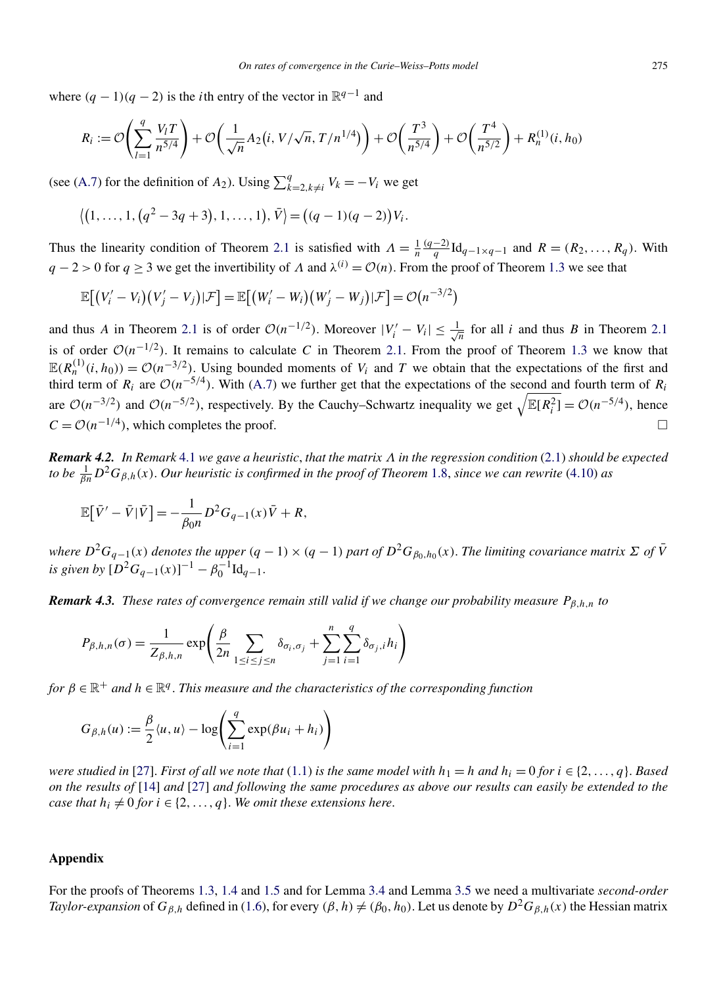<span id="page-23-0"></span>where  $(q - 1)(q - 2)$  is the *i*th entry of the vector in  $\mathbb{R}^{q-1}$  and

$$
R_i := \mathcal{O}\left(\sum_{l=1}^q \frac{V_l T}{n^{5/4}}\right) + \mathcal{O}\left(\frac{1}{\sqrt{n}} A_2\left(i, V/\sqrt{n}, T/n^{1/4}\right)\right) + \mathcal{O}\left(\frac{T^3}{n^{5/4}}\right) + \mathcal{O}\left(\frac{T^4}{n^{5/2}}\right) + R_n^{(1)}(i, h_0)
$$

(see [\(A.7\)](#page-27-0) for the definition of  $A_2$ ). Using  $\sum_{k=2, k\neq i}^{q} V_k = -V_i$  we get

$$
\langle (1,\ldots,1,(q^2-3q+3),1,\ldots,1),\overline{V} \rangle = ((q-1)(q-2))V_i.
$$

Thus the linearity condition of Theorem [2.1](#page-6-0) is satisfied with  $\Lambda = \frac{1}{n}$ *(q*−2*)*  $\frac{q}{q}$ Id<sub>*q*−1×*q*−1 and *R* = *(R*<sub>2</sub>*, ...,R<sub>q</sub></sub>). With</sub>*  $q - 2 > 0$  for  $q > 3$  we get the invertibility of *Λ* and  $\lambda^{(i)} = \mathcal{O}(n)$ . From the proof of Theorem [1.3](#page-3-0) we see that

$$
\mathbb{E}\big[\big(V'_i-V_i\big)\big(V'_j-V_j\big)|\mathcal{F}\big]=\mathbb{E}\big[\big(W'_i-W_i\big)\big(W'_j-W_j\big)|\mathcal{F}\big]=\mathcal{O}\big(n^{-3/2}\big)
$$

and thus *A* in Theorem [2.1](#page-6-0) is of order  $O(n^{-1/2})$ . Moreover  $|V'_i - V_i| \leq \frac{1}{\sqrt{n}}$  for all *i* and thus *B* in Theorem 2.1 is of order  $O(n^{-1/2})$ . It remains to calculate *C* in Theorem [2.1.](#page-6-0) From the proof of Theorem [1.3](#page-3-0) we know that  $\mathbb{E}(R_n^{(1)}(i, h_0)) = \mathcal{O}(n^{-3/2})$ . Using bounded moments of  $V_i$  and  $T$  we obtain that the expectations of the first and third term of  $R_i$  are  $O(n^{-5/4})$ . With [\(A.7\)](#page-27-0) we further get that the expectations of the second and fourth term of  $R_i$ are  $\mathcal{O}(n^{-3/2})$  and  $\mathcal{O}(n^{-5/2})$ , respectively. By the Cauchy–Schwartz inequality we get  $\sqrt{\mathbb{E}[R_i^2]} = \mathcal{O}(n^{-5/4})$ , hence  $C = \mathcal{O}(n^{-1/4})$ , which completes the proof.  $\square$ 

*Remark 4.2. In Remark* [4.1](#page-20-0) *we gave a heuristic*, *that the matrix Λ in the regression condition* [\(2.1\)](#page-6-0) *should be expected to be* <sup>1</sup> *βnD*<sup>2</sup>*Gβ,h(x)*. *Our heuristic is confirmed in the proof of Theorem* [1.8,](#page-5-0) *since we can rewrite* [\(4.10\)](#page-22-0) *as*

$$
\mathbb{E}\big[\bar{V}' - \bar{V}|\bar{V}\big] = -\frac{1}{\beta_0 n}D^2 G_{q-1}(x)\bar{V} + R,
$$

where  $D^2G_{q-1}(x)$  denotes the upper  $(q-1)\times(q-1)$  part of  $D^2G_{\beta_0,h_0}(x)$ . The limiting covariance matrix  $\Sigma$  of  $\bar{V}$ *is given by*  $[D^2G_{q-1}(x)]^{-1} - \beta_0^{-1} \mathrm{Id}_{q-1}$ .

*Remark 4.3. These rates of convergence remain still valid if we change our probability measure Pβ,h,n to*

$$
P_{\beta,h,n}(\sigma) = \frac{1}{Z_{\beta,h,n}} \exp\left(\frac{\beta}{2n} \sum_{1 \le i \le j \le n} \delta_{\sigma_i,\sigma_j} + \sum_{j=1}^n \sum_{i=1}^q \delta_{\sigma_j,i} h_i\right)
$$

*for*  $\beta \in \mathbb{R}^+$  *and*  $h \in \mathbb{R}^q$ . *This measure and the characteristics of the corresponding function* 

$$
G_{\beta,h}(u) := \frac{\beta}{2} \langle u, u \rangle - \log \left( \sum_{i=1}^q \exp(\beta u_i + h_i) \right)
$$

*were studied in* [\[27\]](#page-30-0). *First of all we note that* [\(1.1\)](#page-0-0) *is the same model with*  $h_1 = h$  *and*  $h_i = 0$  *for*  $i \in \{2, ..., q\}$ . *Based on the results of* [\[14\]](#page-30-0) *and* [\[27\]](#page-30-0) *and following the same procedures as above our results can easily be extended to the case that*  $h_i \neq 0$  *for*  $i \in \{2, ..., q\}$ *. We omit these extensions here.* 

#### **Appendix**

For the proofs of Theorems [1.3,](#page-3-0) [1.4](#page-4-0) and [1.5](#page-4-0) and for Lemma [3.4](#page-14-0) and Lemma [3.5](#page-14-0) we need a multivariate *second-order Taylor-expansion* of  $G_{\beta,h}$  defined in [\(1.6\)](#page-2-0), for every  $(\beta, h) \neq (\beta_0, h_0)$ . Let us denote by  $D^2 G_{\beta,h}(x)$  the Hessian matrix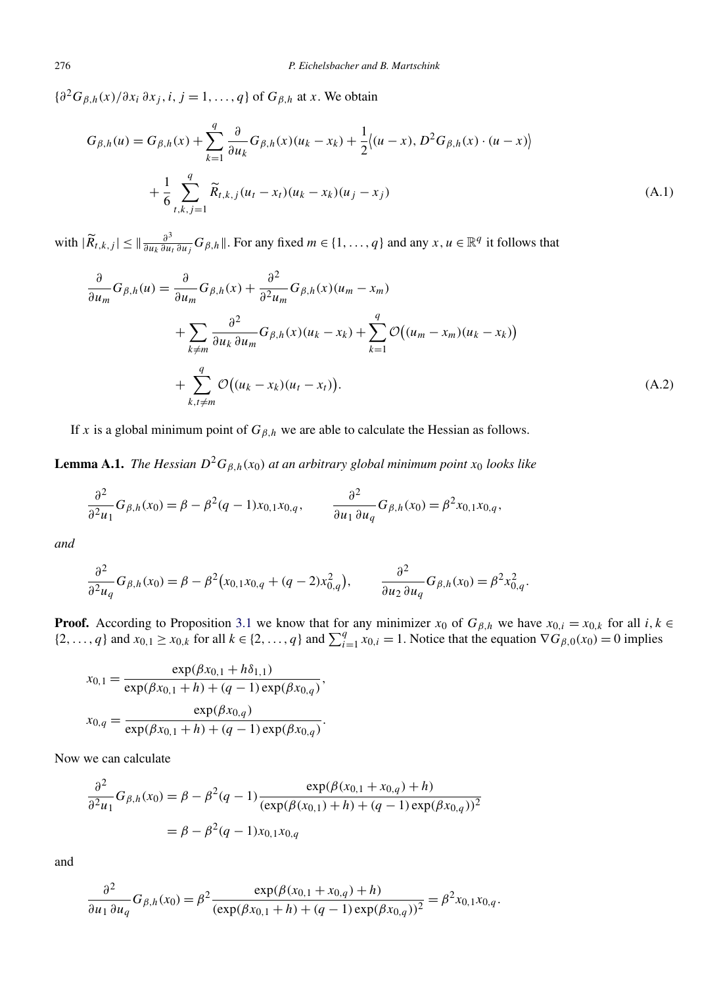<span id="page-24-0"></span> ${\partial^2 G_{\beta,h}(x)}/{\partial x_i \partial x_j}$ , *i*, *j* = 1, ..., *q*} of  $G_{\beta,h}$  at *x*. We obtain

$$
G_{\beta,h}(u) = G_{\beta,h}(x) + \sum_{k=1}^{q} \frac{\partial}{\partial u_k} G_{\beta,h}(x)(u_k - x_k) + \frac{1}{2} \langle (u - x), D^2 G_{\beta,h}(x) \cdot (u - x) \rangle
$$
  
+ 
$$
\frac{1}{6} \sum_{t,k,j=1}^{q} \widetilde{R}_{t,k,j}(u_t - x_t)(u_k - x_k)(u_j - x_j)
$$
(A.1)

with  $|\widetilde{R}_{t,k,j}| \leq \|\frac{\partial^3}{\partial u_k \partial u_l} G_{\beta,h}\|$ . For any fixed  $m \in \{1, \ldots, q\}$  and any  $x, u \in \mathbb{R}^q$  it follows that

$$
\frac{\partial}{\partial u_m} G_{\beta,h}(u) = \frac{\partial}{\partial u_m} G_{\beta,h}(x) + \frac{\partial^2}{\partial^2 u_m} G_{\beta,h}(x) (u_m - x_m)
$$
  
+ 
$$
\sum_{k \neq m} \frac{\partial^2}{\partial u_k \partial u_m} G_{\beta,h}(x) (u_k - x_k) + \sum_{k=1}^q \mathcal{O}((u_m - x_m)(u_k - x_k))
$$
  
+ 
$$
\sum_{k,t \neq m}^q \mathcal{O}((u_k - x_k)(u_t - x_t)).
$$
 (A.2)

If *x* is a global minimum point of  $G_{\beta,h}$  we are able to calculate the Hessian as follows.

**Lemma A.1.** *The Hessian*  $D^2G_{\beta,h}(x_0)$  *at an arbitrary global minimum point*  $x_0$  *looks like* 

$$
\frac{\partial^2}{\partial^2 u_1} G_{\beta,h}(x_0) = \beta - \beta^2 (q-1) x_{0,1} x_{0,q}, \qquad \frac{\partial^2}{\partial u_1 \partial u_q} G_{\beta,h}(x_0) = \beta^2 x_{0,1} x_{0,q},
$$

*and*

$$
\frac{\partial^2}{\partial^2 u_q} G_{\beta,h}(x_0) = \beta - \beta^2 (x_{0,1}x_{0,q} + (q-2)x_{0,q}^2), \qquad \frac{\partial^2}{\partial u_2 \partial u_q} G_{\beta,h}(x_0) = \beta^2 x_{0,q}^2.
$$

**Proof.** According to Proposition [3.1](#page-13-0) we know that for any minimizer  $x_0$  of  $G_{\beta,h}$  we have  $x_{0,i} = x_{0,k}$  for all  $i, k \in$  $\{2,\ldots,q\}$  and  $x_{0,1} \ge x_{0,k}$  for all  $k \in \{2,\ldots,q\}$  and  $\sum_{i=1}^{q} x_{0,i} = 1$ . Notice that the equation  $\nabla G_{\beta,0}(x_0) = 0$  implies

$$
x_{0,1} = \frac{\exp(\beta x_{0,1} + h\delta_{1,1})}{\exp(\beta x_{0,1} + h) + (q - 1)\exp(\beta x_{0,q})},
$$

$$
x_{0,q} = \frac{\exp(\beta x_{0,q})}{\exp(\beta x_{0,1} + h) + (q - 1)\exp(\beta x_{0,q})}.
$$

Now we can calculate

$$
\frac{\partial^2}{\partial^2 u_1} G_{\beta,h}(x_0) = \beta - \beta^2 (q - 1) \frac{\exp(\beta(x_{0,1} + x_{0,q}) + h)}{(\exp(\beta(x_{0,1}) + h) + (q - 1)\exp(\beta x_{0,q}))^2}
$$

$$
= \beta - \beta^2 (q - 1) x_{0,1} x_{0,q}
$$

and

$$
\frac{\partial^2}{\partial u_1 \partial u_q} G_{\beta,h}(x_0) = \beta^2 \frac{\exp(\beta(x_{0,1} + x_{0,q}) + h)}{(\exp(\beta x_{0,1} + h) + (q - 1)\exp(\beta x_{0,q}))^2} = \beta^2 x_{0,1} x_{0,q}.
$$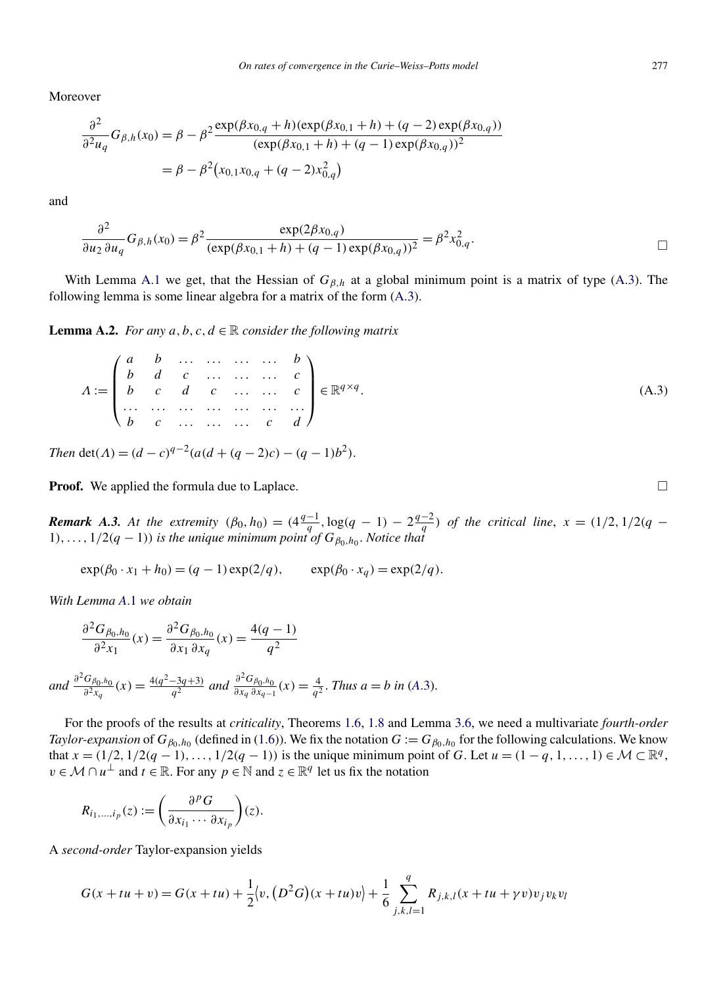<span id="page-25-0"></span>Moreover

$$
\frac{\partial^2}{\partial^2 u_q} G_{\beta,h}(x_0) = \beta - \beta^2 \frac{\exp(\beta x_{0,q} + h)(\exp(\beta x_{0,1} + h) + (q - 2)\exp(\beta x_{0,q}))}{(\exp(\beta x_{0,1} + h) + (q - 1)\exp(\beta x_{0,q}))^2}
$$

$$
= \beta - \beta^2 (x_{0,1}x_{0,q} + (q - 2)x_{0,q}^2)
$$

and

$$
\frac{\partial^2}{\partial u_2 \partial u_q} G_{\beta,h}(x_0) = \beta^2 \frac{\exp(2\beta x_{0,q})}{(\exp(\beta x_{0,1} + h) + (q-1)\exp(\beta x_{0,q}))^2} = \beta^2 x_{0,q}^2.
$$

With Lemma [A.1](#page-24-0) we get, that the Hessian of *Gβ,h* at a global minimum point is a matrix of type (A.3). The following lemma is some linear algebra for a matrix of the form (A.3).

**Lemma A.2.** *For any*  $a, b, c, d \in \mathbb{R}$  *consider the following matrix* 

$$
A := \begin{pmatrix} a & b & \dots & \dots & \dots & b \\ b & d & c & \dots & \dots & c \\ b & c & d & c & \dots & \dots & c \\ \dots & \dots & \dots & \dots & \dots & \dots & \dots & \dots \\ b & c & \dots & \dots & \dots & c & d \end{pmatrix} \in \mathbb{R}^{q \times q}.
$$
\n(A.3)

*Then* det( $\Lambda$ ) =  $(d - c)^{q-2}(a(d + (q - 2)c) - (q - 1)b^2)$ .

**Proof.** We applied the formula due to Laplace.  $\Box$ 

**Remark A.3.** At the extremity  $(\beta_0, h_0) = (4\frac{q-1}{q}, \log(q-1) - 2\frac{q-2}{q})$  of the critical line,  $x = (1/2, 1/2(q-1))$  $1)$ , ...,  $1/2(q-1)$ ) *is the unique minimum point of*  $G_{\beta_0,h_0}$ *. Notice that* 

 $\exp(\beta_0 \cdot x_1 + h_0) = (q - 1)\exp(2/q), \qquad \exp(\beta_0 \cdot x_q) = \exp(2/q).$ 

*With Lemma A*[.1](#page-24-0) *we obtain*

$$
\frac{\partial^2 G_{\beta_0, h_0}}{\partial^2 x_1}(x) = \frac{\partial^2 G_{\beta_0, h_0}}{\partial x_1 \partial x_q}(x) = \frac{4(q-1)}{q^2}
$$

and 
$$
\frac{\partial^2 G_{\beta_0,h_0}}{\partial x_{q}}(x) = \frac{4(q^2 - 3q + 3)}{q^2}
$$
 and 
$$
\frac{\partial^2 G_{\beta_0,h_0}}{\partial x_{q} \partial x_{q-1}}(x) = \frac{4}{q^2}
$$
. Thus  $a = b$  in (A.3).

For the proofs of the results at *criticality*, Theorems [1.6,](#page-5-0) [1.8](#page-5-0) and Lemma [3.6,](#page-15-0) we need a multivariate *fourth-order Taylor-expansion* of  $G_{\beta_0,h_0}$  (defined in [\(1.6\)](#page-2-0)). We fix the notation  $G := G_{\beta_0,h_0}$  for the following calculations. We know that  $x = (1/2, 1/2(q - 1), ..., 1/2(q - 1))$  is the unique minimum point of G. Let  $u = (1 - q, 1, ..., 1) \in \mathcal{M} \subset \mathbb{R}^q$ , *v* ∈ *M* ∩  $u^{\perp}$  and  $t \in \mathbb{R}$ . For any  $p \in \mathbb{N}$  and  $z \in \mathbb{R}^q$  let us fix the notation

$$
R_{i_1,\dots,i_p}(z) := \left(\frac{\partial^p G}{\partial x_{i_1} \cdots \partial x_{i_p}}\right)(z).
$$

A *second-order* Taylor-expansion yields

$$
G(x+tu+v) = G(x+tu) + \frac{1}{2}\langle v, (D^2G)(x+tu)v \rangle + \frac{1}{6} \sum_{j,k,l=1}^{q} R_{j,k,l}(x+tu+v)v_jv_kv_l
$$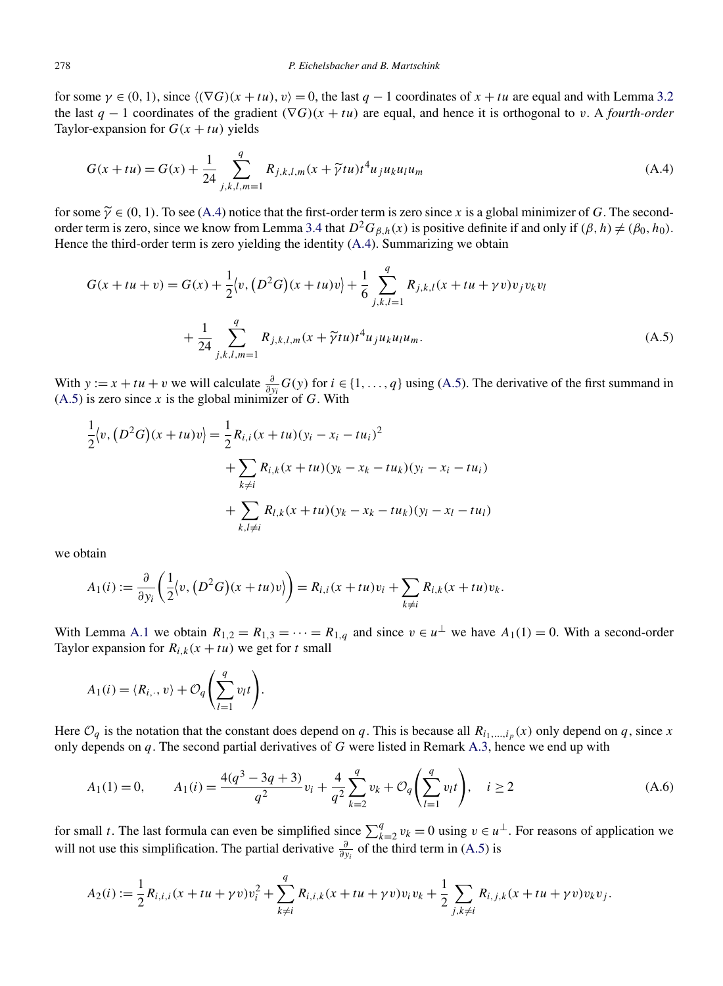<span id="page-26-0"></span>for some  $\gamma \in (0, 1)$ , since  $\langle (\nabla G)(x + tu), v \rangle = 0$ , the last  $q - 1$  coordinates of  $x + tu$  are equal and with Lemma [3.2](#page-13-0) the last  $q - 1$  coordinates of the gradient  $(\nabla G)(x + tu)$  are equal, and hence it is orthogonal to *v*. A *fourth-order* Taylor-expansion for  $G(x + tu)$  yields

$$
G(x+tu) = G(x) + \frac{1}{24} \sum_{j,k,l,m=1}^{q} R_{j,k,l,m}(x+\tilde{\gamma}tu)t^{4}u_{j}u_{k}u_{l}u_{m}
$$
\n(A.4)

for some  $\tilde{\gamma} \in (0, 1)$ . To see (A.4) notice that the first-order term is zero since *x* is a global minimizer of *G*. The second-order term is zero, since we know from Lemma [3.4](#page-14-0) that  $D^2G_{\beta,h}(x)$  is positive definite if and only if  $(\beta, h) \neq (\beta_0, h_0)$ . Hence the third-order term is zero yielding the identity (A.4). Summarizing we obtain

$$
G(x + tu + v) = G(x) + \frac{1}{2} \langle v, (D^2 G)(x + tu)v \rangle + \frac{1}{6} \sum_{j,k,l=1}^{q} R_{j,k,l}(x + tu + \gamma v)v_j v_k v_l + \frac{1}{24} \sum_{j,k,l,m=1}^{q} R_{j,k,l,m}(x + \tilde{\gamma}tu)t^4 u_j u_k u_l u_m.
$$
 (A.5)

With  $y := x + tu + v$  we will calculate  $\frac{\partial}{\partial y_i} G(y)$  for  $i \in \{1, ..., q\}$  using (A.5). The derivative of the first summand in  $(A.5)$  is zero since *x* is the global minimizer of *G*. With

$$
\frac{1}{2}\langle v, (D^2G)(x+tu)v \rangle = \frac{1}{2}R_{i,i}(x+tu)(y_i - x_i - tu_i)^2
$$
  
+ 
$$
\sum_{k \neq i} R_{i,k}(x+tu)(y_k - x_k - tu_k)(y_i - x_i - tu_i)
$$
  
+ 
$$
\sum_{k,l \neq i} R_{l,k}(x+tu)(y_k - x_k - tu_k)(y_l - x_l - tu_l)
$$

we obtain

$$
A_1(i) := \frac{\partial}{\partial y_i} \left( \frac{1}{2} \langle v, (D^2 G)(x + tu)v \rangle \right) = R_{i,i}(x + tu)v_i + \sum_{k \neq i} R_{i,k}(x + tu)v_k.
$$

With Lemma [A.1](#page-24-0) we obtain  $R_{1,2} = R_{1,3} = \cdots = R_{1,q}$  and since  $v \in u^{\perp}$  we have  $A_1(1) = 0$ . With a second-order Taylor expansion for  $R_{i,k}(x + tu)$  we get for *t* small

$$
A_1(i) = \langle R_{i,\cdot}, v \rangle + \mathcal{O}_q \left( \sum_{l=1}^q v_l t \right).
$$

Here  $\mathcal{O}_q$  is the notation that the constant does depend on *q*. This is because all  $R_{i_1,\dots,i_p}(x)$  only depend on *q*, since *x* only depends on *q*. The second partial derivatives of *G* were listed in Remark [A.3,](#page-25-0) hence we end up with

$$
A_1(1) = 0, \qquad A_1(i) = \frac{4(q^3 - 3q + 3)}{q^2}v_i + \frac{4}{q^2} \sum_{k=2}^q v_k + \mathcal{O}_q\left(\sum_{l=1}^q v_l t\right), \quad i \ge 2
$$
\n(A.6)

for small *t*. The last formula can even be simplified since  $\sum_{k=2}^{q} v_k = 0$  using  $v \in u^{\perp}$ . For reasons of application we will not use this simplification. The partial derivative *<sup>∂</sup> ∂yi* of the third term in (A.5) is

$$
A_2(i) := \frac{1}{2} R_{i,i,i}(x + tu + \gamma v) v_i^2 + \sum_{k \neq i}^{q} R_{i,i,k}(x + tu + \gamma v) v_i v_k + \frac{1}{2} \sum_{j,k \neq i} R_{i,j,k}(x + tu + \gamma v) v_k v_j.
$$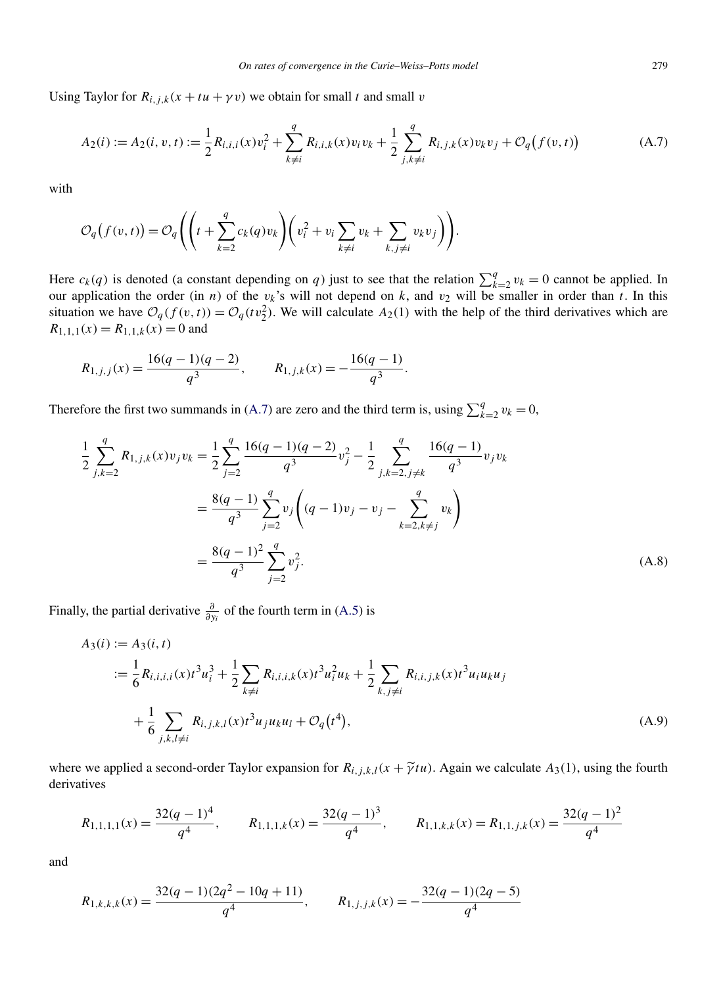<span id="page-27-0"></span>Using Taylor for  $R_{i,j,k}(x + tu + \gamma v)$  we obtain for small *t* and small *v* 

$$
A_2(i) := A_2(i, v, t) := \frac{1}{2} R_{i, i, i}(x) v_i^2 + \sum_{k \neq i}^q R_{i, i, k}(x) v_i v_k + \frac{1}{2} \sum_{j, k \neq i}^q R_{i, j, k}(x) v_k v_j + \mathcal{O}_q(f(v, t))
$$
(A.7)

with

$$
\mathcal{O}_q(f(v,t)) = \mathcal{O}_q\left(\left(t + \sum_{k=2}^q c_k(q)v_k\right)\left(v_i^2 + v_i\sum_{k \neq i} v_k + \sum_{k,j \neq i} v_k v_j\right)\right).
$$

Here  $c_k(q)$  is denoted (a constant depending on *q*) just to see that the relation  $\sum_{k=2}^{q} v_k = 0$  cannot be applied. In our application the order (in *n*) of the  $v_k$ 's will not depend on  $k$ , and  $v_2$  will be smaller in order than  $t$ . In this situation we have  $O_q(f(v, t)) = O_q(tv_2^2)$ . We will calculate  $A_2(1)$  with the help of the third derivatives which are  $R_{1,1,1}(x) = R_{1,1,k}(x) = 0$  and

$$
R_{1,j,j}(x) = \frac{16(q-1)(q-2)}{q^3}, \qquad R_{1,j,k}(x) = -\frac{16(q-1)}{q^3}.
$$

Therefore the first two summands in (A.7) are zero and the third term is, using  $\sum_{k=2}^{q} v_k = 0$ ,

$$
\frac{1}{2} \sum_{j,k=2}^{q} R_{1,j,k}(x) v_j v_k = \frac{1}{2} \sum_{j=2}^{q} \frac{16(q-1)(q-2)}{q^3} v_j^2 - \frac{1}{2} \sum_{j,k=2,j\neq k}^{q} \frac{16(q-1)}{q^3} v_j v_k
$$

$$
= \frac{8(q-1)}{q^3} \sum_{j=2}^{q} v_j \left( (q-1)v_j - v_j - \sum_{k=2,k\neq j}^{q} v_k \right)
$$

$$
= \frac{8(q-1)^2}{q^3} \sum_{j=2}^{q} v_j^2.
$$
(A.8)

Finally, the partial derivative  $\frac{\partial}{\partial y_i}$  of the fourth term in [\(A.5\)](#page-26-0) is

$$
A_3(i) := A_3(i, t)
$$
  

$$
:= \frac{1}{6} R_{i,i,i,i}(x) t^3 u_i^3 + \frac{1}{2} \sum_{k \neq i} R_{i,i,i,k}(x) t^3 u_i^2 u_k + \frac{1}{2} \sum_{k,j \neq i} R_{i,i,j,k}(x) t^3 u_i u_k u_j
$$
  

$$
+ \frac{1}{6} \sum_{j,k,l \neq i} R_{i,j,k,l}(x) t^3 u_j u_k u_l + \mathcal{O}_q(t^4),
$$
 (A.9)

where we applied a second-order Taylor expansion for  $R_{i,j,k,l}(x + \tilde{\gamma}tu)$ . Again we calculate  $A_3(1)$ , using the fourth derivatives

$$
R_{1,1,1,1}(x) = \frac{32(q-1)^4}{q^4}, \qquad R_{1,1,1,k}(x) = \frac{32(q-1)^3}{q^4}, \qquad R_{1,1,k,k}(x) = R_{1,1,j,k}(x) = \frac{32(q-1)^2}{q^4}
$$

and

$$
R_{1,k,k,k}(x) = \frac{32(q-1)(2q^2 - 10q + 11)}{q^4}, \qquad R_{1,j,j,k}(x) = -\frac{32(q-1)(2q-5)}{q^4}
$$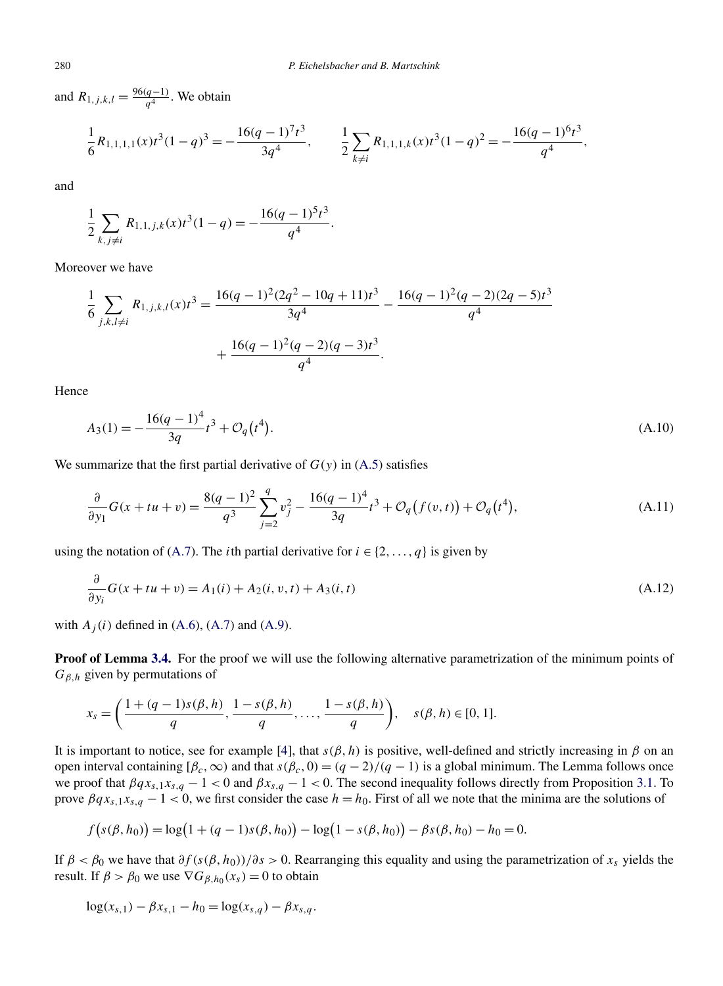and  $R_{1,j,k,l} = \frac{96(q-1)}{q^4}$ . We obtain

$$
\frac{1}{6}R_{1,1,1,1}(x)t^3(1-q)^3 = -\frac{16(q-1)^7t^3}{3q^4}, \qquad \frac{1}{2}\sum_{k\neq i}R_{1,1,1,k}(x)t^3(1-q)^2 = -\frac{16(q-1)^6t^3}{q^4},
$$

and

$$
\frac{1}{2} \sum_{k,j \neq i} R_{1,1,j,k}(x) t^3 (1-q) = -\frac{16(q-1)^5 t^3}{q^4}.
$$

Moreover we have

$$
\frac{1}{6} \sum_{j,k,l \neq i} R_{1,j,k,l}(x) t^3 = \frac{16(q-1)^2 (2q^2 - 10q + 11)t^3}{3q^4} - \frac{16(q-1)^2 (q-2)(2q-5)t^3}{q^4} + \frac{16(q-1)^2 (q-2)(q-3)t^3}{q^4}.
$$

Hence

$$
A_3(1) = -\frac{16(q-1)^4}{3q}t^3 + \mathcal{O}_q(t^4). \tag{A.10}
$$

We summarize that the first partial derivative of  $G(y)$  in  $(A.5)$  satisfies

$$
\frac{\partial}{\partial y_1} G(x + tu + v) = \frac{8(q - 1)^2}{q^3} \sum_{j=2}^q v_j^2 - \frac{16(q - 1)^4}{3q} t^3 + \mathcal{O}_q(f(v, t)) + \mathcal{O}_q(t^4),
$$
\n(A.11)

using the notation of [\(A.7\)](#page-27-0). The *i*th partial derivative for  $i \in \{2, ..., q\}$  is given by

$$
\frac{\partial}{\partial y_i} G(x + tu + v) = A_1(i) + A_2(i, v, t) + A_3(i, t)
$$
\n(A.12)

with  $A_i(i)$  defined in [\(A.6\)](#page-26-0), [\(A.7\)](#page-27-0) and [\(A.9\)](#page-27-0).

**Proof of Lemma [3.4.](#page-14-0)** For the proof we will use the following alternative parametrization of the minimum points of *Gβ,h* given by permutations of

$$
x_s = \left(\frac{1+(q-1)s(\beta, h)}{q}, \frac{1-s(\beta, h)}{q}, \dots, \frac{1-s(\beta, h)}{q}\right), \quad s(\beta, h) \in [0, 1].
$$

It is important to notice, see for example [\[4\]](#page-29-0), that  $s(\beta, h)$  is positive, well-defined and strictly increasing in  $\beta$  on an open interval containing  $[\beta_c, \infty)$  and that  $s(\beta_c, 0) = (q - 2)/(q - 1)$  is a global minimum. The Lemma follows once we proof that  $\beta q x_{s,1} x_{s,q} - 1 < 0$  and  $\beta x_{s,q} - 1 < 0$ . The second inequality follows directly from Proposition [3.1.](#page-13-0) To prove  $\beta q x_{s,1} x_{s,q} - 1 < 0$ , we first consider the case  $h = h_0$ . First of all we note that the minima are the solutions of

$$
f(s(\beta, h_0)) = \log(1 + (q - 1)s(\beta, h_0)) - \log(1 - s(\beta, h_0)) - \beta s(\beta, h_0) - h_0 = 0.
$$

If  $\beta < \beta_0$  we have that  $\partial f(s(\beta, h_0))/\partial s > 0$ . Rearranging this equality and using the parametrization of *x<sub>s</sub>* yields the result. If  $\beta > \beta_0$  we use  $\nabla G_{\beta, h_0}(x_s) = 0$  to obtain

$$
\log(x_{s,1}) - \beta x_{s,1} - h_0 = \log(x_{s,q}) - \beta x_{s,q}.
$$

<span id="page-28-0"></span>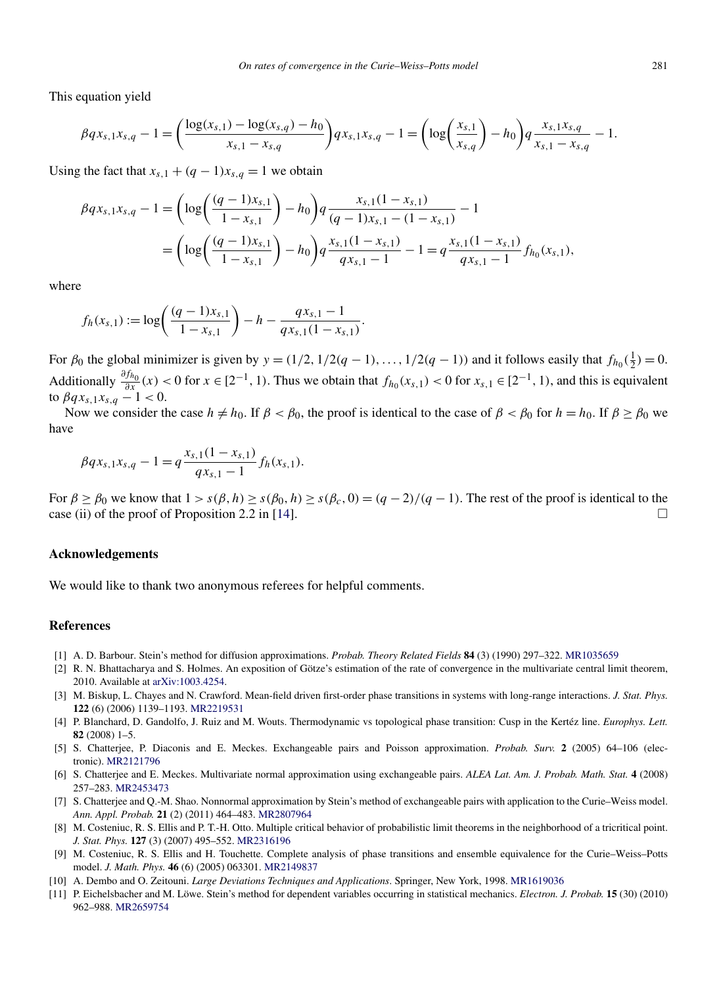<span id="page-29-0"></span>This equation yield

$$
\beta q x_{s,1} x_{s,q} - 1 = \left(\frac{\log(x_{s,1}) - \log(x_{s,q}) - h_0}{x_{s,1} - x_{s,q}}\right) q x_{s,1} x_{s,q} - 1 = \left(\log\left(\frac{x_{s,1}}{x_{s,q}}\right) - h_0\right) q \frac{x_{s,1} x_{s,q}}{x_{s,1} - x_{s,q}} - 1.
$$

Using the fact that  $x_{s,1} + (q-1)x_{s,q} = 1$  we obtain

$$
\beta q x_{s,1} x_{s,q} - 1 = \left( \log \left( \frac{(q-1)x_{s,1}}{1-x_{s,1}} \right) - h_0 \right) q \frac{x_{s,1}(1-x_{s,1})}{(q-1)x_{s,1} - (1-x_{s,1})} - 1
$$
  
= 
$$
\left( \log \left( \frac{(q-1)x_{s,1}}{1-x_{s,1}} \right) - h_0 \right) q \frac{x_{s,1}(1-x_{s,1})}{q x_{s,1} - 1} - 1 = q \frac{x_{s,1}(1-x_{s,1})}{q x_{s,1} - 1} f_{h_0}(x_{s,1}),
$$

where

$$
f_h(x_{s,1}) := \log\left(\frac{(q-1)x_{s,1}}{1-x_{s,1}}\right) - h - \frac{qx_{s,1}-1}{qx_{s,1}(1-x_{s,1})}.
$$

For  $\beta_0$  the global minimizer is given by  $y = (1/2, 1/2(q-1), \ldots, 1/2(q-1))$  and it follows easily that  $f_{h_0}(\frac{1}{2}) = 0$ . *Additionally*  $\frac{\partial f_{h_0}}{\partial x}(x) < 0$  for  $x \in [2^{-1}, 1)$ . Thus we obtain that  $f_{h_0}(x_{s,1}) < 0$  for  $x_{s,1} \in [2^{-1}, 1)$ , and this is equivalent to *βqxs,*1*xs,q* − 1 *<* 0.

Now we consider the case  $h \neq h_0$ . If  $\beta < \beta_0$ , the proof is identical to the case of  $\beta < \beta_0$  for  $h = h_0$ . If  $\beta \geq \beta_0$  we have

$$
\beta qx_{s,1}x_{s,q} - 1 = q \frac{x_{s,1}(1 - x_{s,1})}{qx_{s,1} - 1} f_h(x_{s,1}).
$$

For  $\beta \ge \beta_0$  we know that  $1 > s(\beta, h) \ge s(\beta_0, h) \ge s(\beta_c, 0) = (q - 2)/(q - 1)$ . The rest of the proof is identical to the case (ii) of the proof of Proposition 2.2 in [\[14\]](#page-30-0).

#### **Acknowledgements**

We would like to thank two anonymous referees for helpful comments.

#### **References**

- [1] A. D. Barbour. Stein's method for diffusion approximations. *Probab. Theory Related Fields* **84** (3) (1990) 297–322. [MR1035659](http://www.ams.org/mathscinet-getitem?mr=1035659)
- [2] R. N. Bhattacharya and S. Holmes. An exposition of Götze's estimation of the rate of convergence in the multivariate central limit theorem, 2010. Available at [arXiv:1003.4254.](http://arxiv.org/abs/arXiv:1003.4254)
- [3] M. Biskup, L. Chayes and N. Crawford. Mean-field driven first-order phase transitions in systems with long-range interactions. *J. Stat. Phys.* **122** (6) (2006) 1139–1193. [MR2219531](http://www.ams.org/mathscinet-getitem?mr=2219531)
- [4] P. Blanchard, D. Gandolfo, J. Ruiz and M. Wouts. Thermodynamic vs topological phase transition: Cusp in the Kertéz line. *Europhys. Lett.* **82** (2008) 1–5.
- [5] S. Chatterjee, P. Diaconis and E. Meckes. Exchangeable pairs and Poisson approximation. *Probab. Surv.* **2** (2005) 64–106 (electronic). [MR2121796](http://www.ams.org/mathscinet-getitem?mr=2121796)
- [6] S. Chatterjee and E. Meckes. Multivariate normal approximation using exchangeable pairs. *ALEA Lat. Am. J. Probab. Math. Stat.* **4** (2008) 257–283. [MR2453473](http://www.ams.org/mathscinet-getitem?mr=2453473)
- [7] S. Chatterjee and Q.-M. Shao. Nonnormal approximation by Stein's method of exchangeable pairs with application to the Curie–Weiss model. *Ann. Appl. Probab.* **21** (2) (2011) 464–483. [MR2807964](http://www.ams.org/mathscinet-getitem?mr=2807964)
- [8] M. Costeniuc, R. S. Ellis and P. T.-H. Otto. Multiple critical behavior of probabilistic limit theorems in the neighborhood of a tricritical point. *J. Stat. Phys.* **127** (3) (2007) 495–552. [MR2316196](http://www.ams.org/mathscinet-getitem?mr=2316196)
- [9] M. Costeniuc, R. S. Ellis and H. Touchette. Complete analysis of phase transitions and ensemble equivalence for the Curie–Weiss–Potts model. *J. Math. Phys.* **46** (6) (2005) 063301. [MR2149837](http://www.ams.org/mathscinet-getitem?mr=2149837)
- [10] A. Dembo and O. Zeitouni. *Large Deviations Techniques and Applications*. Springer, New York, 1998. [MR1619036](http://www.ams.org/mathscinet-getitem?mr=1619036)
- [11] P. Eichelsbacher and M. Löwe. Stein's method for dependent variables occurring in statistical mechanics. *Electron. J. Probab.* **15** (30) (2010) 962–988. [MR2659754](http://www.ams.org/mathscinet-getitem?mr=2659754)